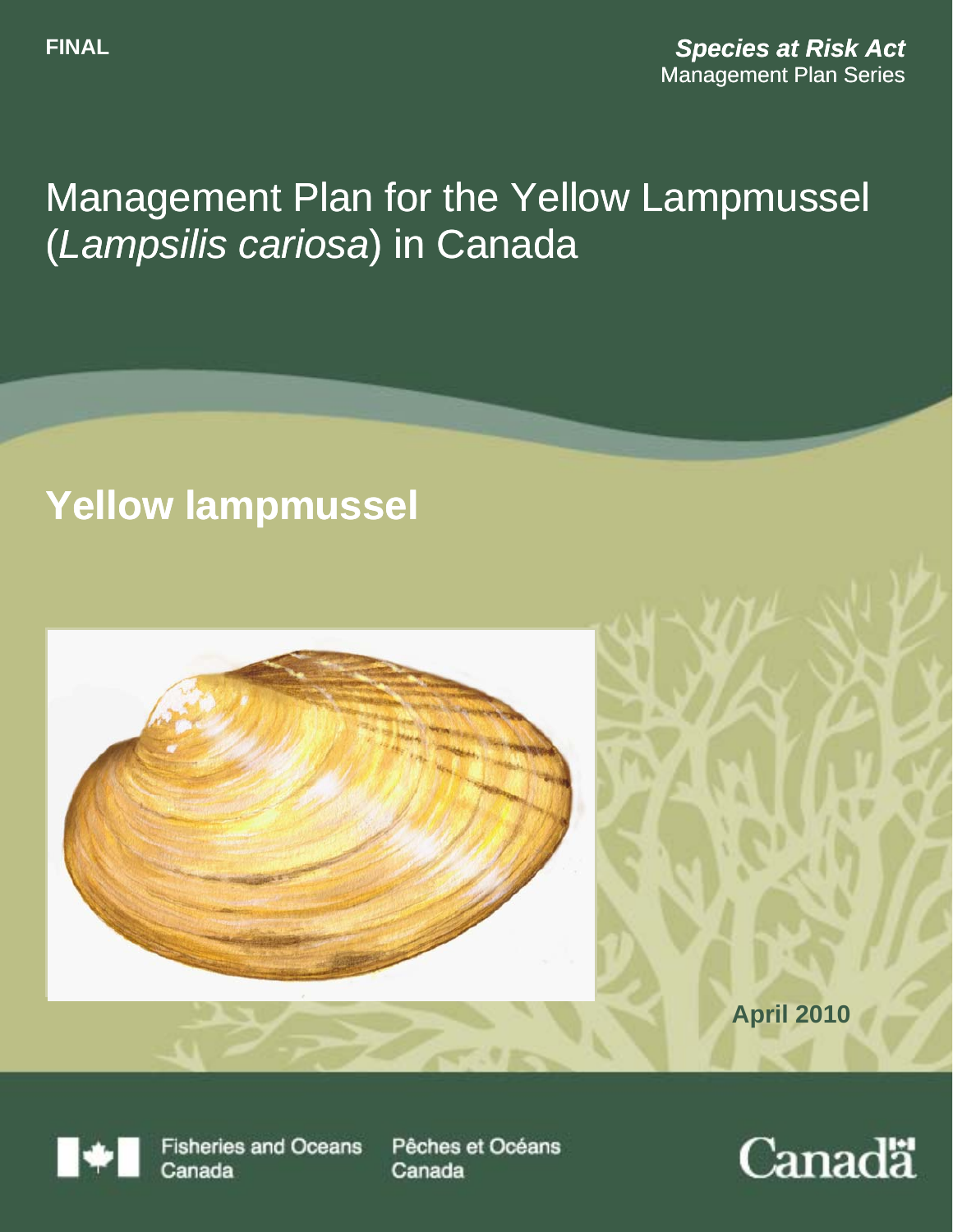# Management Plan for the Yellow Lampmussel (*Lampsilis cariosa*) in Canada

# **Yellow lampmussel**



**April 2010** 

**Fisheries and Oceans** Canada

Pêches et Océans Canada

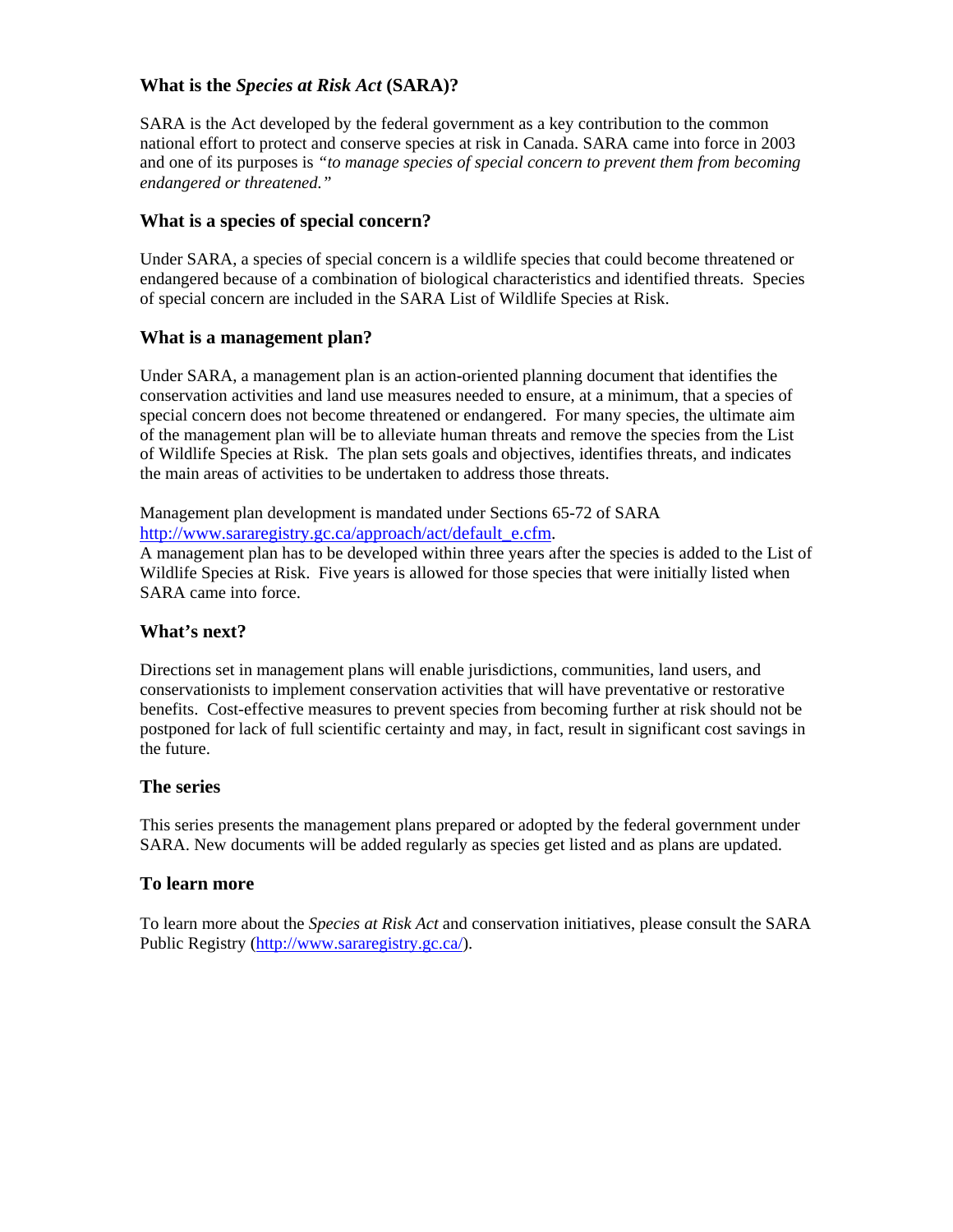#### **What is the** *Species at Risk Act* **(SARA)?**

SARA is the Act developed by the federal government as a key contribution to the common national effort to protect and conserve species at risk in Canada. SARA came into force in 2003 and one of its purposes is *"to manage species of special concern to prevent them from becoming endangered or threatened."* 

#### **What is a species of special concern?**

Under SARA, a species of special concern is a wildlife species that could become threatened or endangered because of a combination of biological characteristics and identified threats. Species of special concern are included in the SARA List of Wildlife Species at Risk.

#### **What is a management plan?**

Under SARA, a management plan is an action-oriented planning document that identifies the conservation activities and land use measures needed to ensure, at a minimum, that a species of special concern does not become threatened or endangered. For many species, the ultimate aim of the management plan will be to alleviate human threats and remove the species from the List of Wildlife Species at Risk. The plan sets goals and objectives, identifies threats, and indicates the main areas of activities to be undertaken to address those threats.

Management plan development is mandated under Sections 65-72 of SARA http://www.sararegistry.gc.ca/approach/act/default\_e.cfm.

A management plan has to be developed within three years after the species is added to the List of Wildlife Species at Risk. Five years is allowed for those species that were initially listed when SARA came into force.

#### **What's next?**

Directions set in management plans will enable jurisdictions, communities, land users, and conservationists to implement conservation activities that will have preventative or restorative benefits. Cost-effective measures to prevent species from becoming further at risk should not be postponed for lack of full scientific certainty and may, in fact, result in significant cost savings in the future.

#### **The series**

This series presents the management plans prepared or adopted by the federal government under SARA. New documents will be added regularly as species get listed and as plans are updated.

#### **To learn more**

To learn more about the *Species at Risk Act* and conservation initiatives, please consult the SARA Public Registry (http://www.sararegistry.gc.ca/).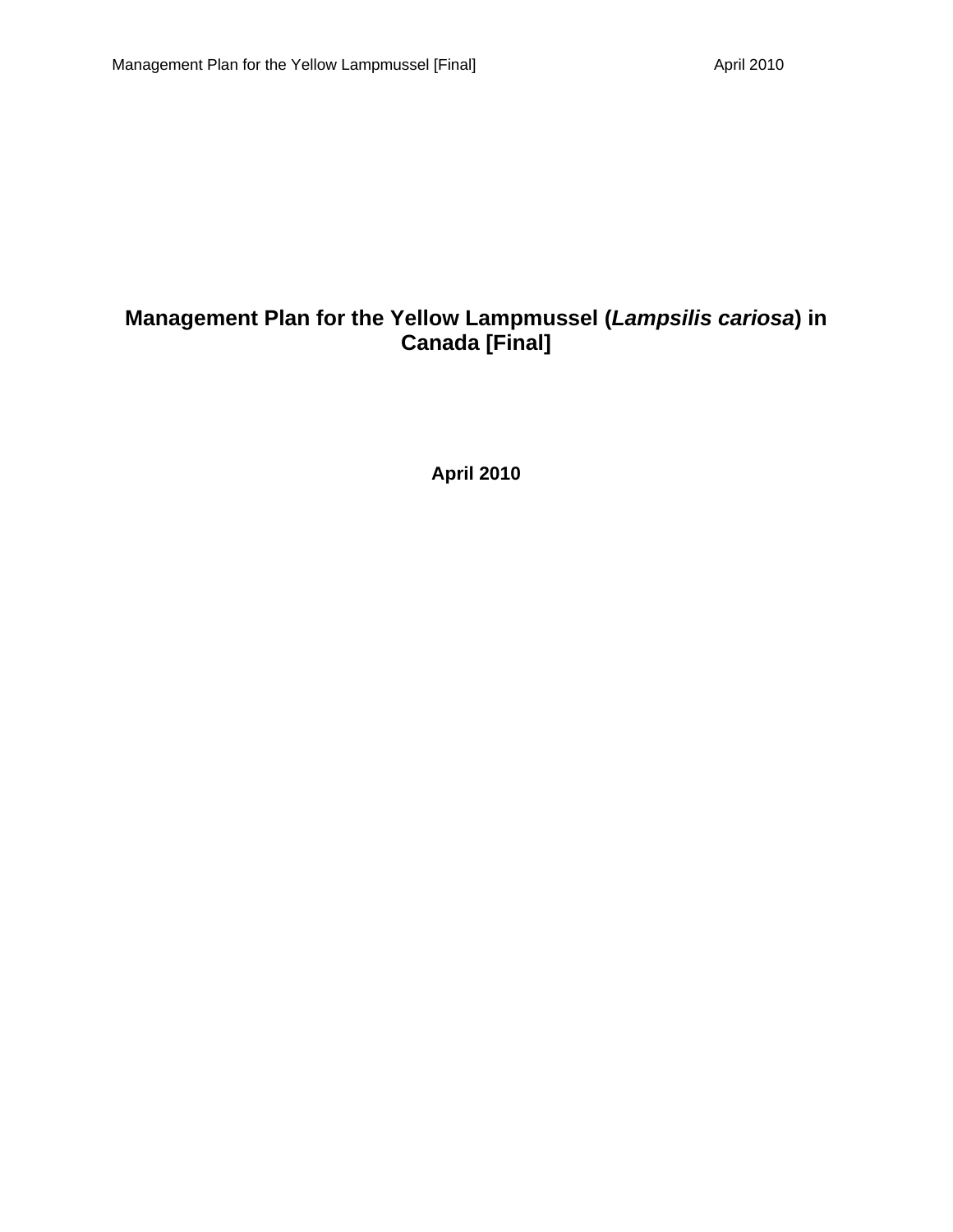### **Management Plan for the Yellow Lampmussel (***Lampsilis cariosa***) in Canada [Final]**

**April 2010**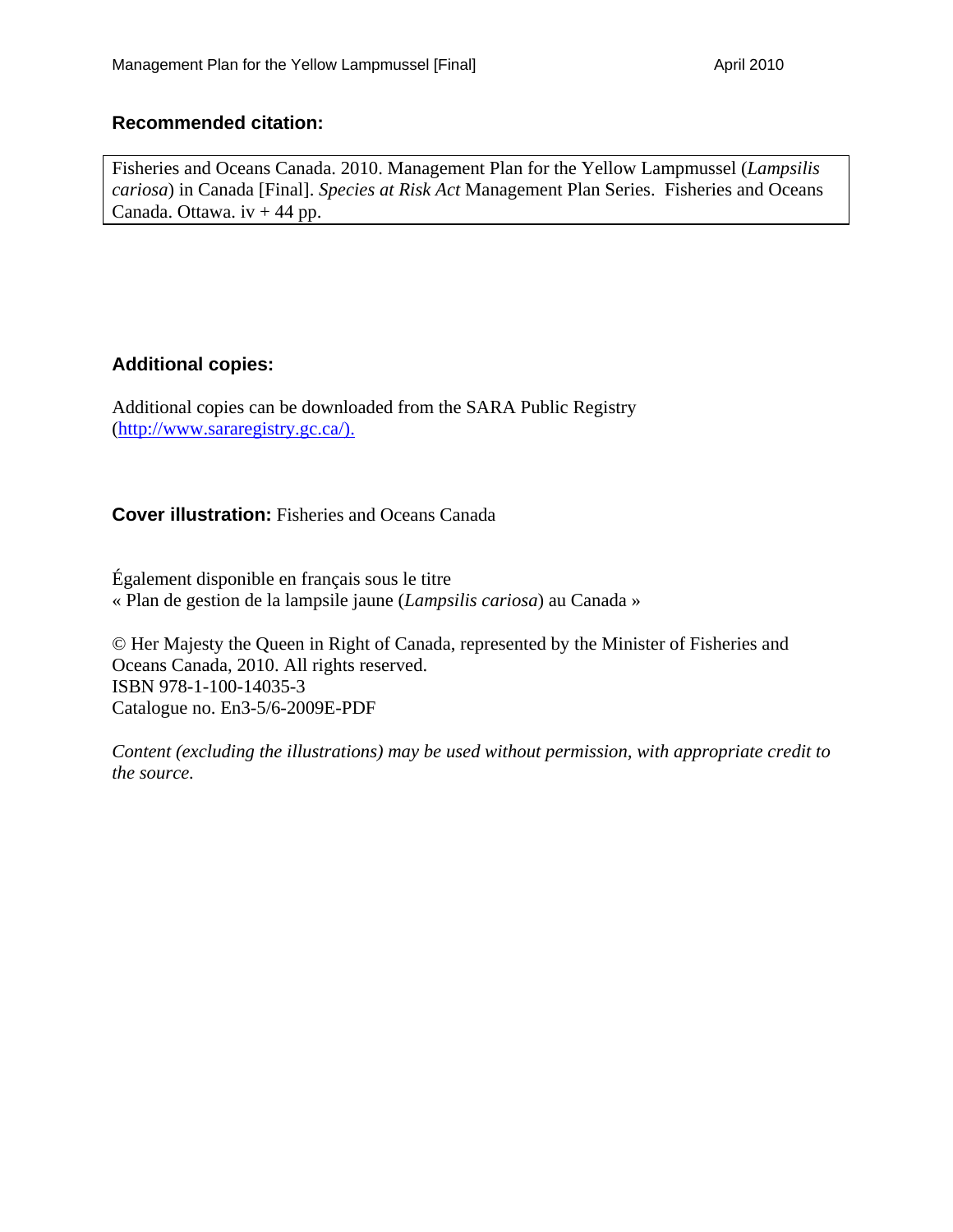#### **Recommended citation:**

Fisheries and Oceans Canada. 2010. Management Plan for the Yellow Lampmussel (*Lampsilis cariosa*) in Canada [Final]. *Species at Risk Act* Management Plan Series. Fisheries and Oceans Canada. Ottawa.  $iv + 44$  pp.

#### **Additional copies:**

Additional copies can be downloaded from the SARA Public Registry (http://www.sararegistry.gc.ca/).

**Cover illustration:** Fisheries and Oceans Canada

Également disponible en français sous le titre « Plan de gestion de la lampsile jaune (*Lampsilis cariosa*) au Canada »

© Her Majesty the Queen in Right of Canada, represented by the Minister of Fisheries and Oceans Canada, 2010. All rights reserved. ISBN 978-1-100-14035-3 Catalogue no. En3-5/6-2009E-PDF

*Content (excluding the illustrations) may be used without permission, with appropriate credit to the source.*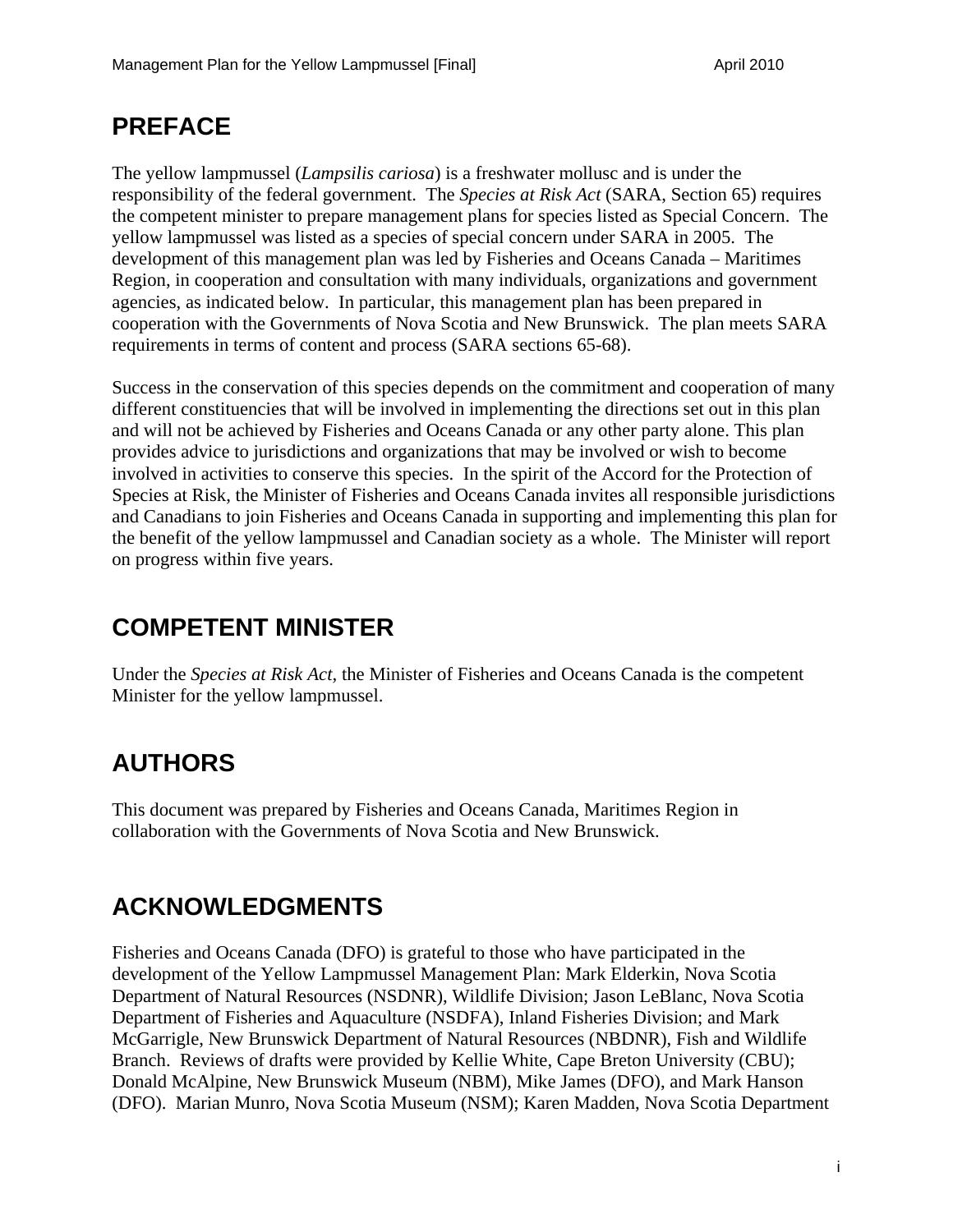## **PREFACE**

The yellow lampmussel (*Lampsilis cariosa*) is a freshwater mollusc and is under the responsibility of the federal government. The *Species at Risk Act* (SARA, Section 65) requires the competent minister to prepare management plans for species listed as Special Concern. The yellow lampmussel was listed as a species of special concern under SARA in 2005. The development of this management plan was led by Fisheries and Oceans Canada – Maritimes Region, in cooperation and consultation with many individuals, organizations and government agencies, as indicated below. In particular, this management plan has been prepared in cooperation with the Governments of Nova Scotia and New Brunswick. The plan meets SARA requirements in terms of content and process (SARA sections 65-68).

Success in the conservation of this species depends on the commitment and cooperation of many different constituencies that will be involved in implementing the directions set out in this plan and will not be achieved by Fisheries and Oceans Canada or any other party alone. This plan provides advice to jurisdictions and organizations that may be involved or wish to become involved in activities to conserve this species. In the spirit of the Accord for the Protection of Species at Risk, the Minister of Fisheries and Oceans Canada invites all responsible jurisdictions and Canadians to join Fisheries and Oceans Canada in supporting and implementing this plan for the benefit of the yellow lampmussel and Canadian society as a whole. The Minister will report on progress within five years.

## **COMPETENT MINISTER**

Under the *Species at Risk Act,* the Minister of Fisheries and Oceans Canada is the competent Minister for the yellow lampmussel.

## **AUTHORS**

This document was prepared by Fisheries and Oceans Canada, Maritimes Region in collaboration with the Governments of Nova Scotia and New Brunswick.

## **ACKNOWLEDGMENTS**

Fisheries and Oceans Canada (DFO) is grateful to those who have participated in the development of the Yellow Lampmussel Management Plan: Mark Elderkin, Nova Scotia Department of Natural Resources (NSDNR), Wildlife Division; Jason LeBlanc, Nova Scotia Department of Fisheries and Aquaculture (NSDFA), Inland Fisheries Division; and Mark McGarrigle, New Brunswick Department of Natural Resources (NBDNR), Fish and Wildlife Branch. Reviews of drafts were provided by Kellie White, Cape Breton University (CBU); Donald McAlpine, New Brunswick Museum (NBM), Mike James (DFO), and Mark Hanson (DFO). Marian Munro, Nova Scotia Museum (NSM); Karen Madden, Nova Scotia Department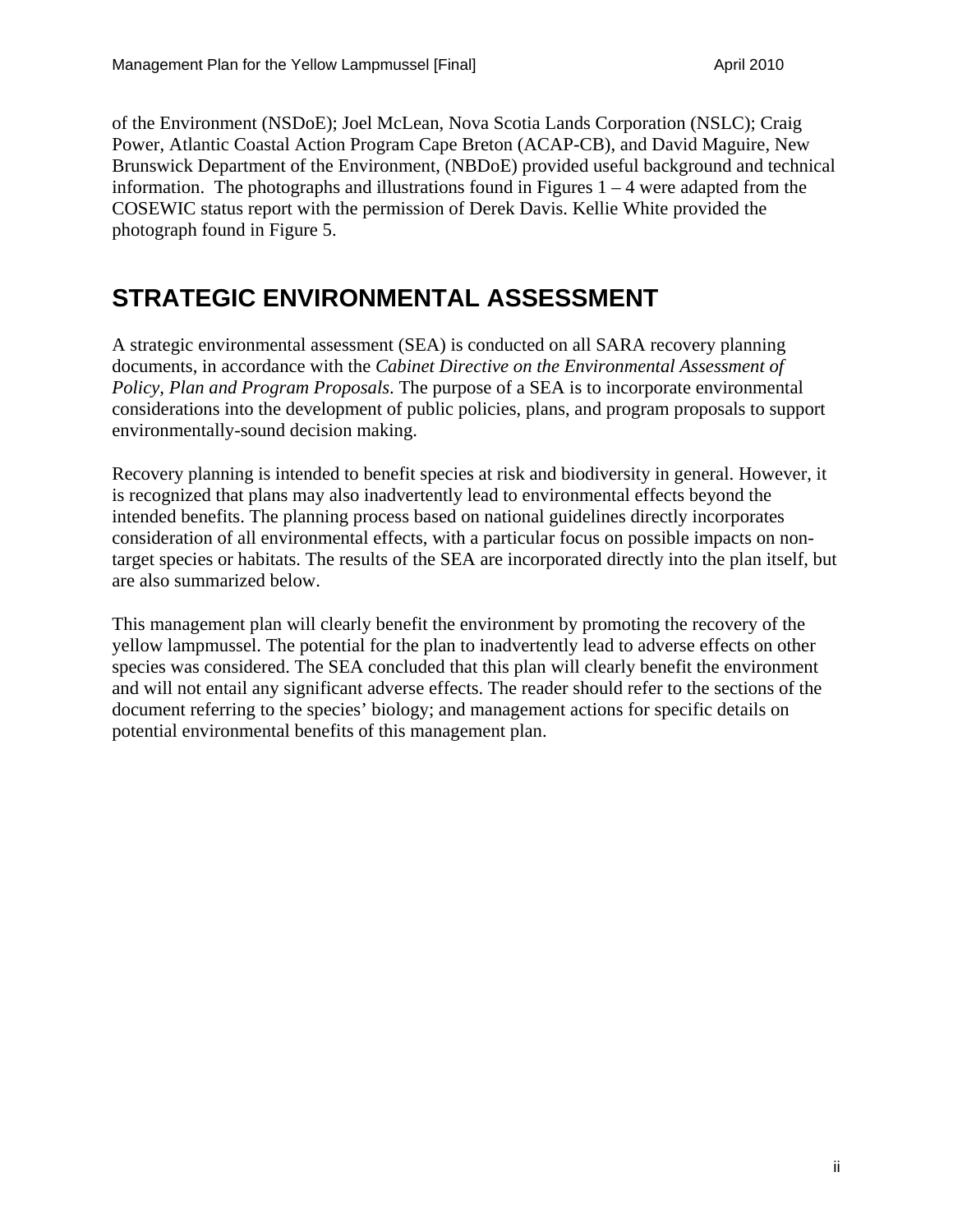of the Environment (NSDoE); Joel McLean, Nova Scotia Lands Corporation (NSLC); Craig Power, Atlantic Coastal Action Program Cape Breton (ACAP-CB), and David Maguire, New Brunswick Department of the Environment, (NBDoE) provided useful background and technical information. The photographs and illustrations found in Figures  $1 - 4$  were adapted from the COSEWIC status report with the permission of Derek Davis. Kellie White provided the photograph found in Figure 5.

### **STRATEGIC ENVIRONMENTAL ASSESSMENT**

A strategic environmental assessment (SEA) is conducted on all SARA recovery planning documents, in accordance with the *Cabinet Directive on the Environmental Assessment of Policy, Plan and Program Proposals*. The purpose of a SEA is to incorporate environmental considerations into the development of public policies, plans, and program proposals to support environmentally-sound decision making.

Recovery planning is intended to benefit species at risk and biodiversity in general. However, it is recognized that plans may also inadvertently lead to environmental effects beyond the intended benefits. The planning process based on national guidelines directly incorporates consideration of all environmental effects, with a particular focus on possible impacts on nontarget species or habitats. The results of the SEA are incorporated directly into the plan itself, but are also summarized below.

This management plan will clearly benefit the environment by promoting the recovery of the yellow lampmussel. The potential for the plan to inadvertently lead to adverse effects on other species was considered. The SEA concluded that this plan will clearly benefit the environment and will not entail any significant adverse effects. The reader should refer to the sections of the document referring to the species' biology; and management actions for specific details on potential environmental benefits of this management plan.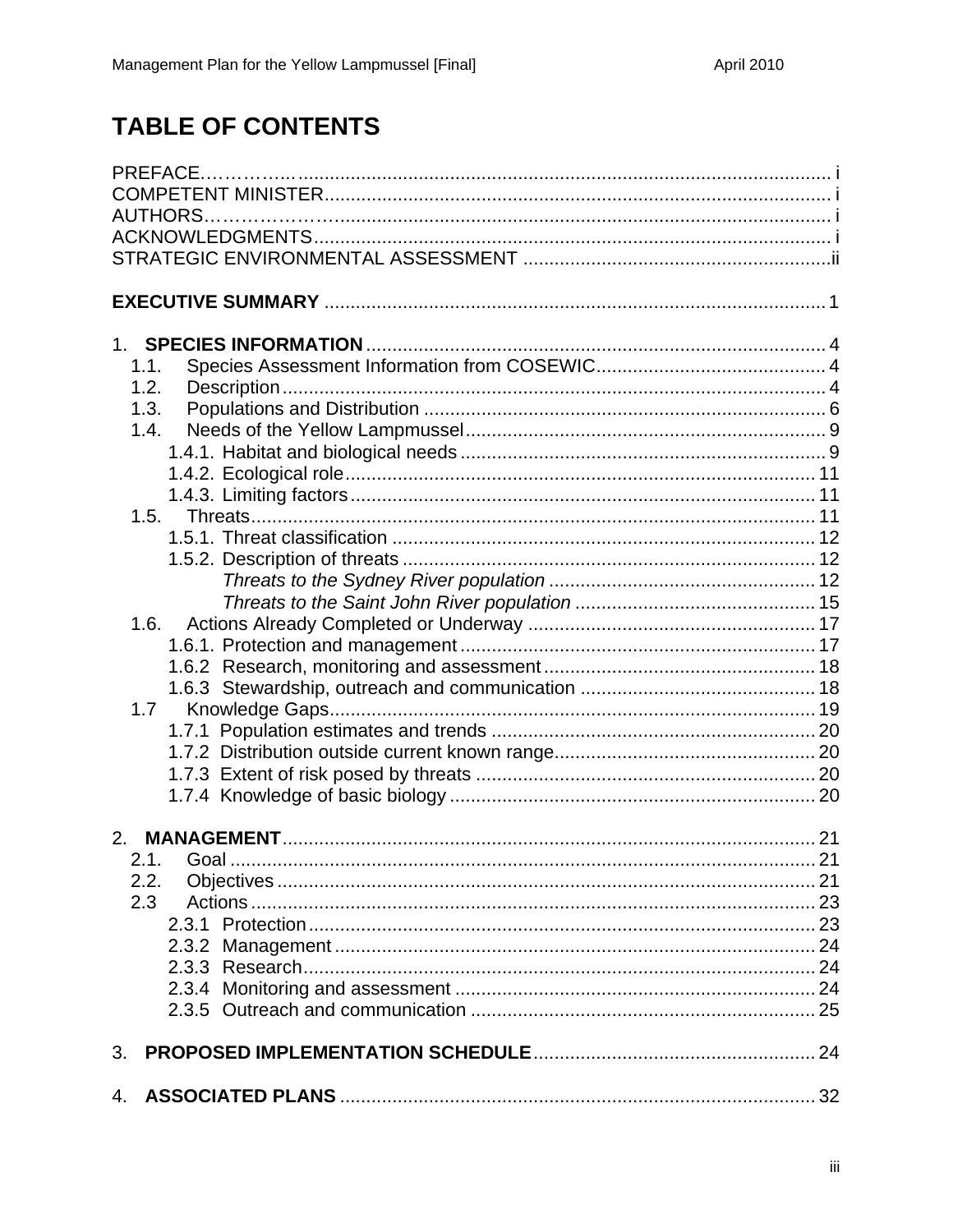## **TABLE OF CONTENTS**

| 1.1.         |  |
|--------------|--|
| 1.2.<br>1.3. |  |
| 1.4.         |  |
|              |  |
|              |  |
|              |  |
| 1.5.         |  |
|              |  |
|              |  |
|              |  |
|              |  |
| 1.6.         |  |
|              |  |
|              |  |
|              |  |
| 1.7          |  |
|              |  |
|              |  |
|              |  |
|              |  |
| 2.           |  |
|              |  |
| 2.2.         |  |
| 2.3          |  |
|              |  |
|              |  |
|              |  |
|              |  |
|              |  |
| 3.           |  |
| 4.           |  |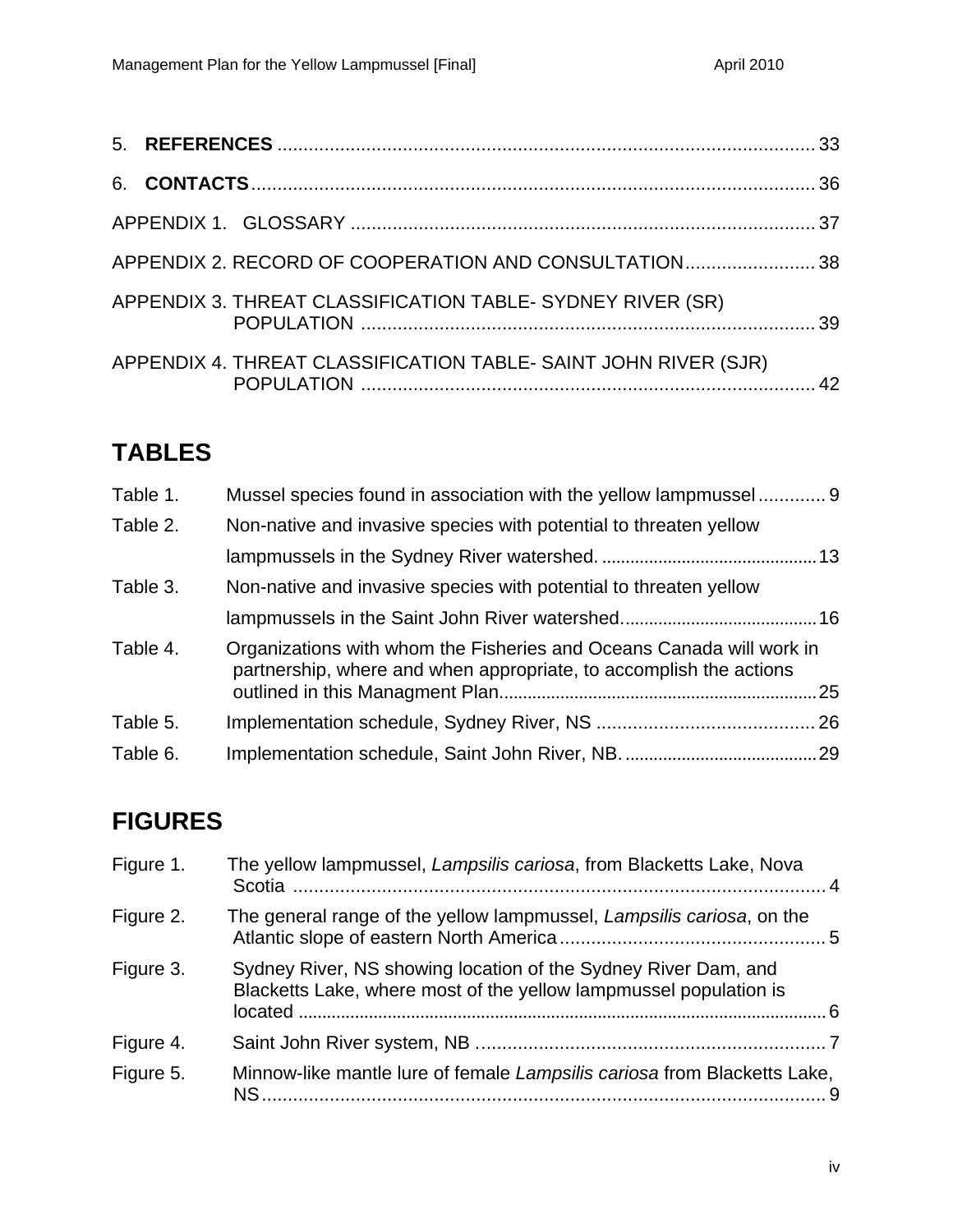| APPENDIX 2. RECORD OF COOPERATION AND CONSULTATION38            |  |
|-----------------------------------------------------------------|--|
| APPENDIX 3. THREAT CLASSIFICATION TABLE- SYDNEY RIVER (SR)      |  |
| APPENDIX 4. THREAT CLASSIFICATION TABLE- SAINT JOHN RIVER (SJR) |  |

## **TABLES**

| Table 1. | Mussel species found in association with the yellow lampmussel 9                                                                           |  |
|----------|--------------------------------------------------------------------------------------------------------------------------------------------|--|
| Table 2. | Non-native and invasive species with potential to threaten yellow                                                                          |  |
|          |                                                                                                                                            |  |
| Table 3. | Non-native and invasive species with potential to threaten yellow                                                                          |  |
|          |                                                                                                                                            |  |
| Table 4. | Organizations with whom the Fisheries and Oceans Canada will work in<br>partnership, where and when appropriate, to accomplish the actions |  |
| Table 5. |                                                                                                                                            |  |
| Table 6. |                                                                                                                                            |  |

## **FIGURES**

| Sydney River, NS showing location of the Sydney River Dam, and<br>Blacketts Lake, where most of the yellow lampmussel population is |                                                                                                                                              |
|-------------------------------------------------------------------------------------------------------------------------------------|----------------------------------------------------------------------------------------------------------------------------------------------|
|                                                                                                                                     |                                                                                                                                              |
| Minnow-like mantle lure of female Lampsilis cariosa from Blacketts Lake,<br>NS.                                                     |                                                                                                                                              |
|                                                                                                                                     | The yellow lampmussel, Lampsilis cariosa, from Blacketts Lake, Nova<br>The general range of the yellow lampmussel, Lampsilis cariosa, on the |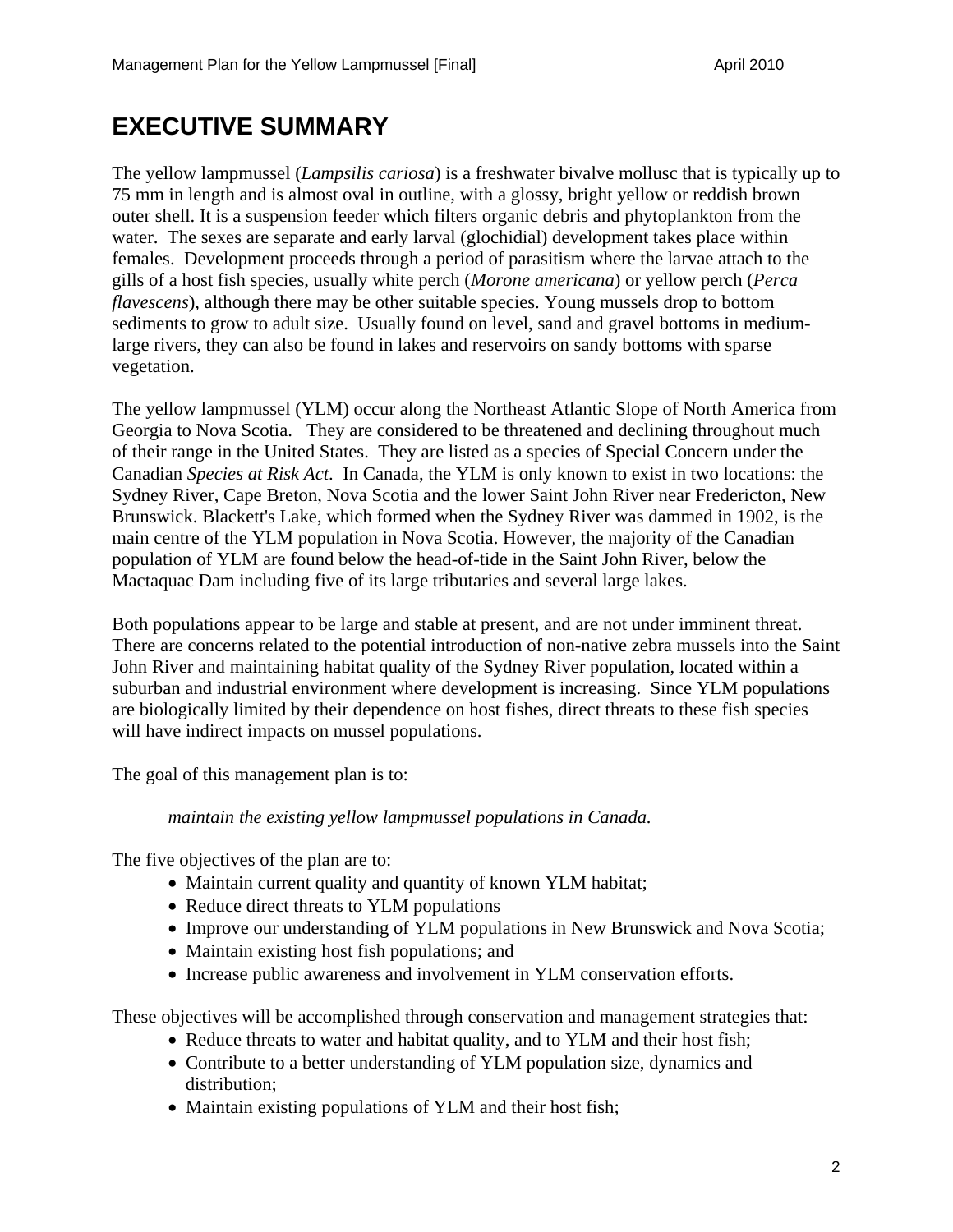## **EXECUTIVE SUMMARY**

The yellow lampmussel (*Lampsilis cariosa*) is a freshwater bivalve mollusc that is typically up to 75 mm in length and is almost oval in outline, with a glossy, bright yellow or reddish brown outer shell. It is a suspension feeder which filters organic debris and phytoplankton from the water. The sexes are separate and early larval (glochidial) development takes place within females. Development proceeds through a period of parasitism where the larvae attach to the gills of a host fish species, usually white perch (*Morone americana*) or yellow perch (*Perca flavescens*), although there may be other suitable species. Young mussels drop to bottom sediments to grow to adult size. Usually found on level, sand and gravel bottoms in mediumlarge rivers, they can also be found in lakes and reservoirs on sandy bottoms with sparse vegetation.

The yellow lampmussel (YLM) occur along the Northeast Atlantic Slope of North America from Georgia to Nova Scotia. They are considered to be threatened and declining throughout much of their range in the United States. They are listed as a species of Special Concern under the Canadian *Species at Risk Act*. In Canada, the YLM is only known to exist in two locations: the Sydney River, Cape Breton, Nova Scotia and the lower Saint John River near Fredericton, New Brunswick. Blackett's Lake, which formed when the Sydney River was dammed in 1902, is the main centre of the YLM population in Nova Scotia. However, the majority of the Canadian population of YLM are found below the head-of-tide in the Saint John River, below the Mactaquac Dam including five of its large tributaries and several large lakes.

Both populations appear to be large and stable at present, and are not under imminent threat. There are concerns related to the potential introduction of non-native zebra mussels into the Saint John River and maintaining habitat quality of the Sydney River population, located within a suburban and industrial environment where development is increasing. Since YLM populations are biologically limited by their dependence on host fishes, direct threats to these fish species will have indirect impacts on mussel populations.

The goal of this management plan is to:

#### *maintain the existing yellow lampmussel populations in Canada.*

The five objectives of the plan are to:

- Maintain current quality and quantity of known YLM habitat;
- Reduce direct threats to YLM populations
- Improve our understanding of YLM populations in New Brunswick and Nova Scotia;
- Maintain existing host fish populations; and
- Increase public awareness and involvement in YLM conservation efforts.

These objectives will be accomplished through conservation and management strategies that:

- Reduce threats to water and habitat quality, and to YLM and their host fish;
- Contribute to a better understanding of YLM population size, dynamics and distribution;
- Maintain existing populations of YLM and their host fish;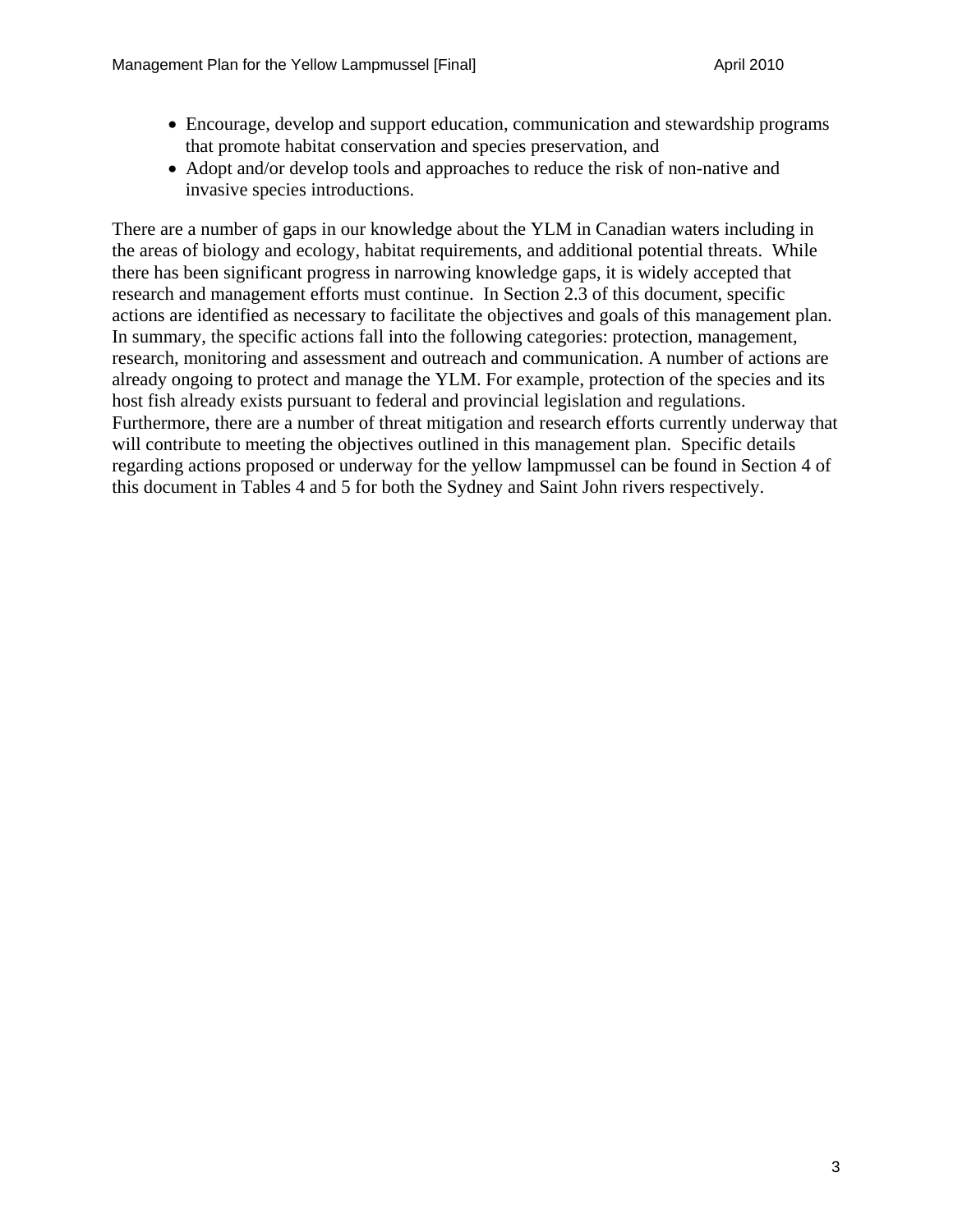- Encourage, develop and support education, communication and stewardship programs that promote habitat conservation and species preservation, and
- Adopt and/or develop tools and approaches to reduce the risk of non-native and invasive species introductions.

There are a number of gaps in our knowledge about the YLM in Canadian waters including in the areas of biology and ecology, habitat requirements, and additional potential threats. While there has been significant progress in narrowing knowledge gaps, it is widely accepted that research and management efforts must continue. In Section 2.3 of this document, specific actions are identified as necessary to facilitate the objectives and goals of this management plan. In summary, the specific actions fall into the following categories: protection, management, research, monitoring and assessment and outreach and communication. A number of actions are already ongoing to protect and manage the YLM. For example, protection of the species and its host fish already exists pursuant to federal and provincial legislation and regulations. Furthermore, there are a number of threat mitigation and research efforts currently underway that will contribute to meeting the objectives outlined in this management plan. Specific details regarding actions proposed or underway for the yellow lampmussel can be found in Section 4 of this document in Tables 4 and 5 for both the Sydney and Saint John rivers respectively.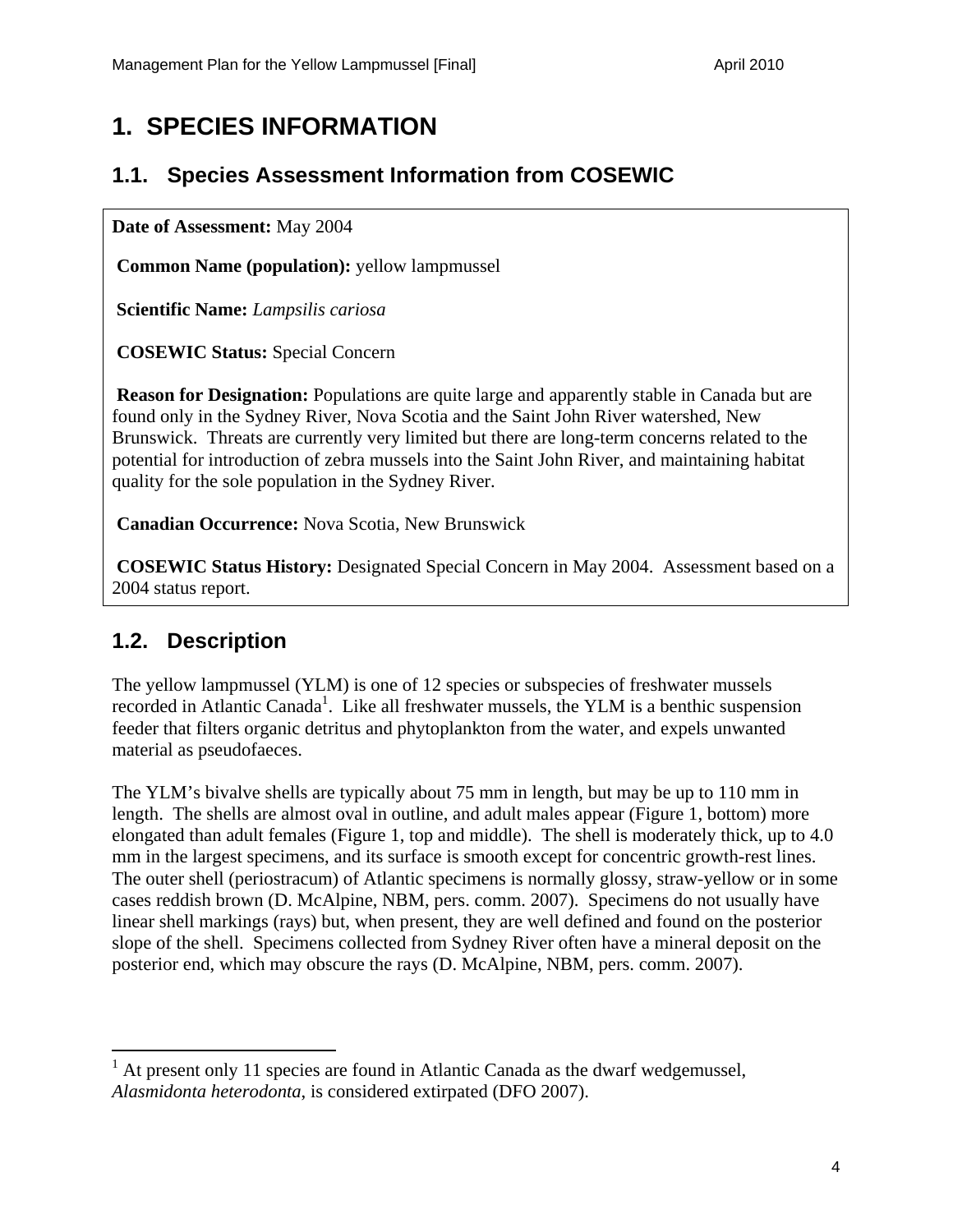## **1. SPECIES INFORMATION**

### **1.1. Species Assessment Information from COSEWIC**

**Date of Assessment:** May 2004

 **Common Name (population):** yellow lampmussel

 **Scientific Name:** *Lampsilis cariosa*

 **COSEWIC Status:** Special Concern

**Reason for Designation:** Populations are quite large and apparently stable in Canada but are found only in the Sydney River, Nova Scotia and the Saint John River watershed, New Brunswick. Threats are currently very limited but there are long-term concerns related to the potential for introduction of zebra mussels into the Saint John River, and maintaining habitat quality for the sole population in the Sydney River.

 **Canadian Occurrence:** Nova Scotia, New Brunswick

 **COSEWIC Status History:** Designated Special Concern in May 2004. Assessment based on a 2004 status report.

### **1.2. Description**

 $\overline{a}$ 

The yellow lampmussel (YLM) is one of 12 species or subspecies of freshwater mussels recorded in Atlantic Canada<sup>1</sup>. Like all freshwater mussels, the YLM is a benthic suspension feeder that filters organic detritus and phytoplankton from the water, and expels unwanted material as pseudofaeces.

The YLM's bivalve shells are typically about 75 mm in length, but may be up to 110 mm in length. The shells are almost oval in outline, and adult males appear (Figure 1, bottom) more elongated than adult females (Figure 1, top and middle). The shell is moderately thick, up to 4.0 mm in the largest specimens, and its surface is smooth except for concentric growth-rest lines. The outer shell (periostracum) of Atlantic specimens is normally glossy, straw-yellow or in some cases reddish brown (D. McAlpine, NBM, pers. comm. 2007). Specimens do not usually have linear shell markings (rays) but, when present, they are well defined and found on the posterior slope of the shell. Specimens collected from Sydney River often have a mineral deposit on the posterior end, which may obscure the rays (D. McAlpine, NBM, pers. comm. 2007).

<sup>1</sup> At present only 11 species are found in Atlantic Canada as the dwarf wedgemussel, *Alasmidonta heterodonta*, is considered extirpated (DFO 2007).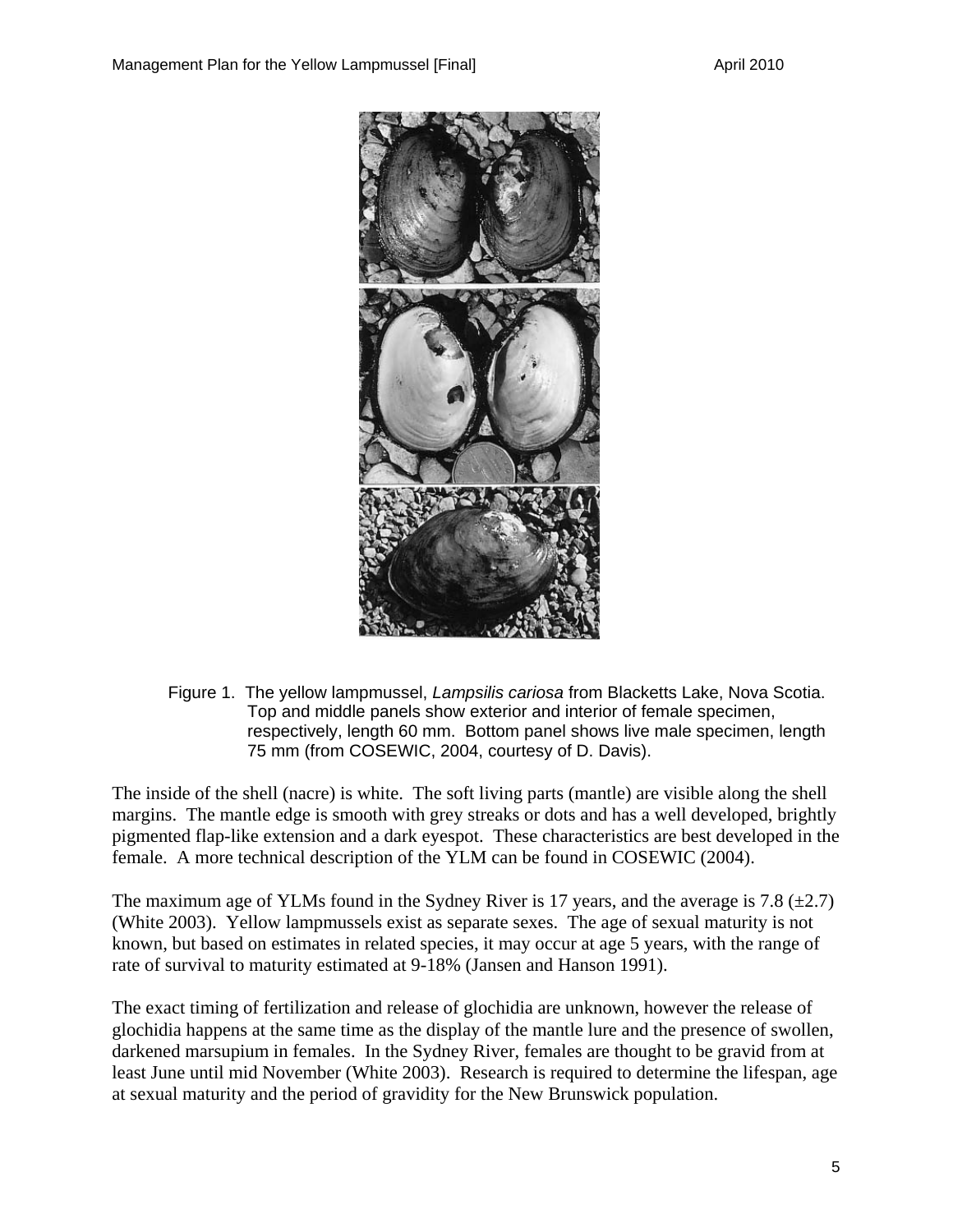

Figure 1. The yellow lampmussel, *Lampsilis cariosa* from Blacketts Lake, Nova Scotia. Top and middle panels show exterior and interior of female specimen, respectively, length 60 mm. Bottom panel shows live male specimen, length 75 mm (from COSEWIC, 2004, courtesy of D. Davis).

The inside of the shell (nacre) is white. The soft living parts (mantle) are visible along the shell margins. The mantle edge is smooth with grey streaks or dots and has a well developed, brightly pigmented flap-like extension and a dark eyespot. These characteristics are best developed in the female. A more technical description of the YLM can be found in COSEWIC (2004).

The maximum age of YLMs found in the Sydney River is 17 years, and the average is 7.8 ( $\pm$ 2.7) (White 2003). Yellow lampmussels exist as separate sexes. The age of sexual maturity is not known, but based on estimates in related species, it may occur at age 5 years, with the range of rate of survival to maturity estimated at 9-18% (Jansen and Hanson 1991).

The exact timing of fertilization and release of glochidia are unknown, however the release of glochidia happens at the same time as the display of the mantle lure and the presence of swollen, darkened marsupium in females. In the Sydney River, females are thought to be gravid from at least June until mid November (White 2003). Research is required to determine the lifespan, age at sexual maturity and the period of gravidity for the New Brunswick population.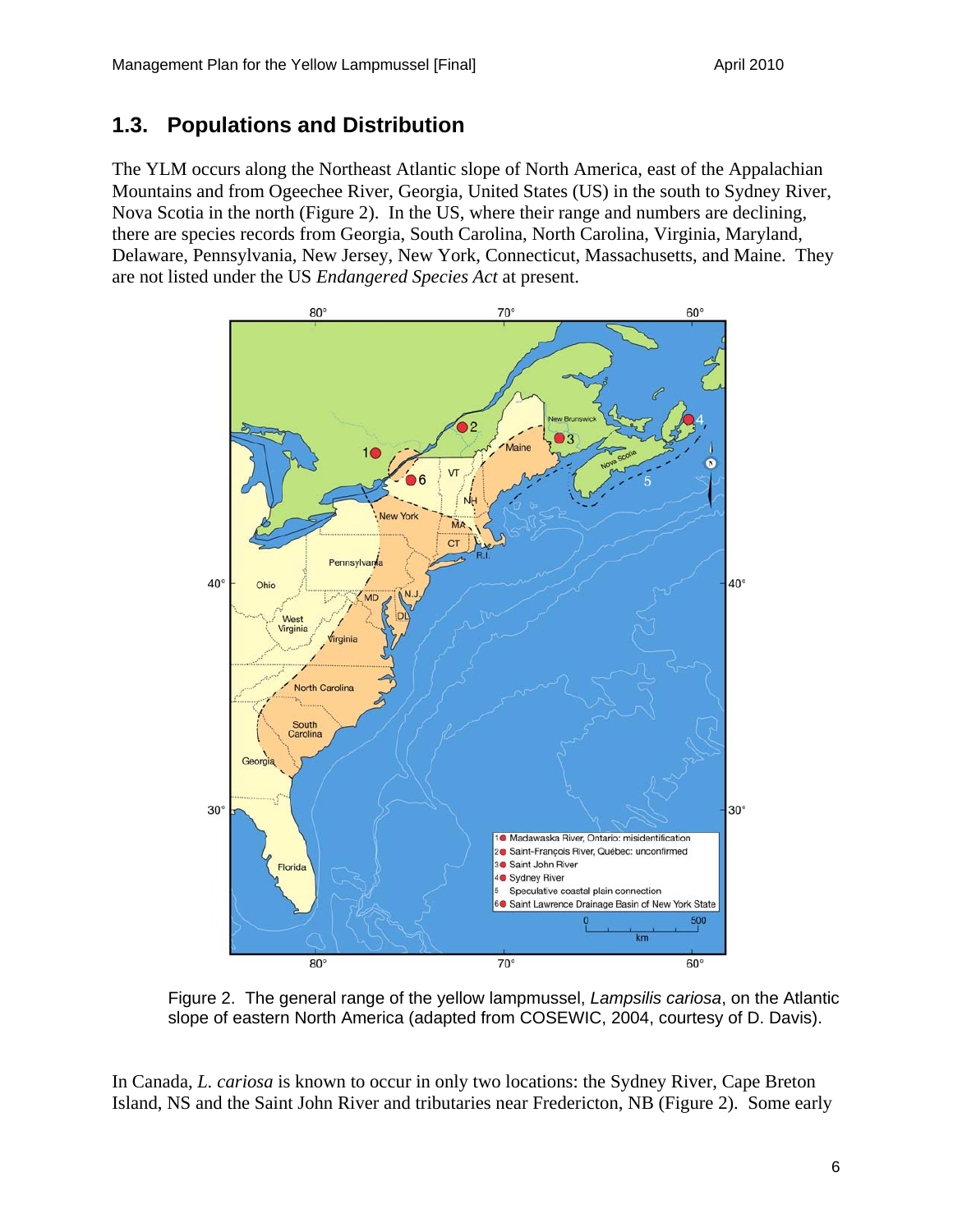### **1.3. Populations and Distribution**

The YLM occurs along the Northeast Atlantic slope of North America, east of the Appalachian Mountains and from Ogeechee River, Georgia, United States (US) in the south to Sydney River, Nova Scotia in the north (Figure 2). In the US, where their range and numbers are declining, there are species records from Georgia, South Carolina, North Carolina, Virginia, Maryland, Delaware, Pennsylvania, New Jersey, New York, Connecticut, Massachusetts, and Maine. They are not listed under the US *Endangered Species Act* at present.



Figure 2. The general range of the yellow lampmussel, *Lampsilis cariosa*, on the Atlantic slope of eastern North America (adapted from COSEWIC, 2004, courtesy of D. Davis).

In Canada, *L. cariosa* is known to occur in only two locations: the Sydney River, Cape Breton Island, NS and the Saint John River and tributaries near Fredericton, NB (Figure 2). Some early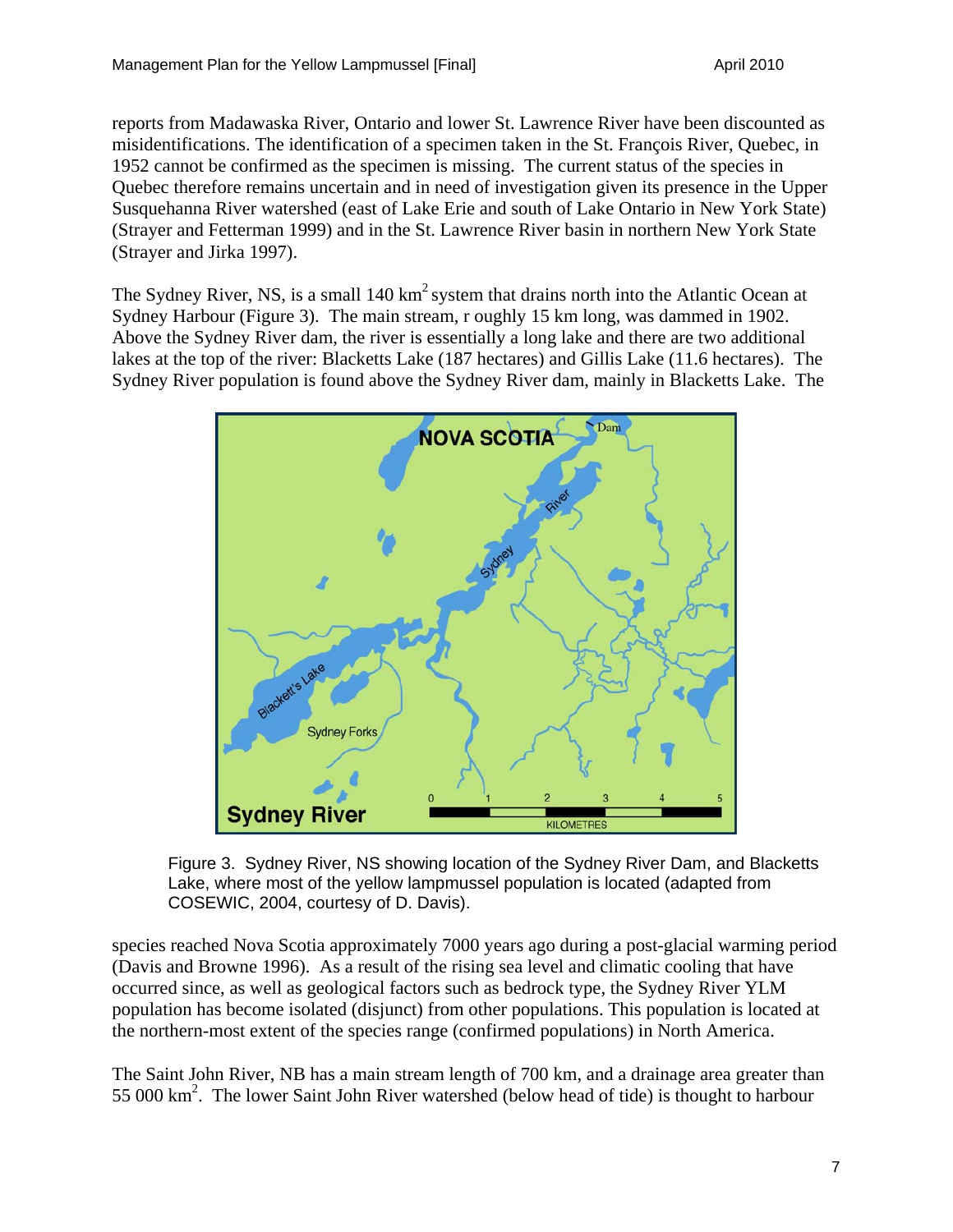reports from Madawaska River, Ontario and lower St. Lawrence River have been discounted as misidentifications. The identification of a specimen taken in the St. François River, Quebec, in 1952 cannot be confirmed as the specimen is missing. The current status of the species in Quebec therefore remains uncertain and in need of investigation given its presence in the Upper Susquehanna River watershed (east of Lake Erie and south of Lake Ontario in New York State) (Strayer and Fetterman 1999) and in the St. Lawrence River basin in northern New York State (Strayer and Jirka 1997).

The Sydney River, NS, is a small 140 km<sup>2</sup> system that drains north into the Atlantic Ocean at Sydney Harbour (Figure 3). The main stream, r oughly 15 km long, was dammed in 1902. Above the Sydney River dam, the river is essentially a long lake and there are two additional lakes at the top of the river: Blacketts Lake (187 hectares) and Gillis Lake (11.6 hectares). The Sydney River population is found above the Sydney River dam, mainly in Blacketts Lake. The





species reached Nova Scotia approximately 7000 years ago during a post-glacial warming period (Davis and Browne 1996). As a result of the rising sea level and climatic cooling that have occurred since, as well as geological factors such as bedrock type, the Sydney River YLM population has become isolated (disjunct) from other populations. This population is located at the northern-most extent of the species range (confirmed populations) in North America.

The Saint John River, NB has a main stream length of 700 km, and a drainage area greater than 55 000 km<sup>2</sup>. The lower Saint John River watershed (below head of tide) is thought to harbour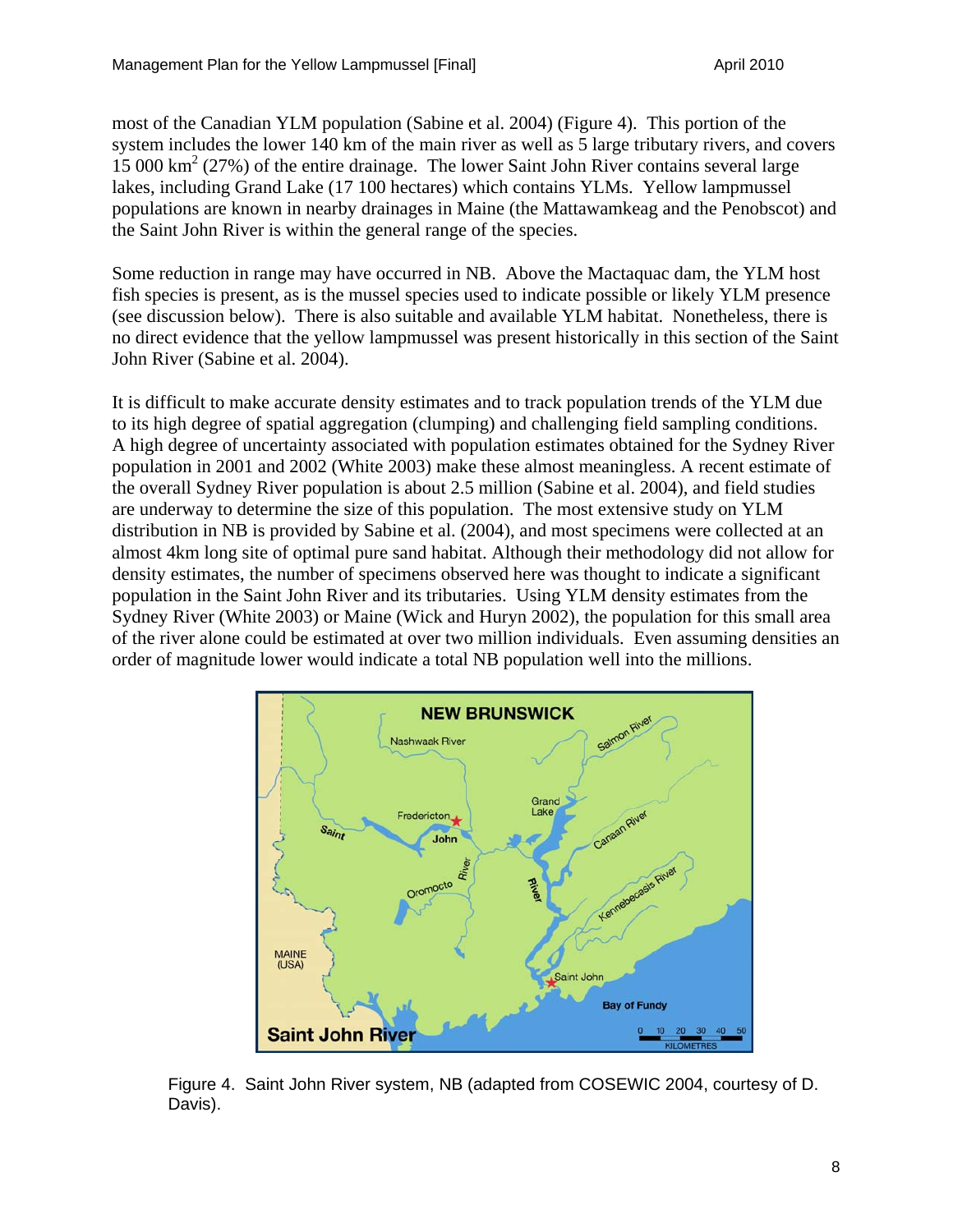most of the Canadian YLM population (Sabine et al. 2004) (Figure 4). This portion of the system includes the lower 140 km of the main river as well as 5 large tributary rivers, and covers 15 000 km2 (27%) of the entire drainage. The lower Saint John River contains several large lakes, including Grand Lake (17 100 hectares) which contains YLMs. Yellow lampmussel populations are known in nearby drainages in Maine (the Mattawamkeag and the Penobscot) and the Saint John River is within the general range of the species.

Some reduction in range may have occurred in NB. Above the Mactaquac dam, the YLM host fish species is present, as is the mussel species used to indicate possible or likely YLM presence (see discussion below). There is also suitable and available YLM habitat. Nonetheless, there is no direct evidence that the yellow lampmussel was present historically in this section of the Saint John River (Sabine et al. 2004).

It is difficult to make accurate density estimates and to track population trends of the YLM due to its high degree of spatial aggregation (clumping) and challenging field sampling conditions. A high degree of uncertainty associated with population estimates obtained for the Sydney River population in 2001 and 2002 (White 2003) make these almost meaningless. A recent estimate of the overall Sydney River population is about 2.5 million (Sabine et al. 2004), and field studies are underway to determine the size of this population. The most extensive study on YLM distribution in NB is provided by Sabine et al. (2004), and most specimens were collected at an almost 4km long site of optimal pure sand habitat. Although their methodology did not allow for density estimates, the number of specimens observed here was thought to indicate a significant population in the Saint John River and its tributaries. Using YLM density estimates from the Sydney River (White 2003) or Maine (Wick and Huryn 2002), the population for this small area of the river alone could be estimated at over two million individuals. Even assuming densities an order of magnitude lower would indicate a total NB population well into the millions.



Figure 4. Saint John River system, NB (adapted from COSEWIC 2004, courtesy of D. Davis).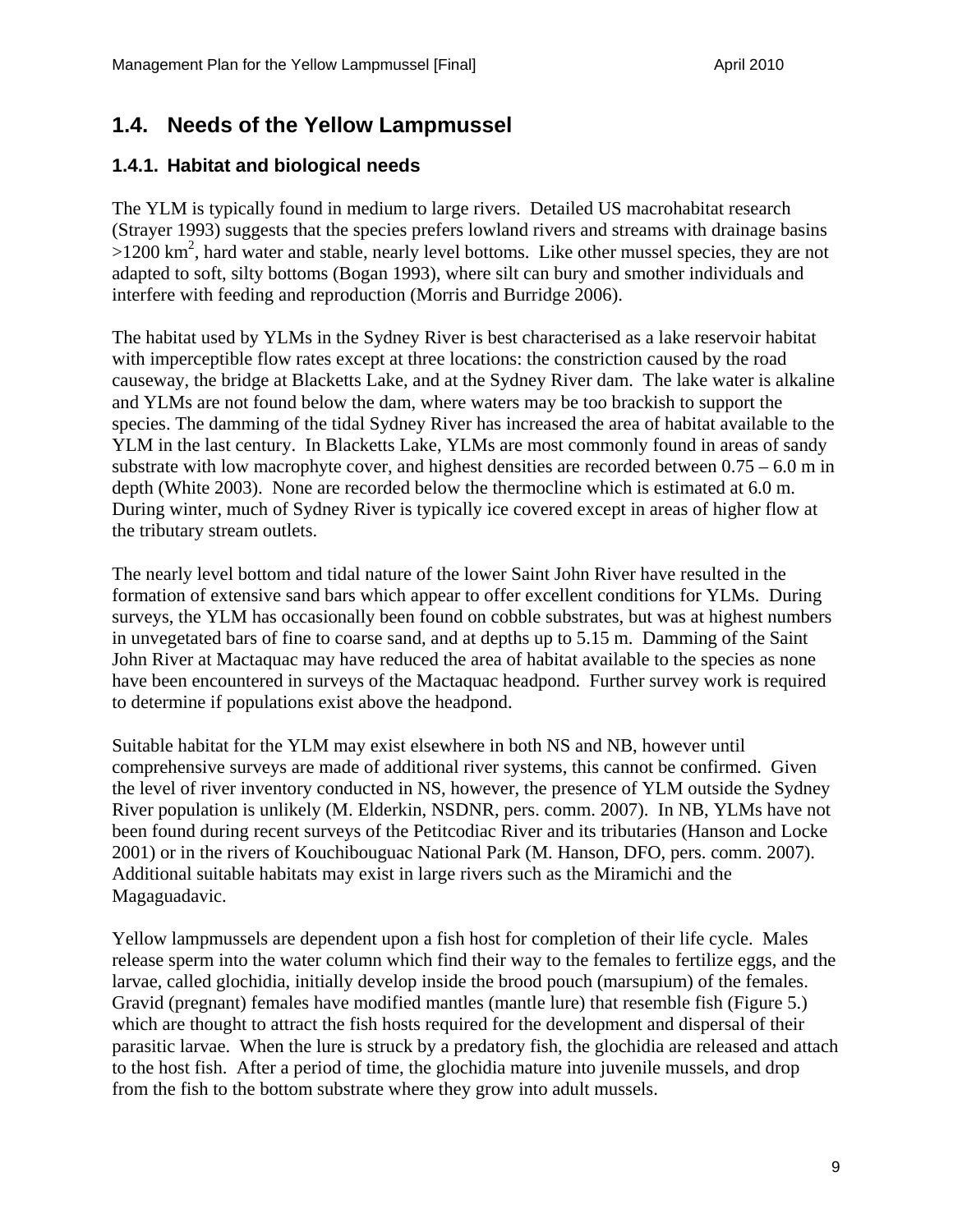### **1.4. Needs of the Yellow Lampmussel**

#### **1.4.1. Habitat and biological needs**

The YLM is typically found in medium to large rivers. Detailed US macrohabitat research (Strayer 1993) suggests that the species prefers lowland rivers and streams with drainage basins >1200 km<sup>2</sup>, hard water and stable, nearly level bottoms. Like other mussel species, they are not adapted to soft, silty bottoms (Bogan 1993), where silt can bury and smother individuals and interfere with feeding and reproduction (Morris and Burridge 2006).

The habitat used by YLMs in the Sydney River is best characterised as a lake reservoir habitat with imperceptible flow rates except at three locations: the constriction caused by the road causeway, the bridge at Blacketts Lake, and at the Sydney River dam. The lake water is alkaline and YLMs are not found below the dam, where waters may be too brackish to support the species. The damming of the tidal Sydney River has increased the area of habitat available to the YLM in the last century. In Blacketts Lake, YLMs are most commonly found in areas of sandy substrate with low macrophyte cover, and highest densities are recorded between  $0.75 - 6.0$  m in depth (White 2003). None are recorded below the thermocline which is estimated at 6.0 m. During winter, much of Sydney River is typically ice covered except in areas of higher flow at the tributary stream outlets.

The nearly level bottom and tidal nature of the lower Saint John River have resulted in the formation of extensive sand bars which appear to offer excellent conditions for YLMs. During surveys, the YLM has occasionally been found on cobble substrates, but was at highest numbers in unvegetated bars of fine to coarse sand, and at depths up to 5.15 m. Damming of the Saint John River at Mactaquac may have reduced the area of habitat available to the species as none have been encountered in surveys of the Mactaquac headpond. Further survey work is required to determine if populations exist above the headpond.

Suitable habitat for the YLM may exist elsewhere in both NS and NB, however until comprehensive surveys are made of additional river systems, this cannot be confirmed. Given the level of river inventory conducted in NS, however, the presence of YLM outside the Sydney River population is unlikely (M. Elderkin, NSDNR, pers. comm. 2007). In NB, YLMs have not been found during recent surveys of the Petitcodiac River and its tributaries (Hanson and Locke 2001) or in the rivers of Kouchibouguac National Park (M. Hanson, DFO, pers. comm. 2007). Additional suitable habitats may exist in large rivers such as the Miramichi and the Magaguadavic.

Yellow lampmussels are dependent upon a fish host for completion of their life cycle. Males release sperm into the water column which find their way to the females to fertilize eggs, and the larvae, called glochidia, initially develop inside the brood pouch (marsupium) of the females. Gravid (pregnant) females have modified mantles (mantle lure) that resemble fish (Figure 5.) which are thought to attract the fish hosts required for the development and dispersal of their parasitic larvae. When the lure is struck by a predatory fish, the glochidia are released and attach to the host fish. After a period of time, the glochidia mature into juvenile mussels, and drop from the fish to the bottom substrate where they grow into adult mussels.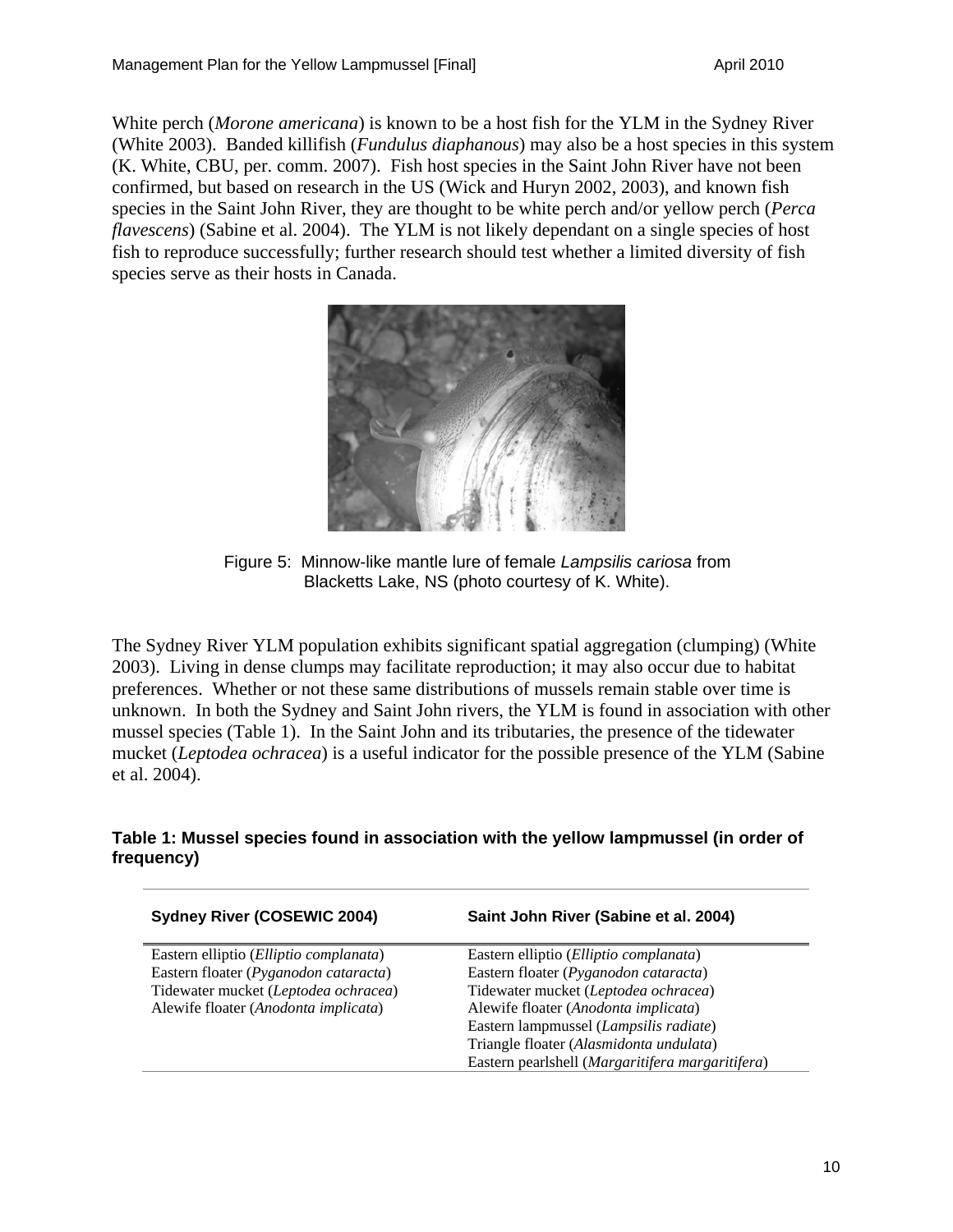White perch (*Morone americana*) is known to be a host fish for the YLM in the Sydney River (White 2003). Banded killifish (*Fundulus diaphanous*) may also be a host species in this system (K. White, CBU, per. comm. 2007). Fish host species in the Saint John River have not been confirmed, but based on research in the US (Wick and Huryn 2002, 2003), and known fish species in the Saint John River, they are thought to be white perch and/or yellow perch (*Perca flavescens*) (Sabine et al. 2004). The YLM is not likely dependant on a single species of host fish to reproduce successfully; further research should test whether a limited diversity of fish species serve as their hosts in Canada.



Figure 5: Minnow-like mantle lure of female *Lampsilis cariosa* from Blacketts Lake, NS (photo courtesy of K. White).

The Sydney River YLM population exhibits significant spatial aggregation (clumping) (White 2003). Living in dense clumps may facilitate reproduction; it may also occur due to habitat preferences. Whether or not these same distributions of mussels remain stable over time is unknown. In both the Sydney and Saint John rivers, the YLM is found in association with other mussel species (Table 1). In the Saint John and its tributaries, the presence of the tidewater mucket (*Leptodea ochracea*) is a useful indicator for the possible presence of the YLM (Sabine et al. 2004).

#### **Table 1: Mussel species found in association with the yellow lampmussel (in order of frequency)**

| <b>Sydney River (COSEWIC 2004)</b>     | Saint John River (Sabine et al. 2004)            |
|----------------------------------------|--------------------------------------------------|
| Eastern elliptio (Elliptio complanata) | Eastern elliptio (Elliptio complanata)           |
| Eastern floater (Pyganodon cataracta)  | Eastern floater (Pyganodon cataracta)            |
| Tidewater mucket (Leptodea ochracea)   | Tidewater mucket (Leptodea ochracea)             |
| Alewife floater (Anodonta implicata)   | Alewife floater (Anodonta implicata)             |
|                                        | Eastern lampmussel (Lampsilis radiate)           |
|                                        | Triangle floater (Alasmidonta undulata)          |
|                                        | Eastern pearlshell (Margaritifera margaritifera) |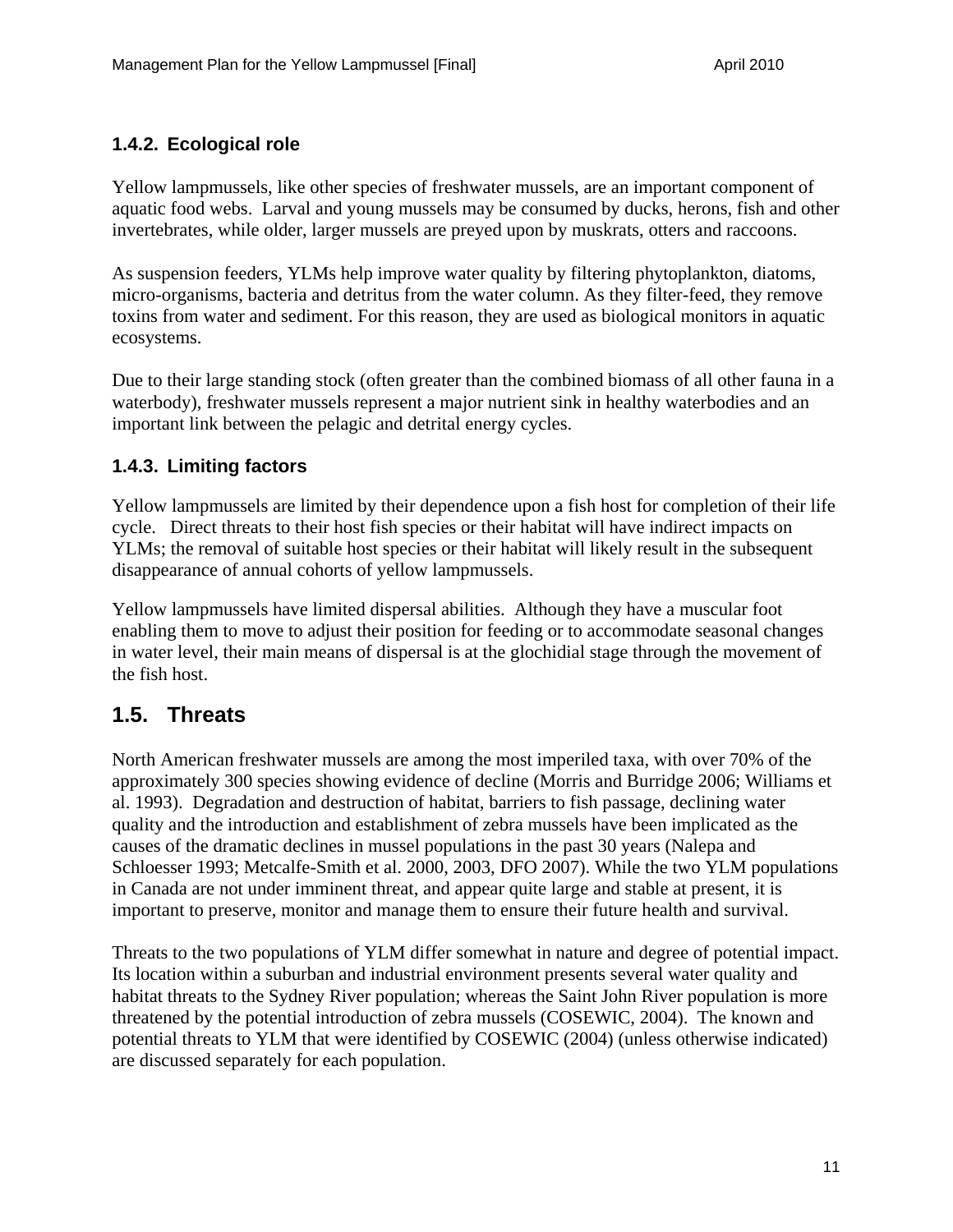#### **1.4.2. Ecological role**

Yellow lampmussels, like other species of freshwater mussels, are an important component of aquatic food webs. Larval and young mussels may be consumed by ducks, herons, fish and other invertebrates, while older, larger mussels are preyed upon by muskrats, otters and raccoons.

As suspension feeders, YLMs help improve water quality by filtering phytoplankton, diatoms, micro-organisms, bacteria and detritus from the water column. As they filter-feed, they remove toxins from water and sediment. For this reason, they are used as biological monitors in aquatic ecosystems.

Due to their large standing stock (often greater than the combined biomass of all other fauna in a waterbody), freshwater mussels represent a major nutrient sink in healthy waterbodies and an important link between the pelagic and detrital energy cycles.

#### **1.4.3. Limiting factors**

Yellow lampmussels are limited by their dependence upon a fish host for completion of their life cycle. Direct threats to their host fish species or their habitat will have indirect impacts on YLMs; the removal of suitable host species or their habitat will likely result in the subsequent disappearance of annual cohorts of yellow lampmussels.

Yellow lampmussels have limited dispersal abilities. Although they have a muscular foot enabling them to move to adjust their position for feeding or to accommodate seasonal changes in water level, their main means of dispersal is at the glochidial stage through the movement of the fish host.

### **1.5. Threats**

North American freshwater mussels are among the most imperiled taxa, with over 70% of the approximately 300 species showing evidence of decline (Morris and Burridge 2006; Williams et al. 1993). Degradation and destruction of habitat, barriers to fish passage, declining water quality and the introduction and establishment of zebra mussels have been implicated as the causes of the dramatic declines in mussel populations in the past 30 years (Nalepa and Schloesser 1993; Metcalfe-Smith et al. 2000, 2003, DFO 2007). While the two YLM populations in Canada are not under imminent threat, and appear quite large and stable at present, it is important to preserve, monitor and manage them to ensure their future health and survival.

Threats to the two populations of YLM differ somewhat in nature and degree of potential impact. Its location within a suburban and industrial environment presents several water quality and habitat threats to the Sydney River population; whereas the Saint John River population is more threatened by the potential introduction of zebra mussels (COSEWIC, 2004). The known and potential threats to YLM that were identified by COSEWIC (2004) (unless otherwise indicated) are discussed separately for each population.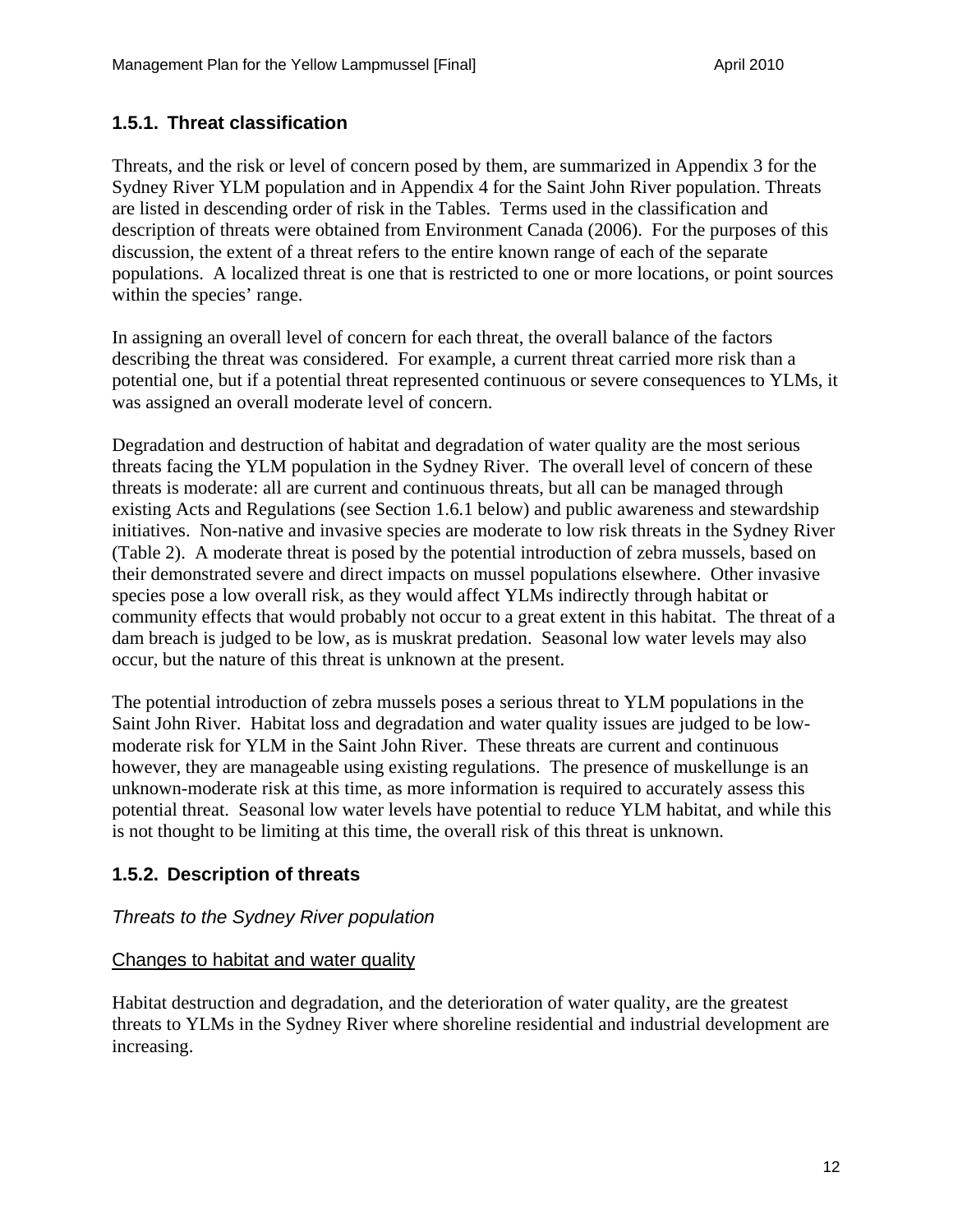#### **1.5.1. Threat classification**

Threats, and the risk or level of concern posed by them, are summarized in Appendix 3 for the Sydney River YLM population and in Appendix 4 for the Saint John River population. Threats are listed in descending order of risk in the Tables. Terms used in the classification and description of threats were obtained from Environment Canada (2006). For the purposes of this discussion, the extent of a threat refers to the entire known range of each of the separate populations. A localized threat is one that is restricted to one or more locations, or point sources within the species' range.

In assigning an overall level of concern for each threat, the overall balance of the factors describing the threat was considered. For example, a current threat carried more risk than a potential one, but if a potential threat represented continuous or severe consequences to YLMs, it was assigned an overall moderate level of concern.

Degradation and destruction of habitat and degradation of water quality are the most serious threats facing the YLM population in the Sydney River. The overall level of concern of these threats is moderate: all are current and continuous threats, but all can be managed through existing Acts and Regulations (see Section 1.6.1 below) and public awareness and stewardship initiatives. Non-native and invasive species are moderate to low risk threats in the Sydney River (Table 2). A moderate threat is posed by the potential introduction of zebra mussels, based on their demonstrated severe and direct impacts on mussel populations elsewhere. Other invasive species pose a low overall risk, as they would affect YLMs indirectly through habitat or community effects that would probably not occur to a great extent in this habitat. The threat of a dam breach is judged to be low, as is muskrat predation. Seasonal low water levels may also occur, but the nature of this threat is unknown at the present.

The potential introduction of zebra mussels poses a serious threat to YLM populations in the Saint John River. Habitat loss and degradation and water quality issues are judged to be lowmoderate risk for YLM in the Saint John River. These threats are current and continuous however, they are manageable using existing regulations. The presence of muskellunge is an unknown-moderate risk at this time, as more information is required to accurately assess this potential threat. Seasonal low water levels have potential to reduce YLM habitat, and while this is not thought to be limiting at this time, the overall risk of this threat is unknown.

#### **1.5.2. Description of threats**

#### *Threats to the Sydney River population*

#### Changes to habitat and water quality

Habitat destruction and degradation, and the deterioration of water quality, are the greatest threats to YLMs in the Sydney River where shoreline residential and industrial development are increasing.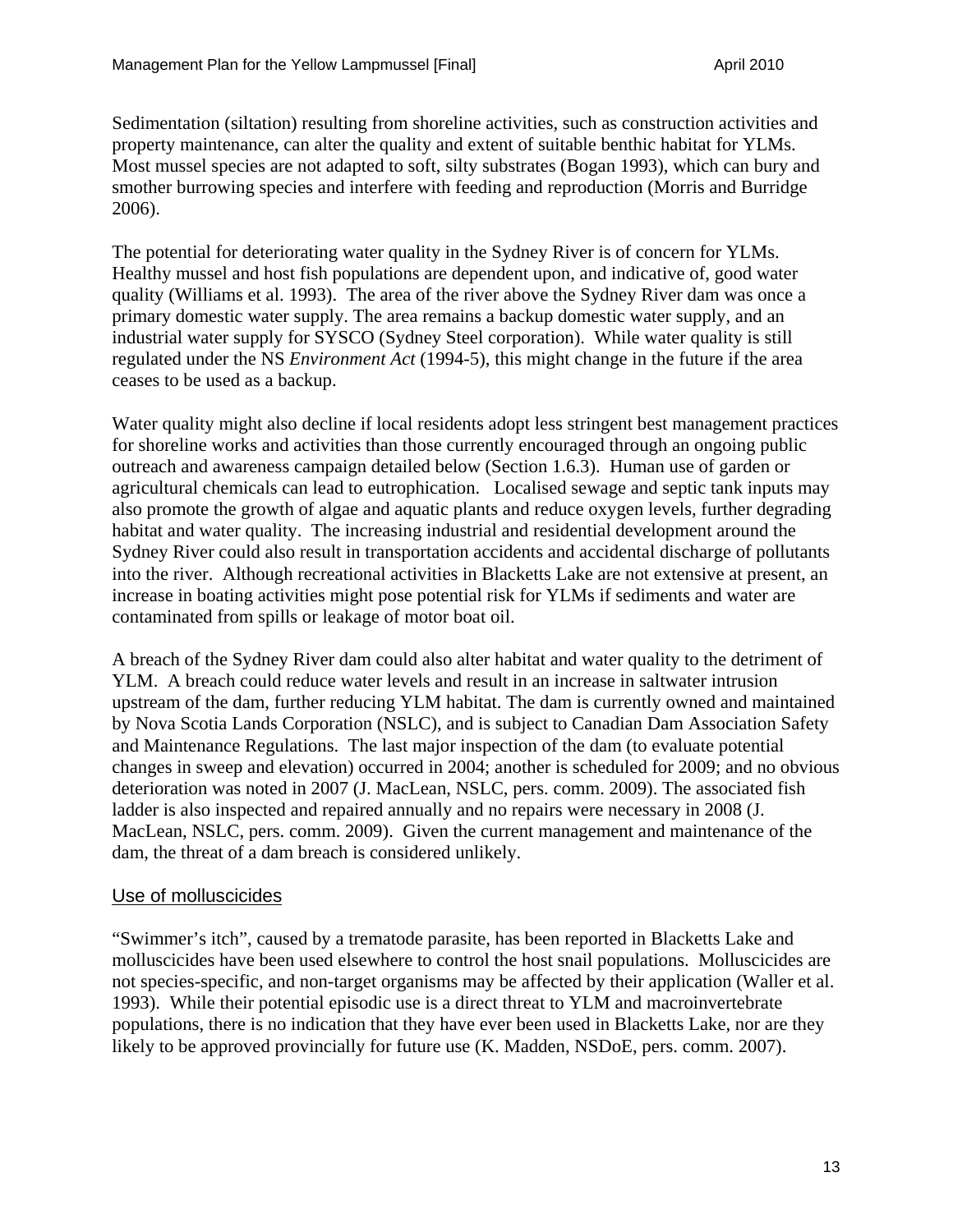Sedimentation (siltation) resulting from shoreline activities, such as construction activities and property maintenance, can alter the quality and extent of suitable benthic habitat for YLMs. Most mussel species are not adapted to soft, silty substrates (Bogan 1993), which can bury and smother burrowing species and interfere with feeding and reproduction (Morris and Burridge 2006).

The potential for deteriorating water quality in the Sydney River is of concern for YLMs. Healthy mussel and host fish populations are dependent upon, and indicative of, good water quality (Williams et al. 1993). The area of the river above the Sydney River dam was once a primary domestic water supply. The area remains a backup domestic water supply, and an industrial water supply for SYSCO (Sydney Steel corporation). While water quality is still regulated under the NS *Environment Act* (1994-5), this might change in the future if the area ceases to be used as a backup.

Water quality might also decline if local residents adopt less stringent best management practices for shoreline works and activities than those currently encouraged through an ongoing public outreach and awareness campaign detailed below (Section 1.6.3). Human use of garden or agricultural chemicals can lead to eutrophication. Localised sewage and septic tank inputs may also promote the growth of algae and aquatic plants and reduce oxygen levels, further degrading habitat and water quality. The increasing industrial and residential development around the Sydney River could also result in transportation accidents and accidental discharge of pollutants into the river. Although recreational activities in Blacketts Lake are not extensive at present, an increase in boating activities might pose potential risk for YLMs if sediments and water are contaminated from spills or leakage of motor boat oil.

A breach of the Sydney River dam could also alter habitat and water quality to the detriment of YLM. A breach could reduce water levels and result in an increase in saltwater intrusion upstream of the dam, further reducing YLM habitat. The dam is currently owned and maintained by Nova Scotia Lands Corporation (NSLC), and is subject to Canadian Dam Association Safety and Maintenance Regulations. The last major inspection of the dam (to evaluate potential changes in sweep and elevation) occurred in 2004; another is scheduled for 2009; and no obvious deterioration was noted in 2007 (J. MacLean, NSLC, pers. comm. 2009). The associated fish ladder is also inspected and repaired annually and no repairs were necessary in 2008 (J. MacLean, NSLC, pers. comm. 2009). Given the current management and maintenance of the dam, the threat of a dam breach is considered unlikely.

#### Use of molluscicides

"Swimmer's itch", caused by a trematode parasite, has been reported in Blacketts Lake and molluscicides have been used elsewhere to control the host snail populations. Molluscicides are not species-specific, and non-target organisms may be affected by their application (Waller et al. 1993). While their potential episodic use is a direct threat to YLM and macroinvertebrate populations, there is no indication that they have ever been used in Blacketts Lake, nor are they likely to be approved provincially for future use (K. Madden, NSDoE, pers. comm. 2007).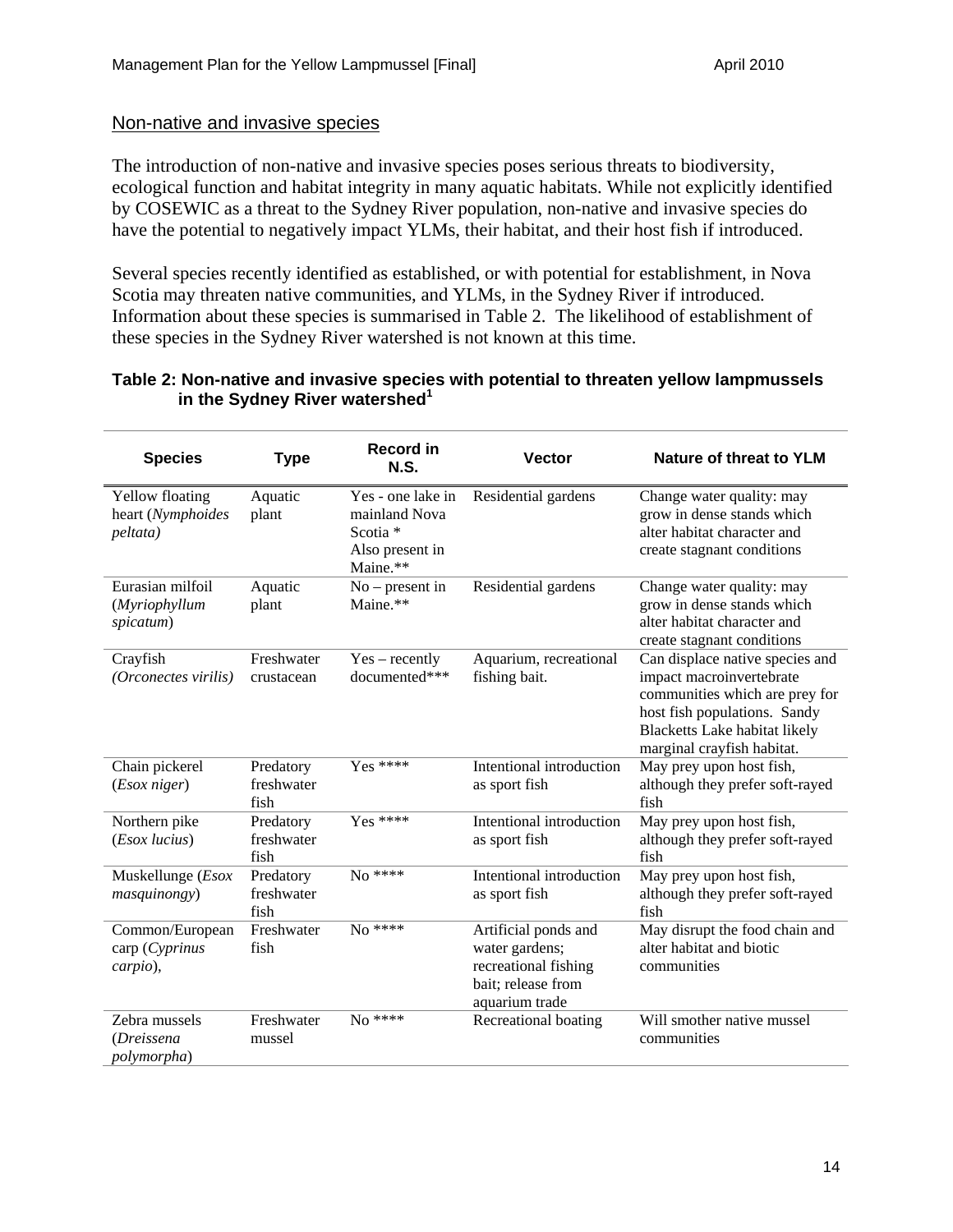#### Non-native and invasive species

The introduction of non-native and invasive species poses serious threats to biodiversity, ecological function and habitat integrity in many aquatic habitats. While not explicitly identified by COSEWIC as a threat to the Sydney River population, non-native and invasive species do have the potential to negatively impact YLMs, their habitat, and their host fish if introduced.

Several species recently identified as established, or with potential for establishment, in Nova Scotia may threaten native communities, and YLMs, in the Sydney River if introduced. Information about these species is summarised in Table 2. The likelihood of establishment of these species in the Sydney River watershed is not known at this time.

#### **Table 2: Non-native and invasive species with potential to threaten yellow lampmussels**  in the Sydney River watershed<sup>1</sup>

| <b>Species</b>                                          | <b>Type</b>                     | <b>Record in</b><br><b>N.S.</b>                                                          | <b>Vector</b>                                                                                          | Nature of threat to YLM                                                                                                                                                                      |
|---------------------------------------------------------|---------------------------------|------------------------------------------------------------------------------------------|--------------------------------------------------------------------------------------------------------|----------------------------------------------------------------------------------------------------------------------------------------------------------------------------------------------|
| <b>Yellow floating</b><br>heart (Nymphoides<br>peltata) | Aquatic<br>plant                | Yes - one lake in<br>mainland Nova<br>Scotia <sup>*</sup><br>Also present in<br>Maine.** | Residential gardens                                                                                    | Change water quality: may<br>grow in dense stands which<br>alter habitat character and<br>create stagnant conditions                                                                         |
| Eurasian milfoil<br>(Myriophyllum<br>spicatum)          | Aquatic<br>plant                | $No$ – present in<br>Maine.**                                                            | Residential gardens                                                                                    | Change water quality: may<br>grow in dense stands which<br>alter habitat character and<br>create stagnant conditions                                                                         |
| Crayfish<br>(Orconectes virilis)                        | Freshwater<br>crustacean        | $Yes - recently$<br>documented***                                                        | Aquarium, recreational<br>fishing bait.                                                                | Can displace native species and<br>impact macroinvertebrate<br>communities which are prey for<br>host fish populations. Sandy<br>Blacketts Lake habitat likely<br>marginal crayfish habitat. |
| Chain pickerel<br>(Esox niger)                          | Predatory<br>freshwater<br>fish | $Yes$ ****                                                                               | Intentional introduction<br>as sport fish                                                              | May prey upon host fish,<br>although they prefer soft-rayed<br>fish                                                                                                                          |
| Northern pike<br>(Esox lucius)                          | Predatory<br>freshwater<br>fish | Yes ****                                                                                 | Intentional introduction<br>as sport fish                                                              | May prey upon host fish,<br>although they prefer soft-rayed<br>fish                                                                                                                          |
| Muskellunge (Esox<br>masquinongy)                       | Predatory<br>freshwater<br>fish | No ****                                                                                  | Intentional introduction<br>as sport fish                                                              | May prey upon host fish,<br>although they prefer soft-rayed<br>fish                                                                                                                          |
| Common/European<br>$\text{cap}(Cyprinus)$<br>carpio),   | Freshwater<br>fish              | $No$ ****                                                                                | Artificial ponds and<br>water gardens;<br>recreational fishing<br>bait; release from<br>aquarium trade | May disrupt the food chain and<br>alter habitat and biotic<br>communities                                                                                                                    |
| Zebra mussels<br>(Dreissena<br>polymorpha)              | Freshwater<br>mussel            | $No * * * * *$                                                                           | Recreational boating                                                                                   | Will smother native mussel<br>communities                                                                                                                                                    |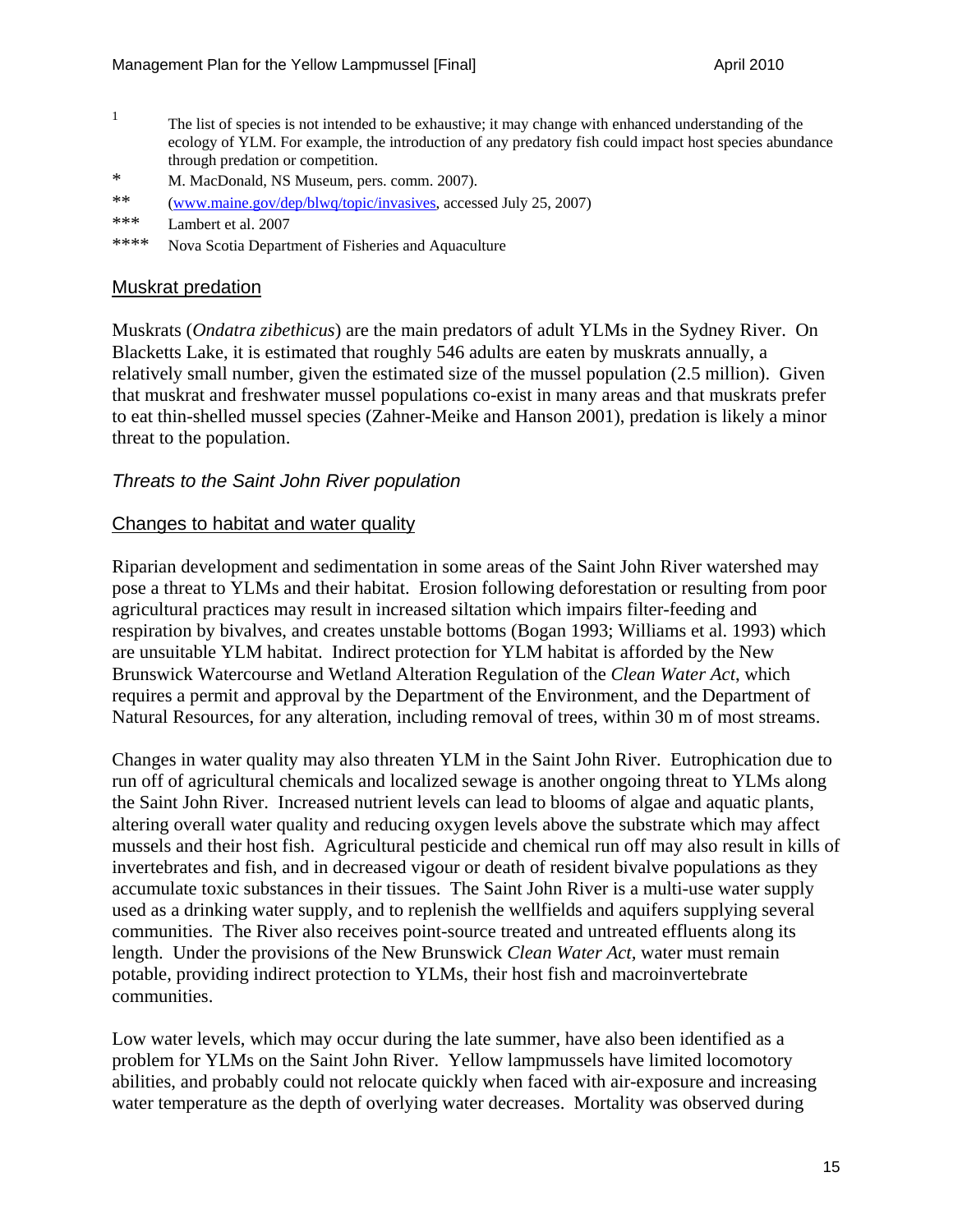- <sup>1</sup> The list of species is not intended to be exhaustive; it may change with enhanced understanding of the ecology of YLM. For example, the introduction of any predatory fish could impact host species abundance through predation or competition.
- \* M. MacDonald, NS Museum, pers. comm. 2007).
- \*\* (www.maine.gov/dep/blwq/topic/invasives, accessed July 25, 2007)
- \*\*\* Lambert et al. 2007
- \*\*\*\* Nova Scotia Department of Fisheries and Aquaculture

#### Muskrat predation

Muskrats (*Ondatra zibethicus*) are the main predators of adult YLMs in the Sydney River. On Blacketts Lake, it is estimated that roughly 546 adults are eaten by muskrats annually, a relatively small number, given the estimated size of the mussel population (2.5 million). Given that muskrat and freshwater mussel populations co-exist in many areas and that muskrats prefer to eat thin-shelled mussel species (Zahner-Meike and Hanson 2001), predation is likely a minor threat to the population.

#### *Threats to the Saint John River population*

#### Changes to habitat and water quality

Riparian development and sedimentation in some areas of the Saint John River watershed may pose a threat to YLMs and their habitat. Erosion following deforestation or resulting from poor agricultural practices may result in increased siltation which impairs filter-feeding and respiration by bivalves, and creates unstable bottoms (Bogan 1993; Williams et al. 1993) which are unsuitable YLM habitat. Indirect protection for YLM habitat is afforded by the New Brunswick Watercourse and Wetland Alteration Regulation of the *Clean Water Act*, which requires a permit and approval by the Department of the Environment, and the Department of Natural Resources, for any alteration, including removal of trees, within 30 m of most streams.

Changes in water quality may also threaten YLM in the Saint John River. Eutrophication due to run off of agricultural chemicals and localized sewage is another ongoing threat to YLMs along the Saint John River. Increased nutrient levels can lead to blooms of algae and aquatic plants, altering overall water quality and reducing oxygen levels above the substrate which may affect mussels and their host fish. Agricultural pesticide and chemical run off may also result in kills of invertebrates and fish, and in decreased vigour or death of resident bivalve populations as they accumulate toxic substances in their tissues. The Saint John River is a multi-use water supply used as a drinking water supply, and to replenish the wellfields and aquifers supplying several communities. The River also receives point-source treated and untreated effluents along its length. Under the provisions of the New Brunswick *Clean Water Act,* water must remain potable, providing indirect protection to YLMs, their host fish and macroinvertebrate communities.

Low water levels, which may occur during the late summer, have also been identified as a problem for YLMs on the Saint John River. Yellow lampmussels have limited locomotory abilities, and probably could not relocate quickly when faced with air-exposure and increasing water temperature as the depth of overlying water decreases. Mortality was observed during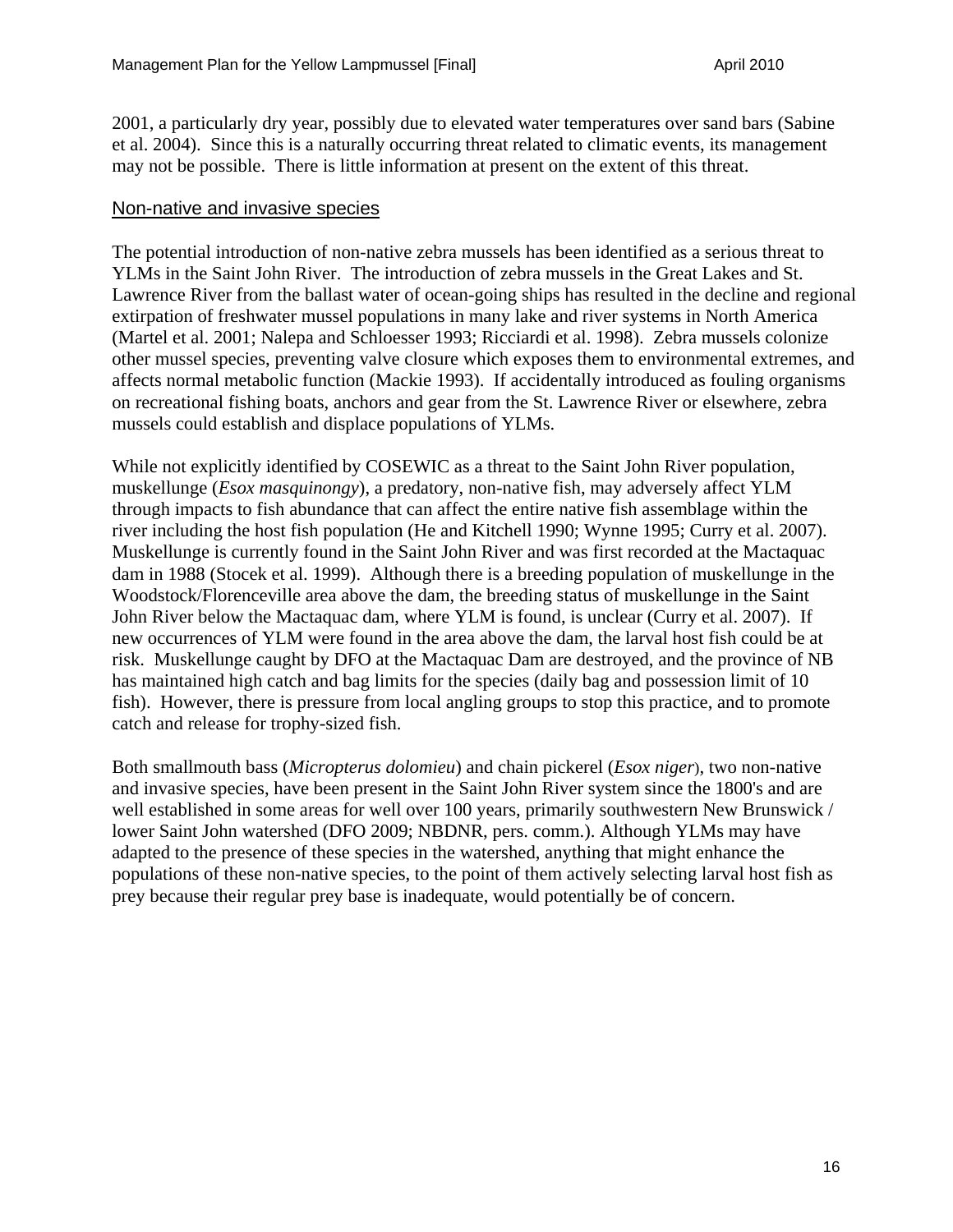2001, a particularly dry year, possibly due to elevated water temperatures over sand bars (Sabine et al. 2004). Since this is a naturally occurring threat related to climatic events, its management may not be possible. There is little information at present on the extent of this threat.

#### Non-native and invasive species

The potential introduction of non-native zebra mussels has been identified as a serious threat to YLMs in the Saint John River. The introduction of zebra mussels in the Great Lakes and St. Lawrence River from the ballast water of ocean-going ships has resulted in the decline and regional extirpation of freshwater mussel populations in many lake and river systems in North America (Martel et al. 2001; Nalepa and Schloesser 1993; Ricciardi et al. 1998). Zebra mussels colonize other mussel species, preventing valve closure which exposes them to environmental extremes, and affects normal metabolic function (Mackie 1993). If accidentally introduced as fouling organisms on recreational fishing boats, anchors and gear from the St. Lawrence River or elsewhere, zebra mussels could establish and displace populations of YLMs.

While not explicitly identified by COSEWIC as a threat to the Saint John River population, muskellunge (*Esox masquinongy*), a predatory, non-native fish, may adversely affect YLM through impacts to fish abundance that can affect the entire native fish assemblage within the river including the host fish population (He and Kitchell 1990; Wynne 1995; Curry et al. 2007). Muskellunge is currently found in the Saint John River and was first recorded at the Mactaquac dam in 1988 (Stocek et al. 1999). Although there is a breeding population of muskellunge in the Woodstock/Florenceville area above the dam, the breeding status of muskellunge in the Saint John River below the Mactaquac dam, where YLM is found, is unclear (Curry et al. 2007). If new occurrences of YLM were found in the area above the dam, the larval host fish could be at risk. Muskellunge caught by DFO at the Mactaquac Dam are destroyed, and the province of NB has maintained high catch and bag limits for the species (daily bag and possession limit of 10 fish). However, there is pressure from local angling groups to stop this practice, and to promote catch and release for trophy-sized fish.

Both smallmouth bass (*Micropterus dolomieu*) and chain pickerel (*Esox niger*), two non-native and invasive species, have been present in the Saint John River system since the 1800's and are well established in some areas for well over 100 years, primarily southwestern New Brunswick / lower Saint John watershed (DFO 2009; NBDNR, pers. comm.). Although YLMs may have adapted to the presence of these species in the watershed, anything that might enhance the populations of these non-native species, to the point of them actively selecting larval host fish as prey because their regular prey base is inadequate, would potentially be of concern.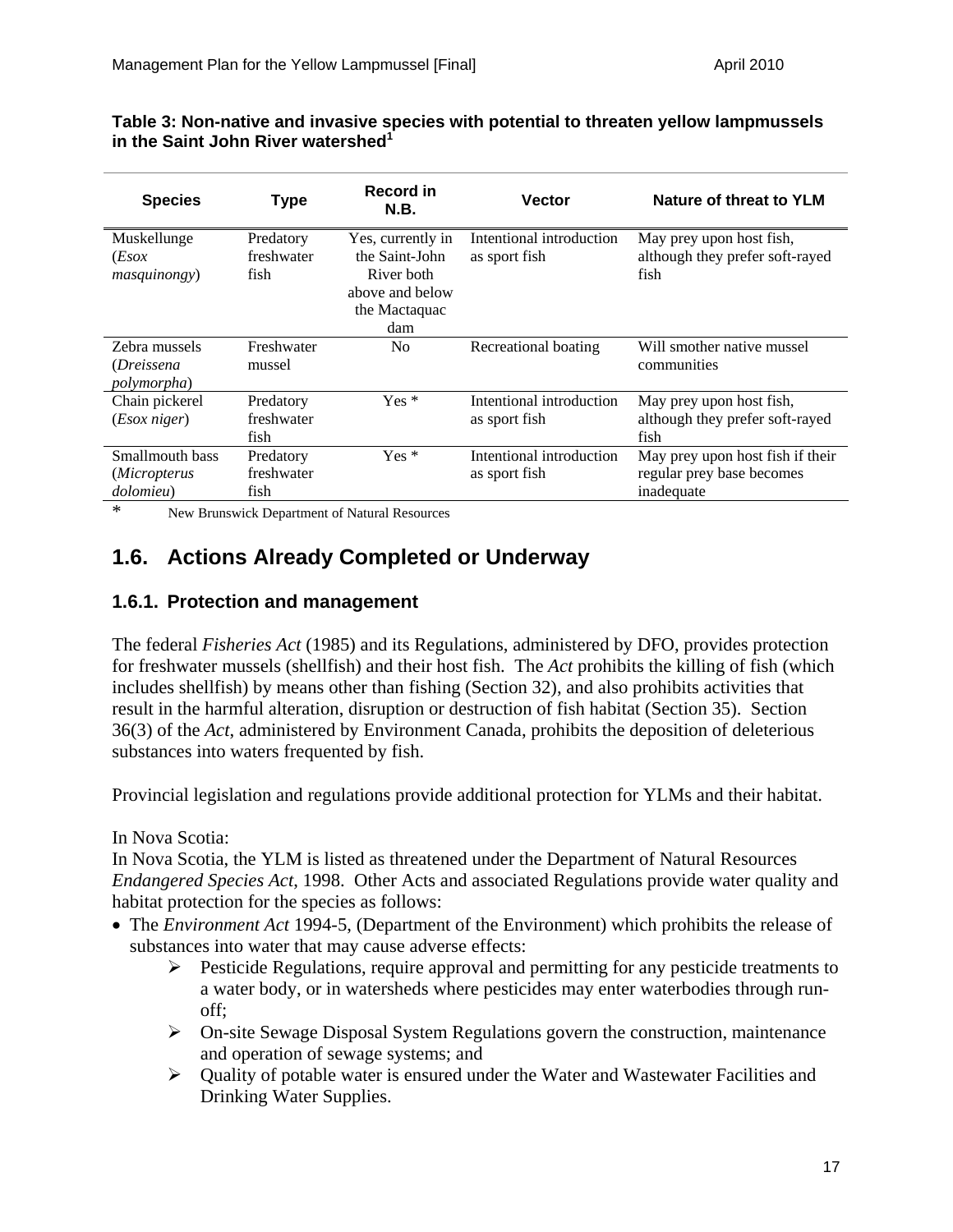| <b>Species</b>                                     | <b>Type</b>                     | Record in<br><b>N.B.</b>                                                                     | <b>Vector</b>                             | Nature of threat to YLM                                                     |
|----------------------------------------------------|---------------------------------|----------------------------------------------------------------------------------------------|-------------------------------------------|-----------------------------------------------------------------------------|
| Muskellunge<br>(Esox)<br><i>masquinongy</i> )      | Predatory<br>freshwater<br>fish | Yes, currently in<br>the Saint-John<br>River both<br>above and below<br>the Mactaquac<br>dam | Intentional introduction<br>as sport fish | May prey upon host fish,<br>although they prefer soft-rayed<br>fish         |
| Zebra mussels<br>(Dreissena<br><i>polymorpha</i> ) | Freshwater<br>mussel            | N <sub>0</sub>                                                                               | Recreational boating                      | Will smother native mussel<br>communities                                   |
| Chain pickerel<br>$(Esox\ niger)$                  | Predatory<br>freshwater<br>fish | $Yes*$                                                                                       | Intentional introduction<br>as sport fish | May prey upon host fish,<br>although they prefer soft-rayed<br>fish         |
| Smallmouth bass<br>(Micropterus<br>dolomieu)       | Predatory<br>freshwater<br>fish | $Yes*$                                                                                       | Intentional introduction<br>as sport fish | May prey upon host fish if their<br>regular prey base becomes<br>inadequate |

#### **Table 3: Non-native and invasive species with potential to threaten yellow lampmussels**  in the Saint John River watershed<sup>1</sup>

\* New Brunswick Department of Natural Resources

### **1.6. Actions Already Completed or Underway**

#### **1.6.1. Protection and management**

The federal *Fisheries Act* (1985) and its Regulations, administered by DFO, provides protection for freshwater mussels (shellfish) and their host fish. The *Act* prohibits the killing of fish (which includes shellfish) by means other than fishing (Section 32), and also prohibits activities that result in the harmful alteration, disruption or destruction of fish habitat (Section 35). Section 36(3) of the *Act*, administered by Environment Canada, prohibits the deposition of deleterious substances into waters frequented by fish.

Provincial legislation and regulations provide additional protection for YLMs and their habitat.

In Nova Scotia:

In Nova Scotia, the YLM is listed as threatened under the Department of Natural Resources *Endangered Species Act*, 1998. Other Acts and associated Regulations provide water quality and habitat protection for the species as follows:

- The *Environment Act* 1994-5, (Department of the Environment) which prohibits the release of substances into water that may cause adverse effects:
	- ¾ Pesticide Regulations, require approval and permitting for any pesticide treatments to a water body, or in watersheds where pesticides may enter waterbodies through runoff;
	- ¾ On-site Sewage Disposal System Regulations govern the construction, maintenance and operation of sewage systems; and
	- ¾ Quality of potable water is ensured under the Water and Wastewater Facilities and Drinking Water Supplies.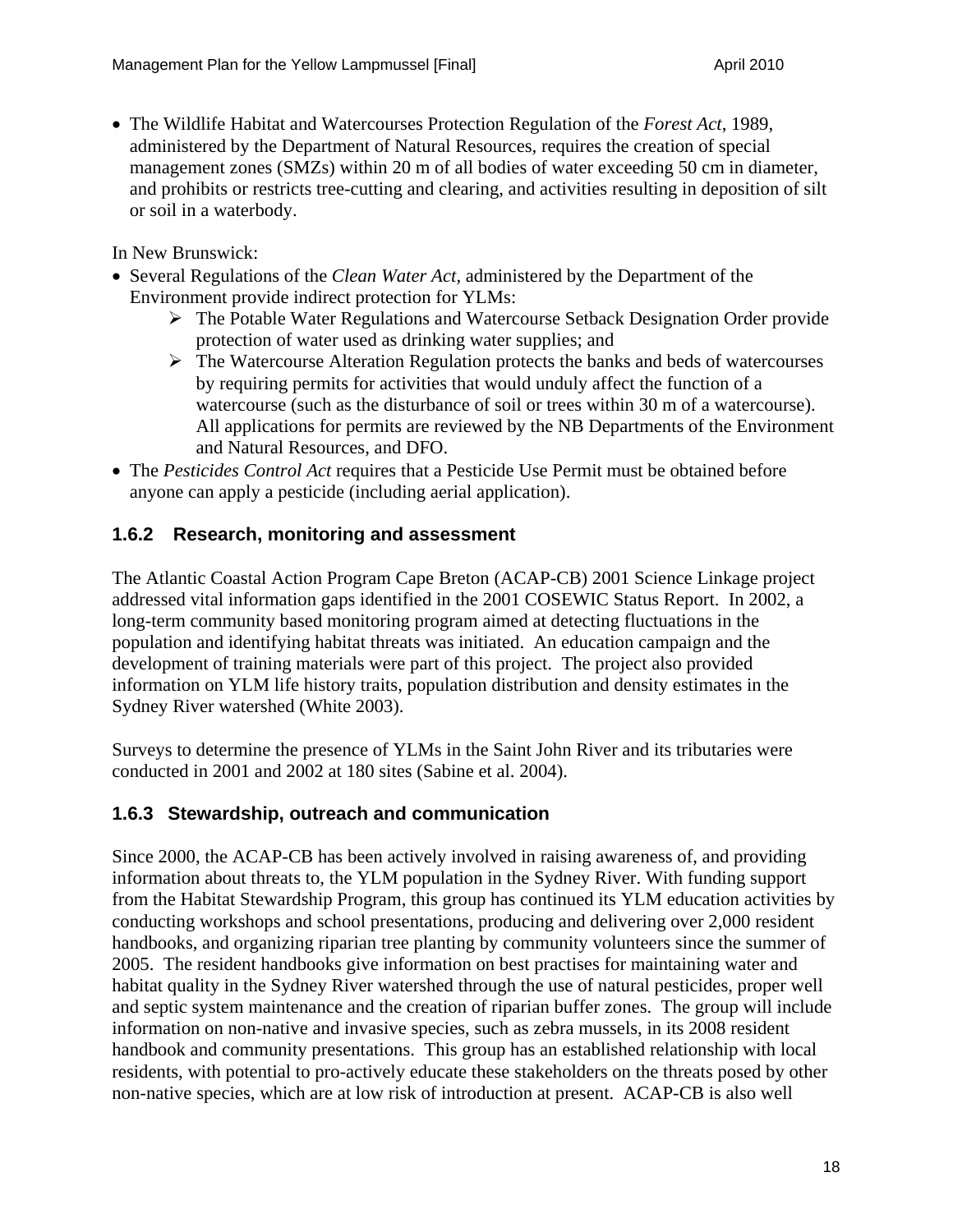• The Wildlife Habitat and Watercourses Protection Regulation of the *Forest Act*, 1989, administered by the Department of Natural Resources, requires the creation of special management zones (SMZs) within 20 m of all bodies of water exceeding 50 cm in diameter, and prohibits or restricts tree-cutting and clearing, and activities resulting in deposition of silt or soil in a waterbody.

In New Brunswick:

- Several Regulations of the *Clean Water Act,* administered by the Department of the Environment provide indirect protection for YLMs:
	- ¾ The Potable Water Regulations and Watercourse Setback Designation Order provide protection of water used as drinking water supplies; and
	- $\triangleright$  The Watercourse Alteration Regulation protects the banks and beds of watercourses by requiring permits for activities that would unduly affect the function of a watercourse (such as the disturbance of soil or trees within 30 m of a watercourse). All applications for permits are reviewed by the NB Departments of the Environment and Natural Resources, and DFO.
- The *Pesticides Control Act* requires that a Pesticide Use Permit must be obtained before anyone can apply a pesticide (including aerial application).

#### **1.6.2 Research, monitoring and assessment**

The Atlantic Coastal Action Program Cape Breton (ACAP-CB) 2001 Science Linkage project addressed vital information gaps identified in the 2001 COSEWIC Status Report. In 2002, a long-term community based monitoring program aimed at detecting fluctuations in the population and identifying habitat threats was initiated. An education campaign and the development of training materials were part of this project. The project also provided information on YLM life history traits, population distribution and density estimates in the Sydney River watershed (White 2003).

Surveys to determine the presence of YLMs in the Saint John River and its tributaries were conducted in 2001 and 2002 at 180 sites (Sabine et al. 2004).

#### **1.6.3 Stewardship, outreach and communication**

Since 2000, the ACAP-CB has been actively involved in raising awareness of, and providing information about threats to, the YLM population in the Sydney River. With funding support from the Habitat Stewardship Program, this group has continued its YLM education activities by conducting workshops and school presentations, producing and delivering over 2,000 resident handbooks, and organizing riparian tree planting by community volunteers since the summer of 2005. The resident handbooks give information on best practises for maintaining water and habitat quality in the Sydney River watershed through the use of natural pesticides, proper well and septic system maintenance and the creation of riparian buffer zones. The group will include information on non-native and invasive species, such as zebra mussels, in its 2008 resident handbook and community presentations. This group has an established relationship with local residents, with potential to pro-actively educate these stakeholders on the threats posed by other non-native species, which are at low risk of introduction at present. ACAP-CB is also well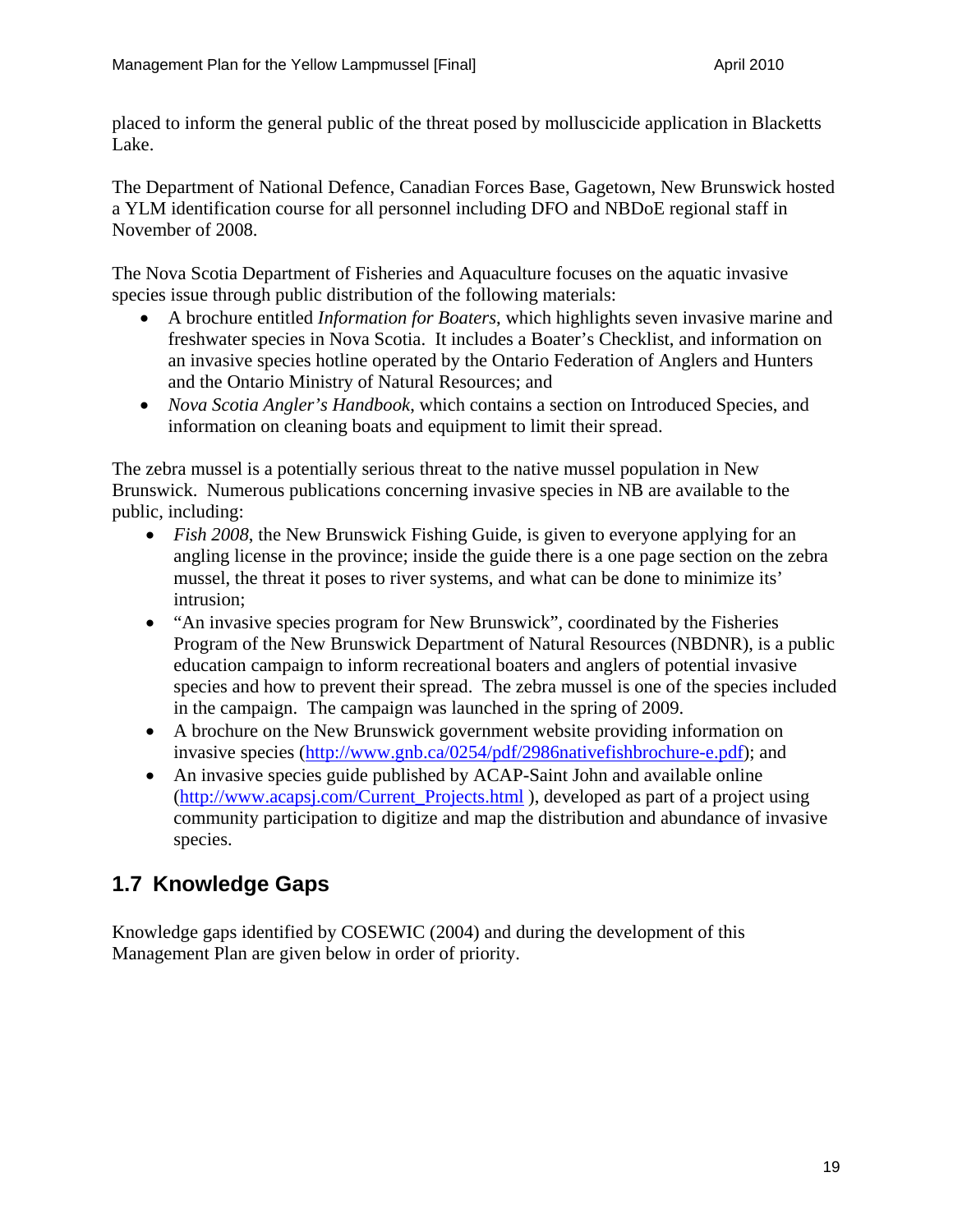placed to inform the general public of the threat posed by molluscicide application in Blacketts Lake.

The Department of National Defence, Canadian Forces Base, Gagetown, New Brunswick hosted a YLM identification course for all personnel including DFO and NBDoE regional staff in November of 2008.

The Nova Scotia Department of Fisheries and Aquaculture focuses on the aquatic invasive species issue through public distribution of the following materials:

- A brochure entitled *Information for Boaters*, which highlights seven invasive marine and freshwater species in Nova Scotia. It includes a Boater's Checklist, and information on an invasive species hotline operated by the Ontario Federation of Anglers and Hunters and the Ontario Ministry of Natural Resources; and
- *Nova Scotia Angler's Handbook*, which contains a section on Introduced Species, and information on cleaning boats and equipment to limit their spread.

The zebra mussel is a potentially serious threat to the native mussel population in New Brunswick. Numerous publications concerning invasive species in NB are available to the public, including:

- *Fish 2008*, the New Brunswick Fishing Guide, is given to everyone applying for an angling license in the province; inside the guide there is a one page section on the zebra mussel, the threat it poses to river systems, and what can be done to minimize its' intrusion;
- "An invasive species program for New Brunswick", coordinated by the Fisheries Program of the New Brunswick Department of Natural Resources (NBDNR), is a public education campaign to inform recreational boaters and anglers of potential invasive species and how to prevent their spread. The zebra mussel is one of the species included in the campaign. The campaign was launched in the spring of 2009.
- A brochure on the New Brunswick government website providing information on invasive species (http://www.gnb.ca/0254/pdf/2986nativefishbrochure-e.pdf); and
- An invasive species guide published by ACAP-Saint John and available online (http://www.acapsj.com/Current\_Projects.html ), developed as part of a project using community participation to digitize and map the distribution and abundance of invasive species.

### **1.7 Knowledge Gaps**

Knowledge gaps identified by COSEWIC (2004) and during the development of this Management Plan are given below in order of priority.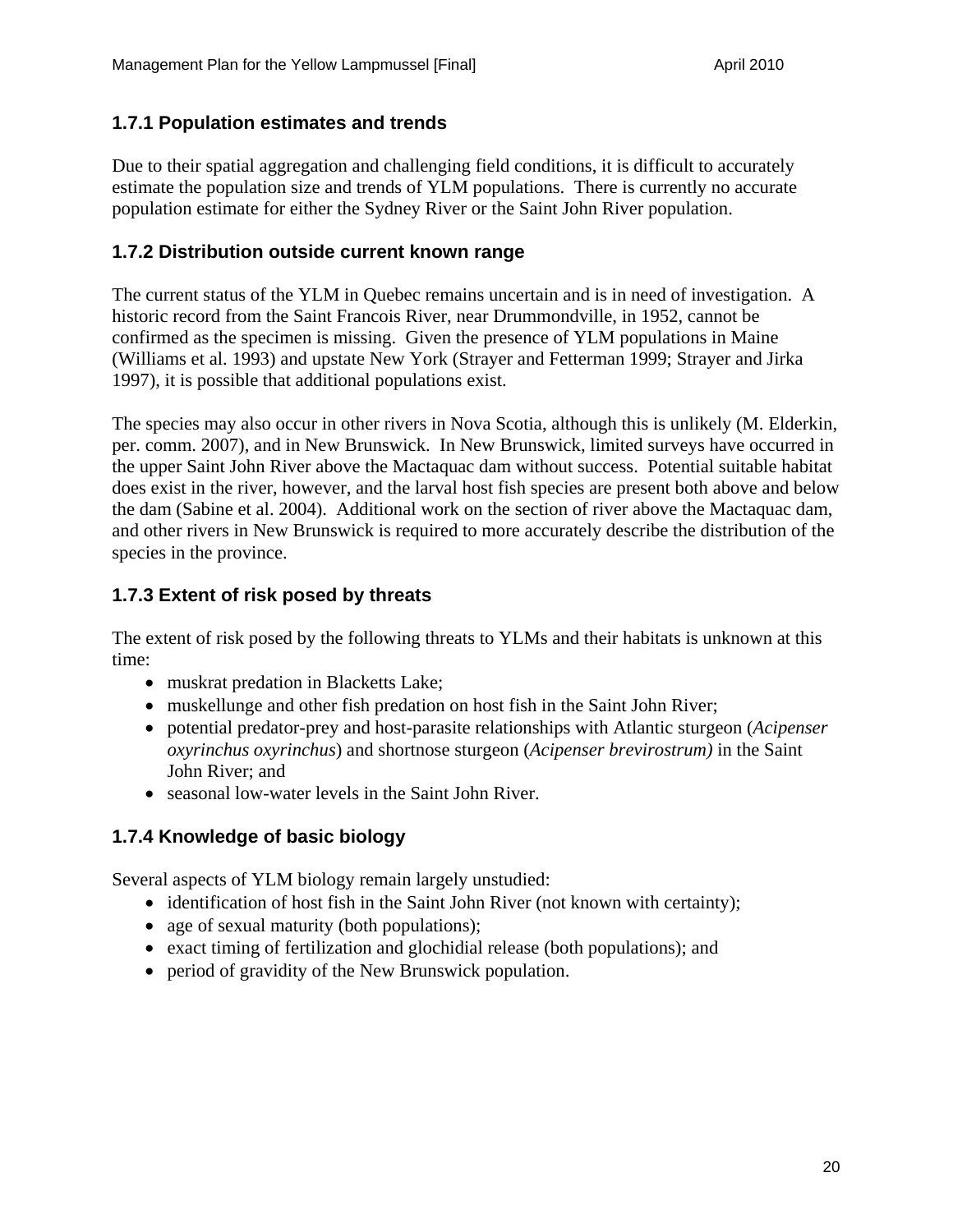#### **1.7.1 Population estimates and trends**

Due to their spatial aggregation and challenging field conditions, it is difficult to accurately estimate the population size and trends of YLM populations. There is currently no accurate population estimate for either the Sydney River or the Saint John River population.

#### **1.7.2 Distribution outside current known range**

The current status of the YLM in Quebec remains uncertain and is in need of investigation. A historic record from the Saint Francois River, near Drummondville, in 1952, cannot be confirmed as the specimen is missing. Given the presence of YLM populations in Maine (Williams et al. 1993) and upstate New York (Strayer and Fetterman 1999; Strayer and Jirka 1997), it is possible that additional populations exist.

The species may also occur in other rivers in Nova Scotia, although this is unlikely (M. Elderkin, per. comm. 2007), and in New Brunswick. In New Brunswick, limited surveys have occurred in the upper Saint John River above the Mactaquac dam without success. Potential suitable habitat does exist in the river, however, and the larval host fish species are present both above and below the dam (Sabine et al. 2004). Additional work on the section of river above the Mactaquac dam, and other rivers in New Brunswick is required to more accurately describe the distribution of the species in the province.

#### **1.7.3 Extent of risk posed by threats**

The extent of risk posed by the following threats to YLMs and their habitats is unknown at this time:

- muskrat predation in Blacketts Lake;
- muskellunge and other fish predation on host fish in the Saint John River;
- potential predator-prey and host-parasite relationships with Atlantic sturgeon (*Acipenser oxyrinchus oxyrinchus*) and shortnose sturgeon (*Acipenser brevirostrum)* in the Saint John River; and
- seasonal low-water levels in the Saint John River.

#### **1.7.4 Knowledge of basic biology**

Several aspects of YLM biology remain largely unstudied:

- identification of host fish in the Saint John River (not known with certainty);
- age of sexual maturity (both populations);
- exact timing of fertilization and glochidial release (both populations); and
- period of gravidity of the New Brunswick population.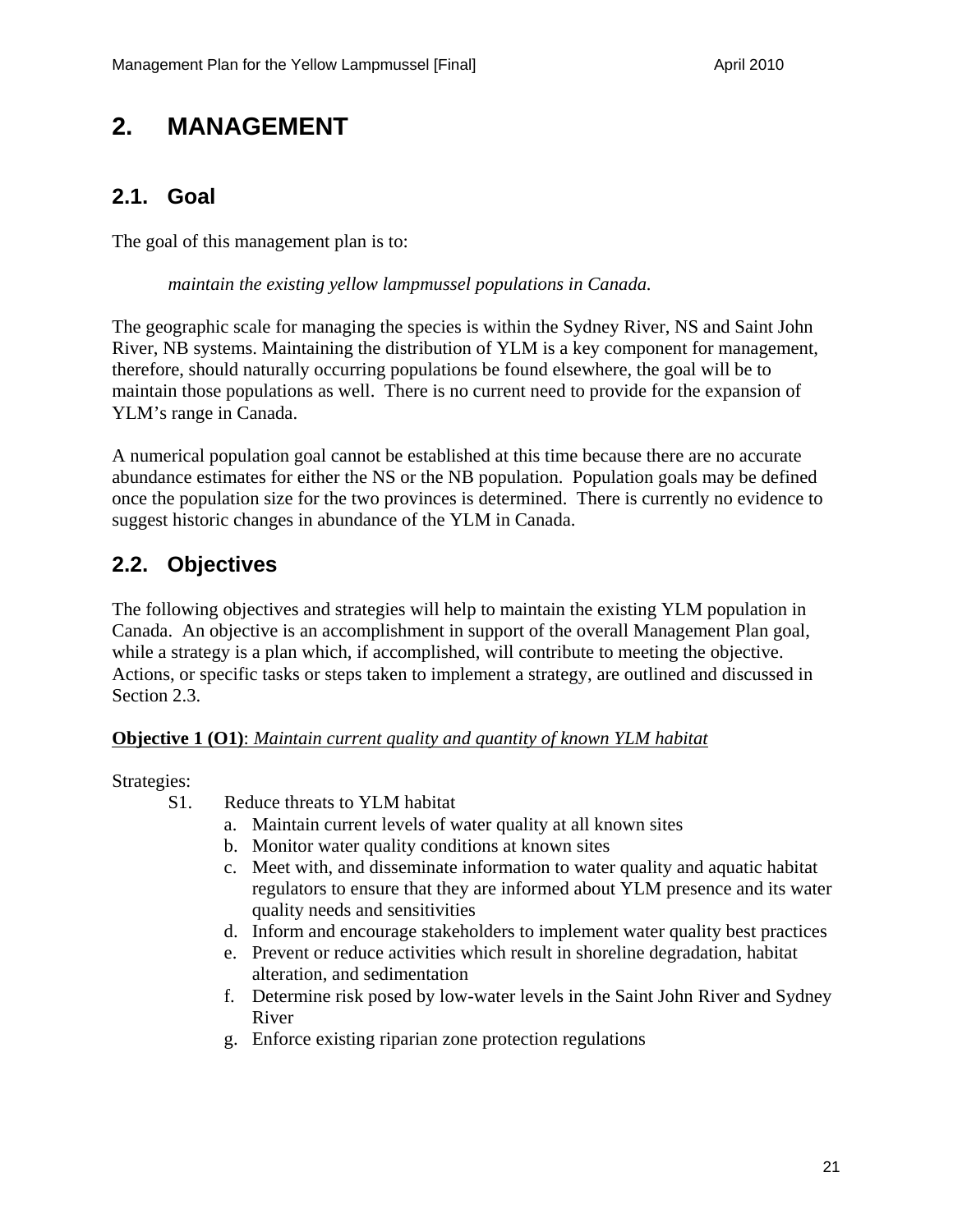### **2. MANAGEMENT**

### **2.1. Goal**

The goal of this management plan is to:

*maintain the existing yellow lampmussel populations in Canada.* 

The geographic scale for managing the species is within the Sydney River, NS and Saint John River, NB systems. Maintaining the distribution of YLM is a key component for management, therefore, should naturally occurring populations be found elsewhere, the goal will be to maintain those populations as well. There is no current need to provide for the expansion of YLM's range in Canada.

A numerical population goal cannot be established at this time because there are no accurate abundance estimates for either the NS or the NB population. Population goals may be defined once the population size for the two provinces is determined. There is currently no evidence to suggest historic changes in abundance of the YLM in Canada.

### **2.2. Objectives**

The following objectives and strategies will help to maintain the existing YLM population in Canada. An objective is an accomplishment in support of the overall Management Plan goal, while a strategy is a plan which, if accomplished, will contribute to meeting the objective. Actions, or specific tasks or steps taken to implement a strategy, are outlined and discussed in Section 2.3.

#### **Objective 1 (O1)**: *Maintain current quality and quantity of known YLM habitat*

Strategies:

- S1. Reduce threats to YLM habitat
	- a. Maintain current levels of water quality at all known sites
	- b. Monitor water quality conditions at known sites
	- c. Meet with, and disseminate information to water quality and aquatic habitat regulators to ensure that they are informed about YLM presence and its water quality needs and sensitivities
	- d. Inform and encourage stakeholders to implement water quality best practices
	- e. Prevent or reduce activities which result in shoreline degradation, habitat alteration, and sedimentation
	- f. Determine risk posed by low-water levels in the Saint John River and Sydney River
	- g. Enforce existing riparian zone protection regulations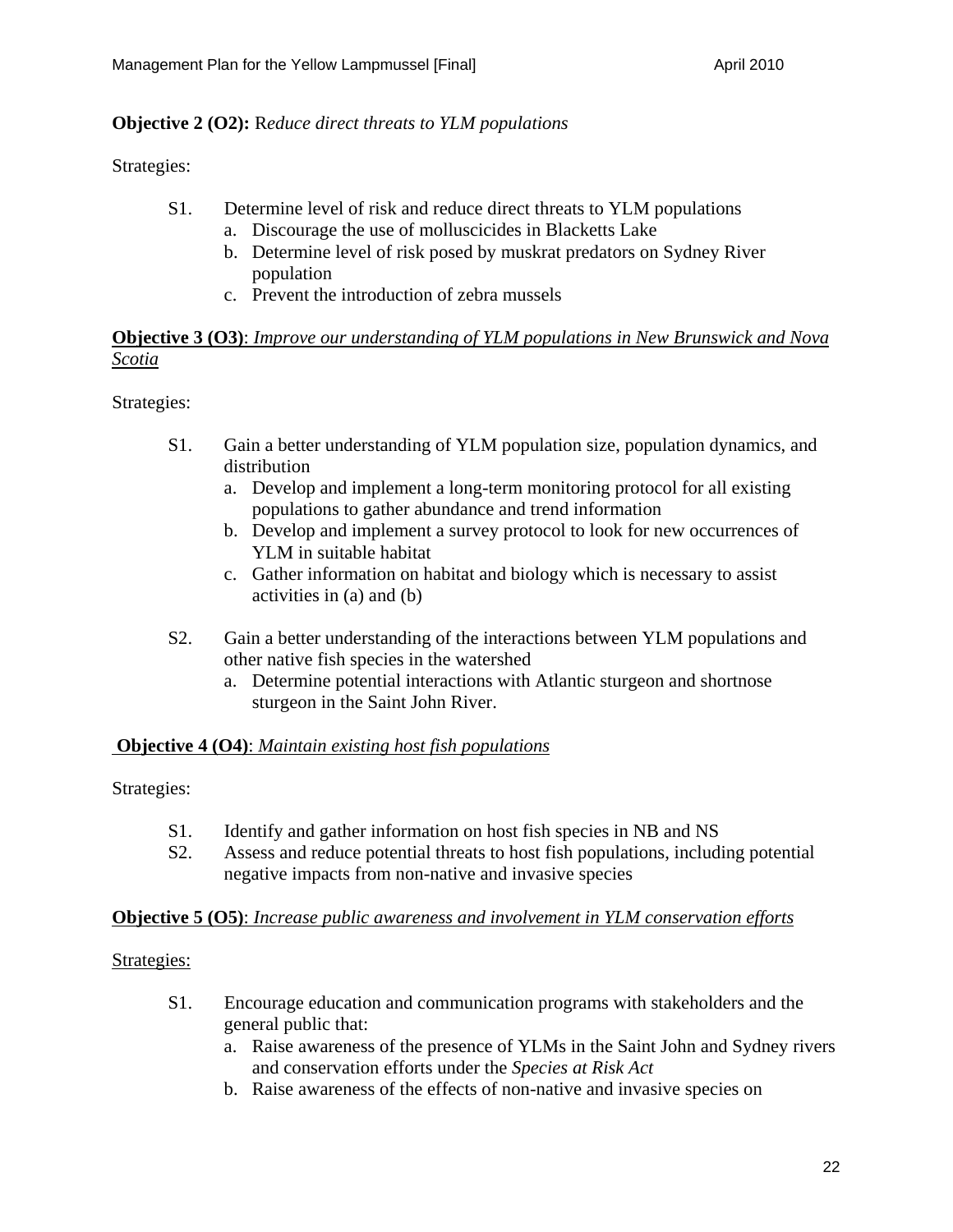#### **Objective 2 (O2):** R*educe direct threats to YLM populations*

Strategies:

- S1. Determine level of risk and reduce direct threats to YLM populations
	- a. Discourage the use of molluscicides in Blacketts Lake
	- b. Determine level of risk posed by muskrat predators on Sydney River population
	- c. Prevent the introduction of zebra mussels

#### **Objective 3 (O3)**: *Improve our understanding of YLM populations in New Brunswick and Nova Scotia*

#### Strategies:

- S1. Gain a better understanding of YLM population size, population dynamics, and distribution
	- a. Develop and implement a long-term monitoring protocol for all existing populations to gather abundance and trend information
	- b. Develop and implement a survey protocol to look for new occurrences of YLM in suitable habitat
	- c. Gather information on habitat and biology which is necessary to assist activities in (a) and (b)
- S2. Gain a better understanding of the interactions between YLM populations and other native fish species in the watershed
	- a. Determine potential interactions with Atlantic sturgeon and shortnose sturgeon in the Saint John River.

#### **Objective 4 (O4)**: *Maintain existing host fish populations*

#### Strategies:

- S1. Identify and gather information on host fish species in NB and NS
- S2. Assess and reduce potential threats to host fish populations, including potential negative impacts from non-native and invasive species

#### **Objective 5 (O5)**: *Increase public awareness and involvement in YLM conservation efforts*

#### Strategies:

- S1. Encourage education and communication programs with stakeholders and the general public that:
	- a. Raise awareness of the presence of YLMs in the Saint John and Sydney rivers and conservation efforts under the *Species at Risk Act*
	- b. Raise awareness of the effects of non-native and invasive species on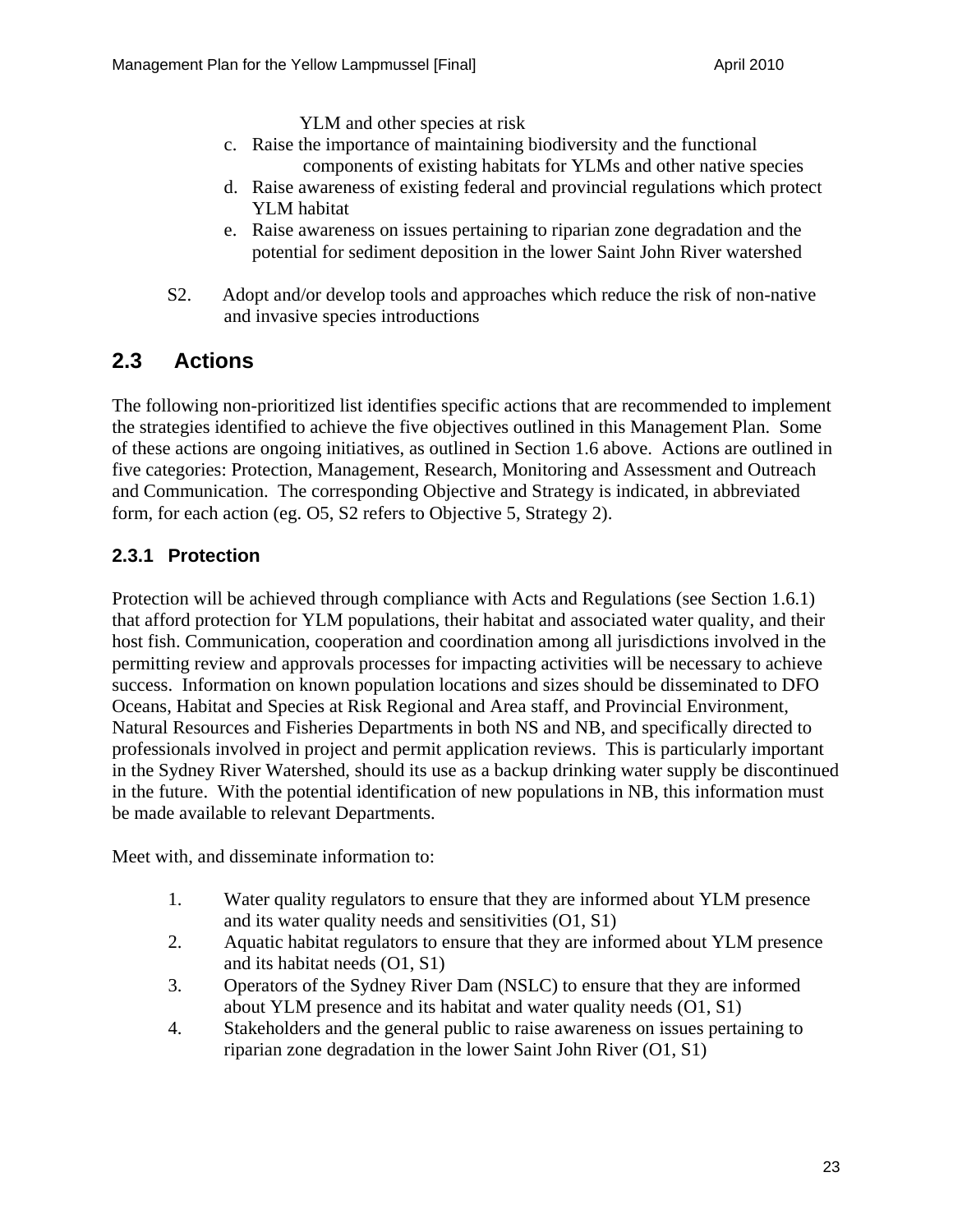YLM and other species at risk

- c. Raise the importance of maintaining biodiversity and the functional components of existing habitats for YLMs and other native species
- d. Raise awareness of existing federal and provincial regulations which protect YLM habitat
- e. Raise awareness on issues pertaining to riparian zone degradation and the potential for sediment deposition in the lower Saint John River watershed
- S2. Adopt and/or develop tools and approaches which reduce the risk of non-native and invasive species introductions

### **2.3 Actions**

The following non-prioritized list identifies specific actions that are recommended to implement the strategies identified to achieve the five objectives outlined in this Management Plan. Some of these actions are ongoing initiatives, as outlined in Section 1.6 above. Actions are outlined in five categories: Protection, Management, Research, Monitoring and Assessment and Outreach and Communication. The corresponding Objective and Strategy is indicated, in abbreviated form, for each action (eg. O5, S2 refers to Objective 5, Strategy 2).

#### **2.3.1 Protection**

Protection will be achieved through compliance with Acts and Regulations (see Section 1.6.1) that afford protection for YLM populations, their habitat and associated water quality, and their host fish. Communication, cooperation and coordination among all jurisdictions involved in the permitting review and approvals processes for impacting activities will be necessary to achieve success. Information on known population locations and sizes should be disseminated to DFO Oceans, Habitat and Species at Risk Regional and Area staff, and Provincial Environment, Natural Resources and Fisheries Departments in both NS and NB, and specifically directed to professionals involved in project and permit application reviews. This is particularly important in the Sydney River Watershed, should its use as a backup drinking water supply be discontinued in the future. With the potential identification of new populations in NB, this information must be made available to relevant Departments.

Meet with, and disseminate information to:

- 1. Water quality regulators to ensure that they are informed about YLM presence and its water quality needs and sensitivities (O1, S1)
- 2. Aquatic habitat regulators to ensure that they are informed about YLM presence and its habitat needs (O1, S1)
- 3. Operators of the Sydney River Dam (NSLC) to ensure that they are informed about YLM presence and its habitat and water quality needs (O1, S1)
- 4. Stakeholders and the general public to raise awareness on issues pertaining to riparian zone degradation in the lower Saint John River (O1, S1)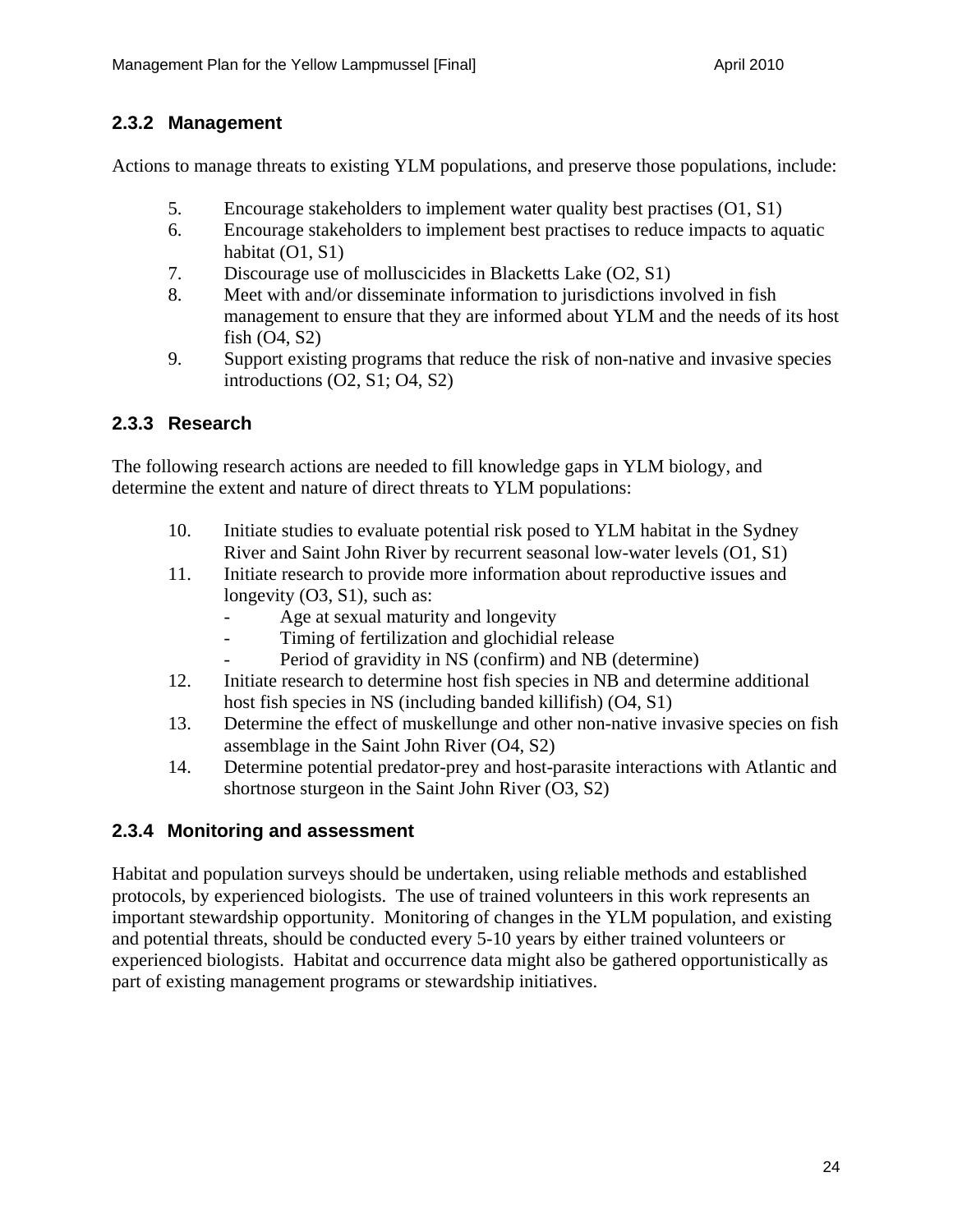#### **2.3.2 Management**

Actions to manage threats to existing YLM populations, and preserve those populations, include:

- 5. Encourage stakeholders to implement water quality best practises (O1, S1)
- 6. Encourage stakeholders to implement best practises to reduce impacts to aquatic habitat (O1, S1)
- 7. Discourage use of molluscicides in Blacketts Lake (O2, S1)
- 8. Meet with and/or disseminate information to jurisdictions involved in fish management to ensure that they are informed about YLM and the needs of its host fish (O4, S2)
- 9. Support existing programs that reduce the risk of non-native and invasive species introductions (O2, S1; O4, S2)

#### **2.3.3 Research**

The following research actions are needed to fill knowledge gaps in YLM biology, and determine the extent and nature of direct threats to YLM populations:

- 10. Initiate studies to evaluate potential risk posed to YLM habitat in the Sydney River and Saint John River by recurrent seasonal low-water levels (O1, S1)
- 11. Initiate research to provide more information about reproductive issues and longevity (O3, S1), such as:
	- Age at sexual maturity and longevity
	- Timing of fertilization and glochidial release
	- Period of gravidity in NS (confirm) and NB (determine)
- 12. Initiate research to determine host fish species in NB and determine additional host fish species in NS (including banded killifish) (O4, S1)
- 13. Determine the effect of muskellunge and other non-native invasive species on fish assemblage in the Saint John River (O4, S2)
- 14. Determine potential predator-prey and host-parasite interactions with Atlantic and shortnose sturgeon in the Saint John River (O3, S2)

#### **2.3.4 Monitoring and assessment**

Habitat and population surveys should be undertaken, using reliable methods and established protocols, by experienced biologists. The use of trained volunteers in this work represents an important stewardship opportunity. Monitoring of changes in the YLM population, and existing and potential threats, should be conducted every 5-10 years by either trained volunteers or experienced biologists. Habitat and occurrence data might also be gathered opportunistically as part of existing management programs or stewardship initiatives.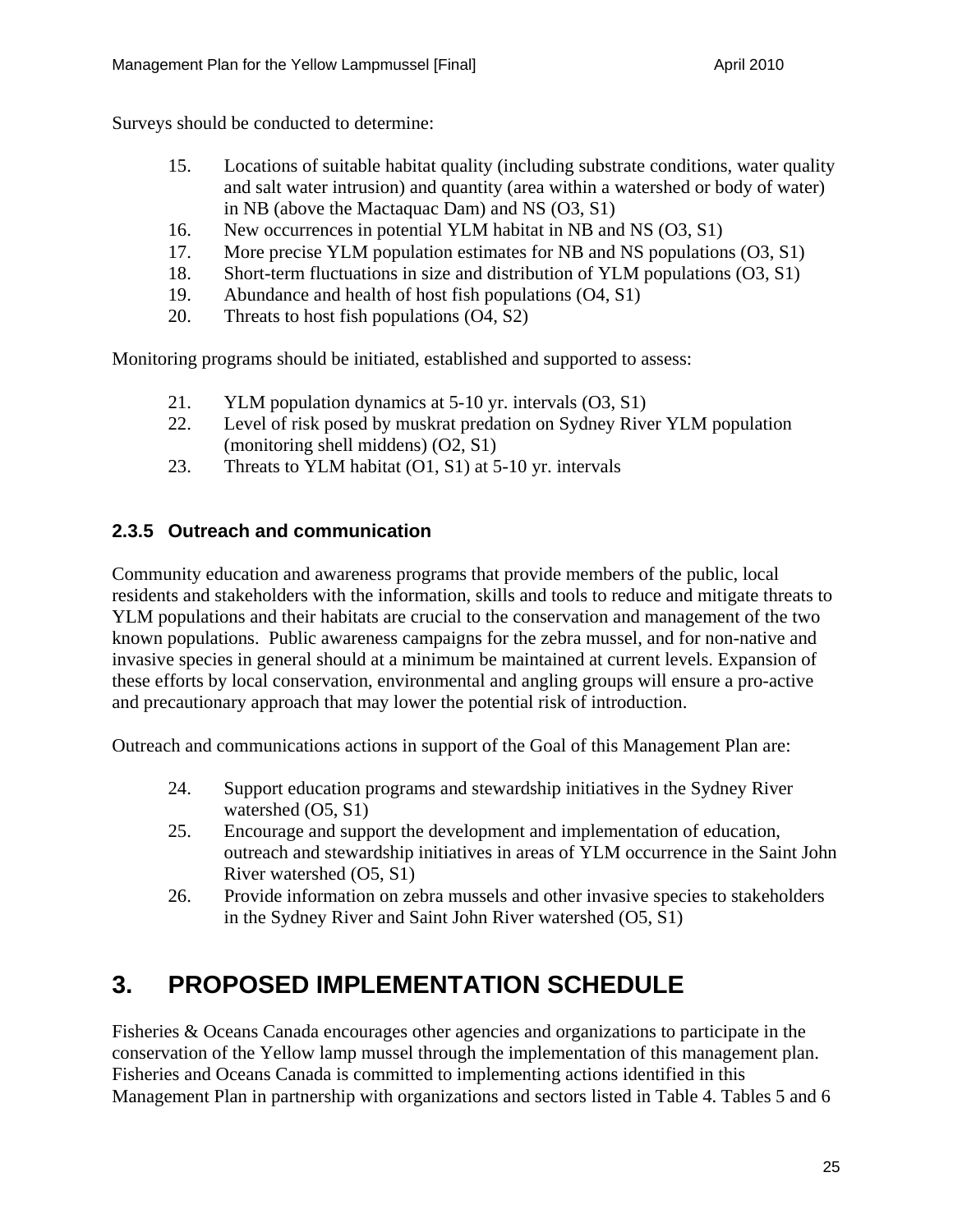Surveys should be conducted to determine:

- 15. Locations of suitable habitat quality (including substrate conditions, water quality and salt water intrusion) and quantity (area within a watershed or body of water) in NB (above the Mactaquac Dam) and NS (O3, S1)
- 16. New occurrences in potential YLM habitat in NB and NS (O3, S1)
- 17. More precise YLM population estimates for NB and NS populations (O3, S1)
- 18. Short-term fluctuations in size and distribution of YLM populations (O3, S1)
- 19. Abundance and health of host fish populations (O4, S1)
- 20. Threats to host fish populations (O4, S2)

Monitoring programs should be initiated, established and supported to assess:

- 21. YLM population dynamics at 5-10 yr. intervals (O3, S1)
- 22. Level of risk posed by muskrat predation on Sydney River YLM population (monitoring shell middens) (O2, S1)
- 23. Threats to YLM habitat (O1, S1) at 5-10 yr. intervals

#### **2.3.5 Outreach and communication**

Community education and awareness programs that provide members of the public, local residents and stakeholders with the information, skills and tools to reduce and mitigate threats to YLM populations and their habitats are crucial to the conservation and management of the two known populations. Public awareness campaigns for the zebra mussel, and for non-native and invasive species in general should at a minimum be maintained at current levels. Expansion of these efforts by local conservation, environmental and angling groups will ensure a pro-active and precautionary approach that may lower the potential risk of introduction.

Outreach and communications actions in support of the Goal of this Management Plan are:

- 24. Support education programs and stewardship initiatives in the Sydney River watershed (O5, S1)
- 25. Encourage and support the development and implementation of education, outreach and stewardship initiatives in areas of YLM occurrence in the Saint John River watershed (O5, S1)
- 26. Provide information on zebra mussels and other invasive species to stakeholders in the Sydney River and Saint John River watershed (O5, S1)

### **3. PROPOSED IMPLEMENTATION SCHEDULE**

Fisheries & Oceans Canada encourages other agencies and organizations to participate in the conservation of the Yellow lamp mussel through the implementation of this management plan. Fisheries and Oceans Canada is committed to implementing actions identified in this Management Plan in partnership with organizations and sectors listed in Table 4. Tables 5 and 6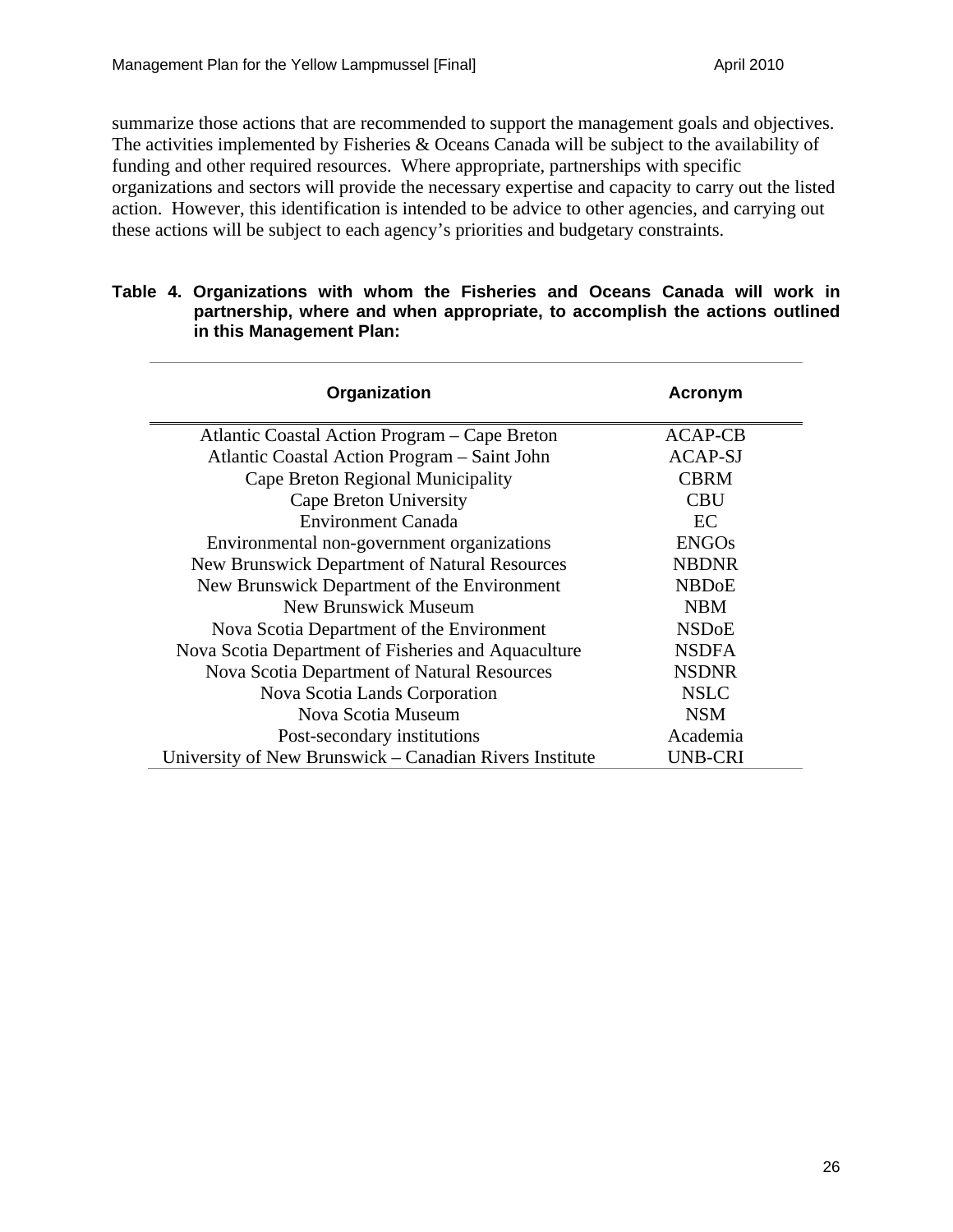summarize those actions that are recommended to support the management goals and objectives. The activities implemented by Fisheries & Oceans Canada will be subject to the availability of funding and other required resources. Where appropriate, partnerships with specific organizations and sectors will provide the necessary expertise and capacity to carry out the listed action. However, this identification is intended to be advice to other agencies, and carrying out these actions will be subject to each agency's priorities and budgetary constraints.

|  | Table 4. Organizations with whom the Fisheries and Oceans Canada will work in |
|--|-------------------------------------------------------------------------------|
|  | partnership, where and when appropriate, to accomplish the actions outlined   |
|  | in this Management Plan:                                                      |

| Organization                                            | Acronym        |
|---------------------------------------------------------|----------------|
| Atlantic Coastal Action Program – Cape Breton           | ACAP-CB        |
| Atlantic Coastal Action Program - Saint John            | <b>ACAP-SJ</b> |
| Cape Breton Regional Municipality                       | <b>CBRM</b>    |
| Cape Breton University                                  | <b>CBU</b>     |
| <b>Environment Canada</b>                               | EC             |
| Environmental non-government organizations              | <b>ENGOs</b>   |
| New Brunswick Department of Natural Resources           | <b>NBDNR</b>   |
| New Brunswick Department of the Environment             | <b>NBDoE</b>   |
| <b>New Brunswick Museum</b>                             | <b>NBM</b>     |
| Nova Scotia Department of the Environment               | <b>NSDoE</b>   |
| Nova Scotia Department of Fisheries and Aquaculture     | <b>NSDFA</b>   |
| Nova Scotia Department of Natural Resources             | <b>NSDNR</b>   |
| Nova Scotia Lands Corporation                           | <b>NSLC</b>    |
| Nova Scotia Museum                                      | <b>NSM</b>     |
| Post-secondary institutions                             | Academia       |
| University of New Brunswick – Canadian Rivers Institute | UNB-CRI        |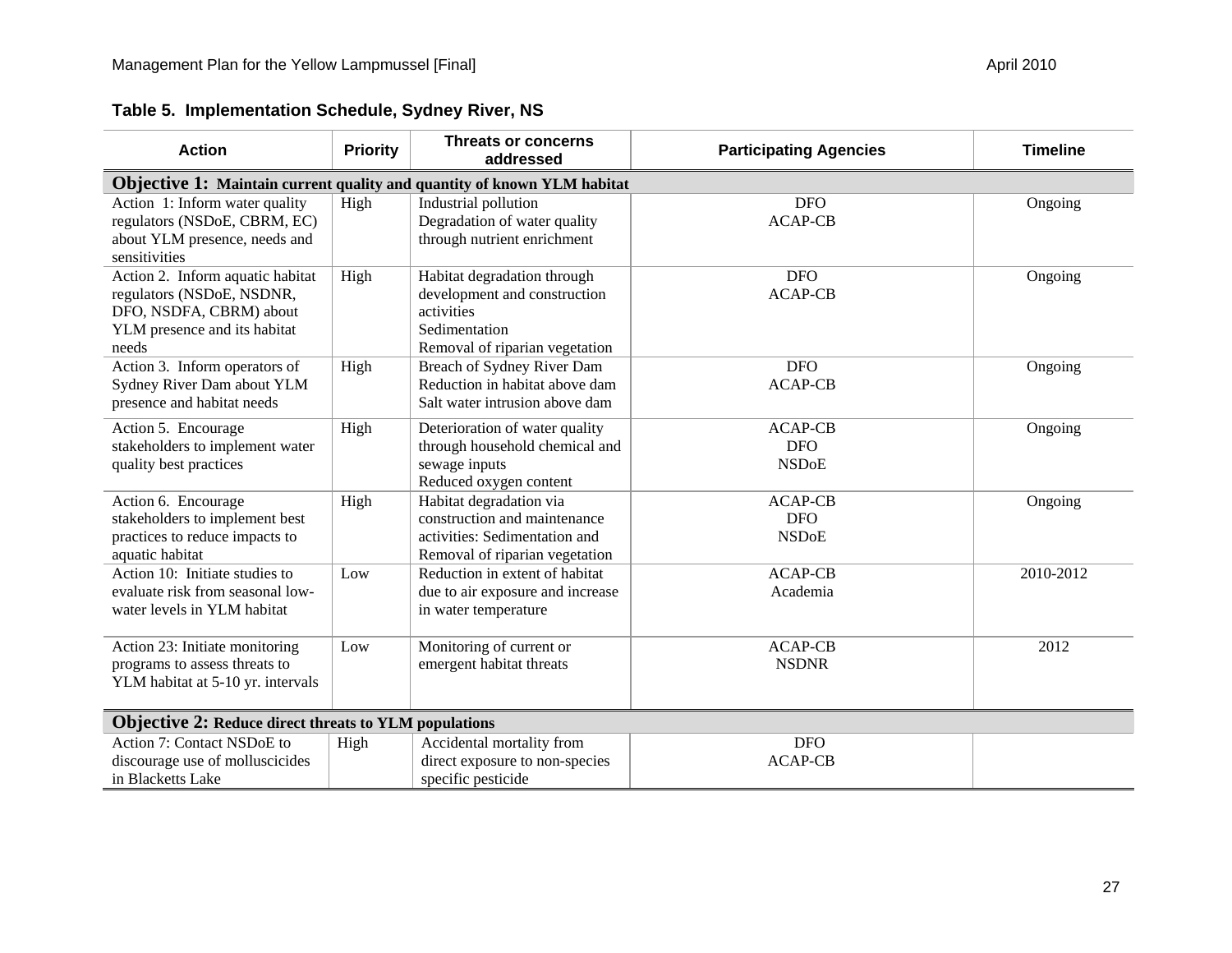| <b>Action</b>                                                                                                                     | <b>Priority</b> | <b>Threats or concerns</b><br>addressed                                                                                      | <b>Participating Agencies</b>                | <b>Timeline</b> |  |  |  |
|-----------------------------------------------------------------------------------------------------------------------------------|-----------------|------------------------------------------------------------------------------------------------------------------------------|----------------------------------------------|-----------------|--|--|--|
| <b>Objective 1: Maintain current quality and quantity of known YLM habitat</b>                                                    |                 |                                                                                                                              |                                              |                 |  |  |  |
| Action 1: Inform water quality<br>regulators (NSDoE, CBRM, EC)<br>about YLM presence, needs and<br>sensitivities                  | High            | Industrial pollution<br>Degradation of water quality<br>through nutrient enrichment                                          | <b>DFO</b><br><b>ACAP-CB</b>                 | Ongoing         |  |  |  |
| Action 2. Inform aquatic habitat<br>regulators (NSDoE, NSDNR,<br>DFO, NSDFA, CBRM) about<br>YLM presence and its habitat<br>needs | High            | Habitat degradation through<br>development and construction<br>activities<br>Sedimentation<br>Removal of riparian vegetation | <b>DFO</b><br><b>ACAP-CB</b>                 | Ongoing         |  |  |  |
| Action 3. Inform operators of<br>Sydney River Dam about YLM<br>presence and habitat needs                                         | High            | Breach of Sydney River Dam<br>Reduction in habitat above dam<br>Salt water intrusion above dam                               | <b>DFO</b><br><b>ACAP-CB</b>                 | Ongoing         |  |  |  |
| Action 5. Encourage<br>stakeholders to implement water<br>quality best practices                                                  | High            | Deterioration of water quality<br>through household chemical and<br>sewage inputs<br>Reduced oxygen content                  | <b>ACAP-CB</b><br><b>DFO</b><br><b>NSDoE</b> | Ongoing         |  |  |  |
| Action 6. Encourage<br>stakeholders to implement best<br>practices to reduce impacts to<br>aquatic habitat                        | High            | Habitat degradation via<br>construction and maintenance<br>activities: Sedimentation and<br>Removal of riparian vegetation   | <b>ACAP-CB</b><br><b>DFO</b><br><b>NSDoE</b> | Ongoing         |  |  |  |
| Action 10: Initiate studies to<br>evaluate risk from seasonal low-<br>water levels in YLM habitat                                 | Low             | Reduction in extent of habitat<br>due to air exposure and increase<br>in water temperature                                   | <b>ACAP-CB</b><br>Academia                   | 2010-2012       |  |  |  |
| Action 23: Initiate monitoring<br>programs to assess threats to<br>YLM habitat at 5-10 yr. intervals                              | Low             | Monitoring of current or<br>emergent habitat threats                                                                         | <b>ACAP-CB</b><br><b>NSDNR</b>               | 2012            |  |  |  |
| <b>Objective 2: Reduce direct threats to YLM populations</b>                                                                      |                 |                                                                                                                              |                                              |                 |  |  |  |
| Action 7: Contact NSDoE to<br>discourage use of molluscicides<br>in Blacketts Lake                                                | High            | Accidental mortality from<br>direct exposure to non-species<br>specific pesticide                                            | <b>DFO</b><br><b>ACAP-CB</b>                 |                 |  |  |  |

**Table 5. Implementation Schedule, Sydney River, NS**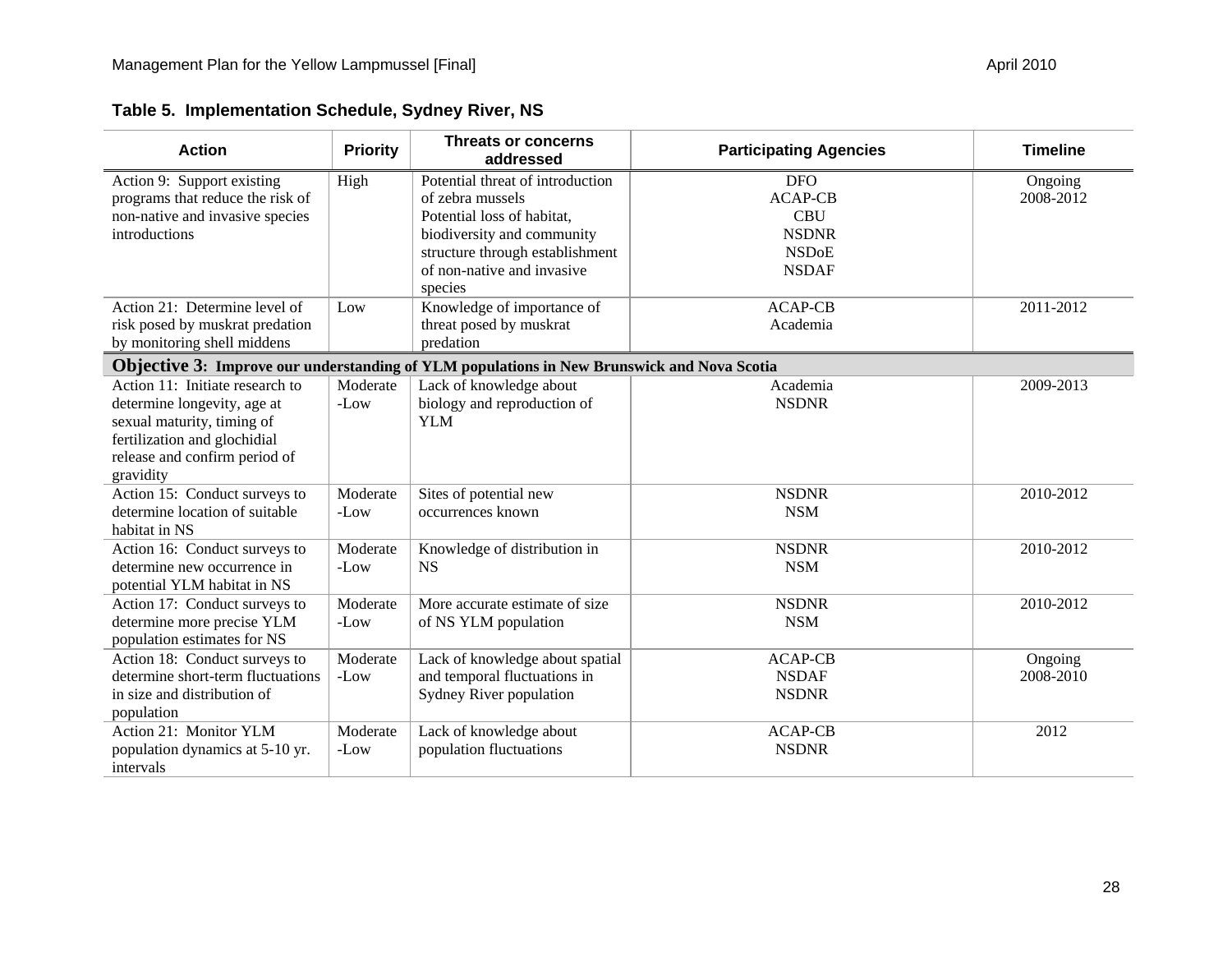| <b>Action</b>                                                                                                                                                              | <b>Priority</b>    | <b>Threats or concerns</b><br>addressed                                                                                                                                                      | <b>Participating Agencies</b>                                                              | <b>Timeline</b>      |
|----------------------------------------------------------------------------------------------------------------------------------------------------------------------------|--------------------|----------------------------------------------------------------------------------------------------------------------------------------------------------------------------------------------|--------------------------------------------------------------------------------------------|----------------------|
| Action 9: Support existing<br>programs that reduce the risk of<br>non-native and invasive species<br>introductions                                                         | High               | Potential threat of introduction<br>of zebra mussels<br>Potential loss of habitat,<br>biodiversity and community<br>structure through establishment<br>of non-native and invasive<br>species | <b>DFO</b><br><b>ACAP-CB</b><br><b>CBU</b><br><b>NSDNR</b><br><b>NSDoE</b><br><b>NSDAF</b> | Ongoing<br>2008-2012 |
| Action 21: Determine level of<br>risk posed by muskrat predation<br>by monitoring shell middens                                                                            | Low                | Knowledge of importance of<br>threat posed by muskrat<br>predation                                                                                                                           | <b>ACAP-CB</b><br>Academia                                                                 | 2011-2012            |
|                                                                                                                                                                            |                    | Objective 3: Improve our understanding of YLM populations in New Brunswick and Nova Scotia                                                                                                   |                                                                                            |                      |
| Action 11: Initiate research to<br>determine longevity, age at<br>sexual maturity, timing of<br>fertilization and glochidial<br>release and confirm period of<br>gravidity | Moderate<br>$-Low$ | Lack of knowledge about<br>biology and reproduction of<br><b>YLM</b>                                                                                                                         | Academia<br><b>NSDNR</b>                                                                   | 2009-2013            |
| Action 15: Conduct surveys to<br>determine location of suitable<br>habitat in NS                                                                                           | Moderate<br>-Low   | Sites of potential new<br>occurrences known                                                                                                                                                  | <b>NSDNR</b><br><b>NSM</b>                                                                 | 2010-2012            |
| Action 16: Conduct surveys to<br>determine new occurrence in<br>potential YLM habitat in NS                                                                                | Moderate<br>-Low   | Knowledge of distribution in<br><b>NS</b>                                                                                                                                                    | <b>NSDNR</b><br><b>NSM</b>                                                                 | 2010-2012            |
| Action 17: Conduct surveys to<br>determine more precise YLM<br>population estimates for NS                                                                                 | Moderate<br>-Low   | More accurate estimate of size<br>of NS YLM population                                                                                                                                       | <b>NSDNR</b><br><b>NSM</b>                                                                 | 2010-2012            |
| Action 18: Conduct surveys to<br>determine short-term fluctuations<br>in size and distribution of<br>population                                                            | Moderate<br>-Low   | Lack of knowledge about spatial<br>and temporal fluctuations in<br>Sydney River population                                                                                                   | <b>ACAP-CB</b><br><b>NSDAF</b><br><b>NSDNR</b>                                             | Ongoing<br>2008-2010 |
| Action 21: Monitor YLM<br>population dynamics at 5-10 yr.<br>intervals                                                                                                     | Moderate<br>-Low   | Lack of knowledge about<br>population fluctuations                                                                                                                                           | <b>ACAP-CB</b><br><b>NSDNR</b>                                                             | 2012                 |

### **Table 5. Implementation Schedule, Sydney River, NS**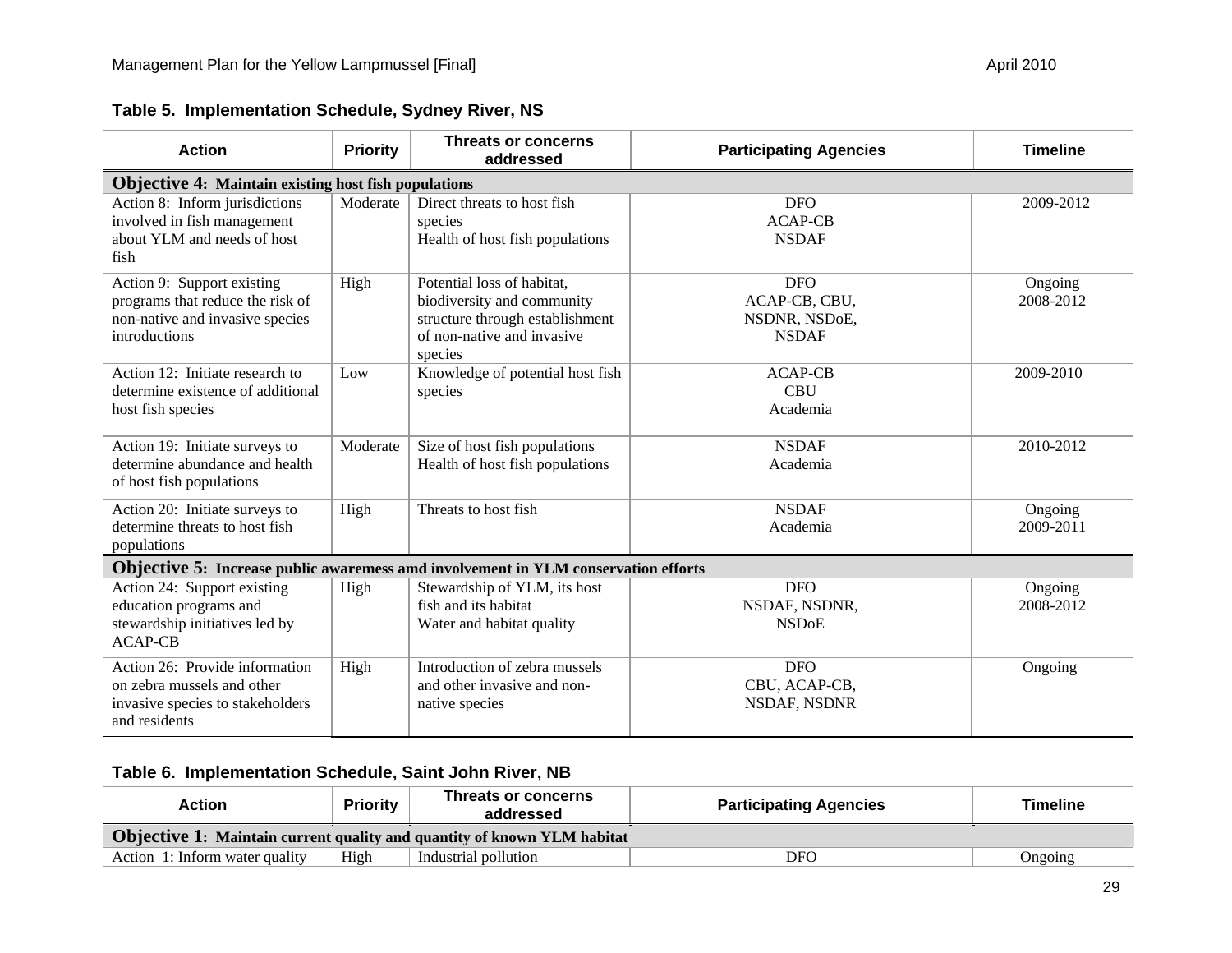| <b>Action</b>                                                                                                      | <b>Priority</b>                                             | <b>Threats or concerns</b><br>addressed                                                                                              | <b>Participating Agencies</b>                                | <b>Timeline</b>      |  |  |  |  |  |
|--------------------------------------------------------------------------------------------------------------------|-------------------------------------------------------------|--------------------------------------------------------------------------------------------------------------------------------------|--------------------------------------------------------------|----------------------|--|--|--|--|--|
|                                                                                                                    | <b>Objective 4: Maintain existing host fish populations</b> |                                                                                                                                      |                                                              |                      |  |  |  |  |  |
| Action 8: Inform jurisdictions<br>involved in fish management<br>about YLM and needs of host<br>fish               | Moderate                                                    | Direct threats to host fish<br>species<br>Health of host fish populations                                                            | <b>DFO</b><br><b>ACAP-CB</b><br><b>NSDAF</b>                 | 2009-2012            |  |  |  |  |  |
| Action 9: Support existing<br>programs that reduce the risk of<br>non-native and invasive species<br>introductions | High                                                        | Potential loss of habitat,<br>biodiversity and community<br>structure through establishment<br>of non-native and invasive<br>species | <b>DFO</b><br>ACAP-CB, CBU,<br>NSDNR, NSDoE,<br><b>NSDAF</b> | Ongoing<br>2008-2012 |  |  |  |  |  |
| Action 12: Initiate research to<br>determine existence of additional<br>host fish species                          | Low                                                         | Knowledge of potential host fish<br>species                                                                                          | <b>ACAP-CB</b><br><b>CBU</b><br>Academia                     | 2009-2010            |  |  |  |  |  |
| Action 19: Initiate surveys to<br>determine abundance and health<br>of host fish populations                       | Moderate                                                    | Size of host fish populations<br>Health of host fish populations                                                                     | <b>NSDAF</b><br>Academia                                     | 2010-2012            |  |  |  |  |  |
| Action 20: Initiate surveys to<br>determine threats to host fish<br>populations                                    | High                                                        | Threats to host fish                                                                                                                 | <b>NSDAF</b><br>Academia                                     | Ongoing<br>2009-2011 |  |  |  |  |  |
| <b>Objective 5:</b> Increase public awaremess amd involvement in YLM conservation efforts                          |                                                             |                                                                                                                                      |                                                              |                      |  |  |  |  |  |
| Action 24: Support existing<br>education programs and<br>stewardship initiatives led by<br><b>ACAP-CB</b>          | High                                                        | Stewardship of YLM, its host<br>fish and its habitat<br>Water and habitat quality                                                    | <b>DFO</b><br>NSDAF, NSDNR,<br><b>NSD<sub>o</sub>E</b>       | Ongoing<br>2008-2012 |  |  |  |  |  |
| Action 26: Provide information<br>on zebra mussels and other<br>invasive species to stakeholders<br>and residents  | High                                                        | Introduction of zebra mussels<br>and other invasive and non-<br>native species                                                       | <b>DFO</b><br>CBU, ACAP-CB,<br>NSDAF, NSDNR                  | Ongoing              |  |  |  |  |  |

#### **Table 5. Implementation Schedule, Sydney River, NS**

#### **Table 6. Implementation Schedule, Saint John River, NB**

| Action                                                                         | <b>Priority</b> | Threats or concerns<br>addressed | <b>Participating Agencies</b> | Timeline |
|--------------------------------------------------------------------------------|-----------------|----------------------------------|-------------------------------|----------|
| <b>Objective 1:</b> Maintain current quality and quantity of known YLM habitat |                 |                                  |                               |          |
| Action 1: Inform water quality                                                 | High            | Industrial pollution             | DFC                           | Ongoing  |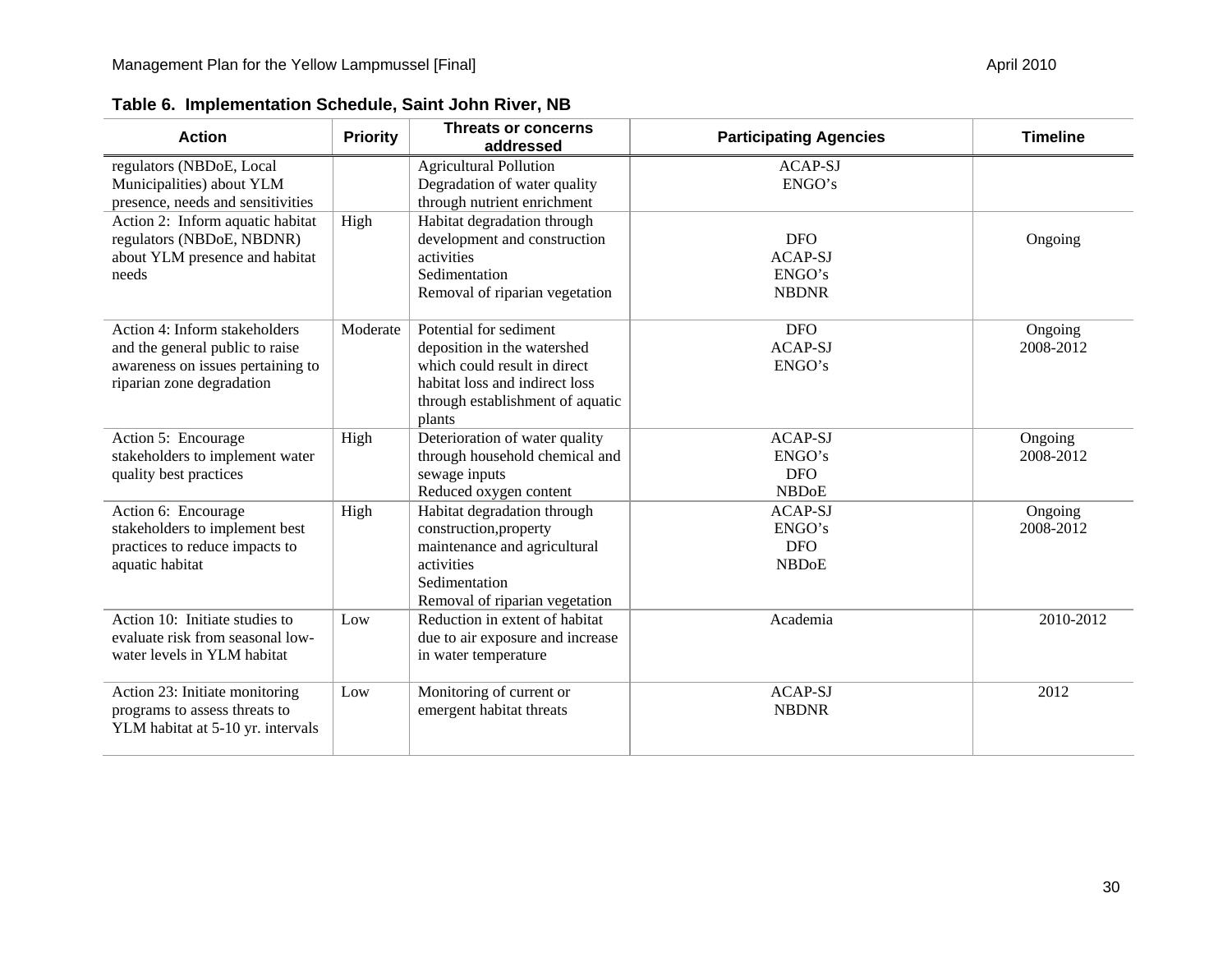| <b>Action</b>                                                                                                                      | <b>Priority</b> | <b>Threats or concerns</b><br>addressed                                                                                                                               | <b>Participating Agencies</b>                          | <b>Timeline</b>      |
|------------------------------------------------------------------------------------------------------------------------------------|-----------------|-----------------------------------------------------------------------------------------------------------------------------------------------------------------------|--------------------------------------------------------|----------------------|
| regulators (NBDoE, Local<br>Municipalities) about YLM<br>presence, needs and sensitivities                                         |                 | <b>Agricultural Pollution</b><br>Degradation of water quality<br>through nutrient enrichment                                                                          | <b>ACAP-SJ</b><br>ENGO's                               |                      |
| Action 2: Inform aquatic habitat<br>regulators (NBDoE, NBDNR)<br>about YLM presence and habitat<br>needs                           | High            | Habitat degradation through<br>development and construction<br>activities<br>Sedimentation<br>Removal of riparian vegetation                                          | <b>DFO</b><br><b>ACAP-SJ</b><br>ENGO's<br><b>NBDNR</b> | Ongoing              |
| Action 4: Inform stakeholders<br>and the general public to raise<br>awareness on issues pertaining to<br>riparian zone degradation | Moderate        | Potential for sediment<br>deposition in the watershed<br>which could result in direct<br>habitat loss and indirect loss<br>through establishment of aquatic<br>plants | <b>DFO</b><br><b>ACAP-SJ</b><br>ENGO's                 | Ongoing<br>2008-2012 |
| Action 5: Encourage<br>stakeholders to implement water<br>quality best practices                                                   | High            | Deterioration of water quality<br>through household chemical and<br>sewage inputs<br>Reduced oxygen content                                                           | <b>ACAP-SJ</b><br>ENGO's<br><b>DFO</b><br><b>NBDoE</b> | Ongoing<br>2008-2012 |
| Action 6: Encourage<br>stakeholders to implement best<br>practices to reduce impacts to<br>aquatic habitat                         | High            | Habitat degradation through<br>construction, property<br>maintenance and agricultural<br>activities<br>Sedimentation<br>Removal of riparian vegetation                | <b>ACAP-SJ</b><br>ENGO's<br><b>DFO</b><br><b>NBDoE</b> | Ongoing<br>2008-2012 |
| Action 10: Initiate studies to<br>evaluate risk from seasonal low-<br>water levels in YLM habitat                                  | Low             | Reduction in extent of habitat<br>due to air exposure and increase<br>in water temperature                                                                            | Academia                                               | 2010-2012            |
| Action 23: Initiate monitoring<br>programs to assess threats to<br>YLM habitat at 5-10 yr. intervals                               | Low             | Monitoring of current or<br>emergent habitat threats                                                                                                                  | <b>ACAP-SJ</b><br><b>NBDNR</b>                         | 2012                 |

**Table 6. Implementation Schedule, Saint John River, NB**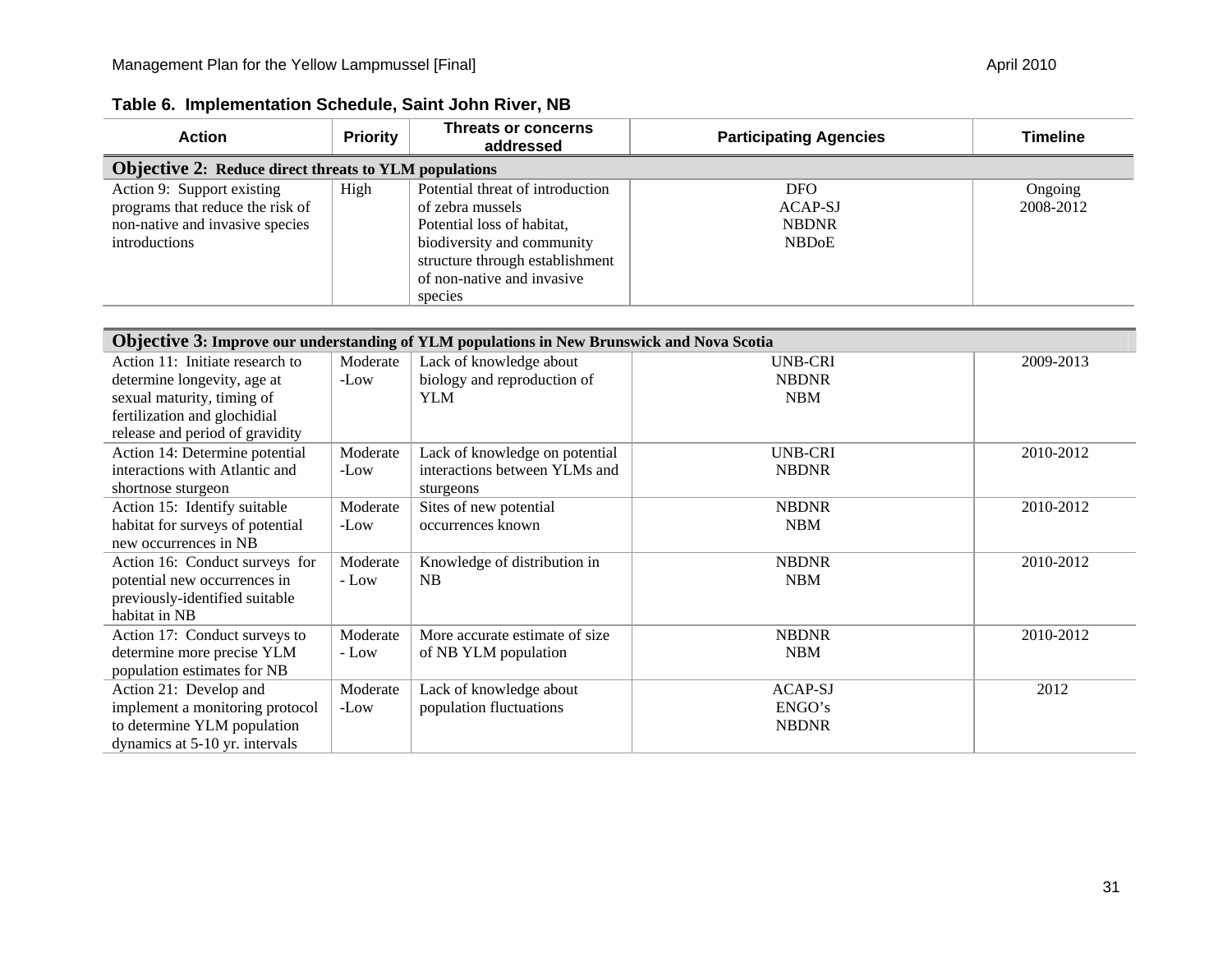| <b>Action</b>                                                                                                      | <b>Priority</b>                                              | Threats or concerns<br>addressed                                                                                                                                                             | <b>Participating Agencies</b>                         | <b>Timeline</b>      |  |  |
|--------------------------------------------------------------------------------------------------------------------|--------------------------------------------------------------|----------------------------------------------------------------------------------------------------------------------------------------------------------------------------------------------|-------------------------------------------------------|----------------------|--|--|
|                                                                                                                    | <b>Objective 2: Reduce direct threats to YLM populations</b> |                                                                                                                                                                                              |                                                       |                      |  |  |
| Action 9: Support existing<br>programs that reduce the risk of<br>non-native and invasive species<br>introductions | High                                                         | Potential threat of introduction<br>of zebra mussels<br>Potential loss of habitat,<br>biodiversity and community<br>structure through establishment<br>of non-native and invasive<br>species | <b>DFO</b><br>ACAP-SJ<br><b>NBDNR</b><br><b>NBDoE</b> | Ongoing<br>2008-2012 |  |  |

#### **Table 6. Implementation Schedule, Saint John River, NB**

| <b>Objective 3: Improve our understanding of YLM populations in New Brunswick and Nova Scotia</b> |          |                                |                |           |
|---------------------------------------------------------------------------------------------------|----------|--------------------------------|----------------|-----------|
| Action 11: Initiate research to                                                                   | Moderate | Lack of knowledge about        | UNB-CRI        | 2009-2013 |
| determine longevity, age at                                                                       | -Low     | biology and reproduction of    | <b>NBDNR</b>   |           |
| sexual maturity, timing of                                                                        |          | YLM                            | <b>NBM</b>     |           |
| fertilization and glochidial                                                                      |          |                                |                |           |
| release and period of gravidity                                                                   |          |                                |                |           |
| Action 14: Determine potential                                                                    | Moderate | Lack of knowledge on potential | <b>UNB-CRI</b> | 2010-2012 |
| interactions with Atlantic and                                                                    | -Low     | interactions between YLMs and  | <b>NBDNR</b>   |           |
| shortnose sturgeon                                                                                |          | sturgeons                      |                |           |
| Action 15: Identify suitable                                                                      | Moderate | Sites of new potential         | <b>NBDNR</b>   | 2010-2012 |
| habitat for surveys of potential                                                                  | -Low     | occurrences known              | <b>NBM</b>     |           |
| new occurrences in NB                                                                             |          |                                |                |           |
| Action 16: Conduct surveys for                                                                    | Moderate | Knowledge of distribution in   | <b>NBDNR</b>   | 2010-2012 |
| potential new occurrences in                                                                      | $-Low$   | NB                             | <b>NBM</b>     |           |
| previously-identified suitable                                                                    |          |                                |                |           |
| habitat in NB                                                                                     |          |                                |                |           |
| Action 17: Conduct surveys to                                                                     | Moderate | More accurate estimate of size | <b>NBDNR</b>   | 2010-2012 |
| determine more precise YLM                                                                        | - Low    | of NB YLM population           | <b>NBM</b>     |           |
| population estimates for NB                                                                       |          |                                |                |           |
| Action 21: Develop and                                                                            | Moderate | Lack of knowledge about        | <b>ACAP-SJ</b> | 2012      |
| implement a monitoring protocol                                                                   | -Low     | population fluctuations        | ENGO's         |           |
| to determine YLM population                                                                       |          |                                | <b>NBDNR</b>   |           |
| dynamics at 5-10 yr. intervals                                                                    |          |                                |                |           |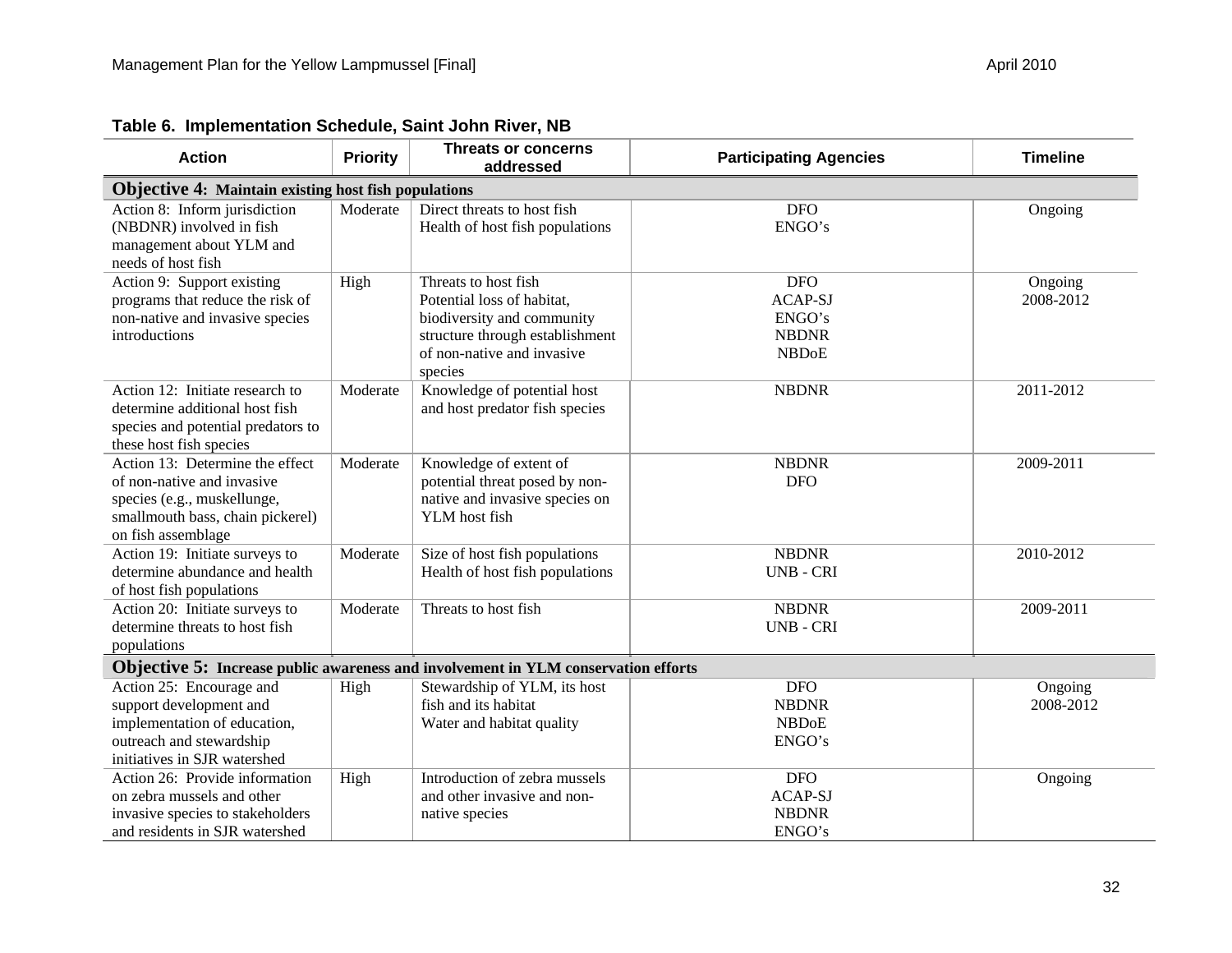| <b>Action</b>                                                                                                                                          | <b>Priority</b> | Threats or concerns<br>addressed                                                                                                                             | <b>Participating Agencies</b>                                          | <b>Timeline</b>      |
|--------------------------------------------------------------------------------------------------------------------------------------------------------|-----------------|--------------------------------------------------------------------------------------------------------------------------------------------------------------|------------------------------------------------------------------------|----------------------|
| <b>Objective 4: Maintain existing host fish populations</b>                                                                                            |                 |                                                                                                                                                              |                                                                        |                      |
| Action 8: Inform jurisdiction<br>(NBDNR) involved in fish<br>management about YLM and<br>needs of host fish                                            | Moderate        | Direct threats to host fish<br>Health of host fish populations                                                                                               | <b>DFO</b><br>ENGO's                                                   | Ongoing              |
| Action 9: Support existing<br>programs that reduce the risk of<br>non-native and invasive species<br>introductions                                     | High            | Threats to host fish<br>Potential loss of habitat,<br>biodiversity and community<br>structure through establishment<br>of non-native and invasive<br>species | <b>DFO</b><br><b>ACAP-SJ</b><br>ENGO's<br><b>NBDNR</b><br><b>NBDoE</b> | Ongoing<br>2008-2012 |
| Action 12: Initiate research to<br>determine additional host fish<br>species and potential predators to<br>these host fish species                     | Moderate        | Knowledge of potential host<br>and host predator fish species                                                                                                | <b>NBDNR</b>                                                           | 2011-2012            |
| Action 13: Determine the effect<br>of non-native and invasive<br>species (e.g., muskellunge,<br>smallmouth bass, chain pickerel)<br>on fish assemblage | Moderate        | Knowledge of extent of<br>potential threat posed by non-<br>native and invasive species on<br>YLM host fish                                                  | <b>NBDNR</b><br><b>DFO</b>                                             | 2009-2011            |
| Action 19: Initiate surveys to<br>determine abundance and health<br>of host fish populations                                                           | Moderate        | Size of host fish populations<br>Health of host fish populations                                                                                             | <b>NBDNR</b><br><b>UNB - CRI</b>                                       | 2010-2012            |
| Action 20: Initiate surveys to<br>determine threats to host fish<br>populations                                                                        | Moderate        | Threats to host fish                                                                                                                                         | <b>NBDNR</b><br><b>UNB-CRI</b>                                         | 2009-2011            |
|                                                                                                                                                        |                 | <b>Objective 5:</b> Increase public awareness and involvement in YLM conservation efforts                                                                    |                                                                        |                      |
| Action 25: Encourage and<br>support development and<br>implementation of education,<br>outreach and stewardship<br>initiatives in SJR watershed        | High            | Stewardship of YLM, its host<br>fish and its habitat<br>Water and habitat quality                                                                            | <b>DFO</b><br><b>NBDNR</b><br><b>NBDoE</b><br>ENGO's                   | Ongoing<br>2008-2012 |
| Action 26: Provide information<br>on zebra mussels and other<br>invasive species to stakeholders<br>and residents in SJR watershed                     | High            | Introduction of zebra mussels<br>and other invasive and non-<br>native species                                                                               | <b>DFO</b><br><b>ACAP-SJ</b><br><b>NBDNR</b><br>ENGO's                 | Ongoing              |

#### **Table 6. Implementation Schedule, Saint John River, NB**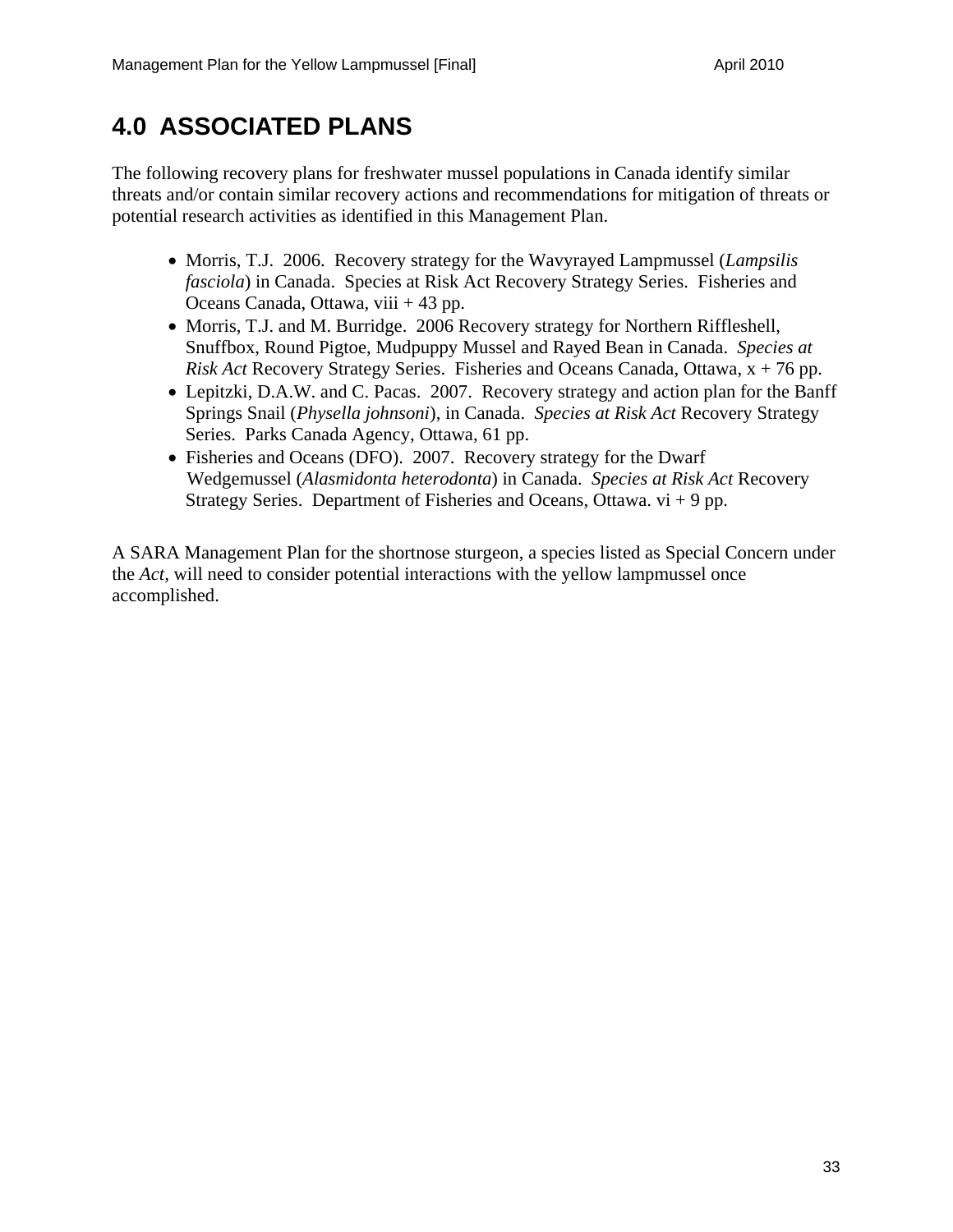## **4.0 ASSOCIATED PLANS**

The following recovery plans for freshwater mussel populations in Canada identify similar threats and/or contain similar recovery actions and recommendations for mitigation of threats or potential research activities as identified in this Management Plan.

- Morris, T.J. 2006. Recovery strategy for the Wavyrayed Lampmussel (*Lampsilis fasciola*) in Canada. Species at Risk Act Recovery Strategy Series. Fisheries and Oceans Canada, Ottawa, viii + 43 pp.
- Morris, T.J. and M. Burridge. 2006 Recovery strategy for Northern Riffleshell, Snuffbox, Round Pigtoe, Mudpuppy Mussel and Rayed Bean in Canada. *Species at Risk Act* Recovery Strategy Series. Fisheries and Oceans Canada, Ottawa, x + 76 pp.
- Lepitzki, D.A.W. and C. Pacas. 2007. Recovery strategy and action plan for the Banff Springs Snail (*Physella johnsoni*), in Canada. *Species at Risk Act* Recovery Strategy Series. Parks Canada Agency, Ottawa, 61 pp.
- Fisheries and Oceans (DFO). 2007. Recovery strategy for the Dwarf Wedgemussel (*Alasmidonta heterodonta*) in Canada. *Species at Risk Act* Recovery Strategy Series. Department of Fisheries and Oceans, Ottawa.  $vi + 9$  pp.

A SARA Management Plan for the shortnose sturgeon, a species listed as Special Concern under the *Act,* will need to consider potential interactions with the yellow lampmussel once accomplished.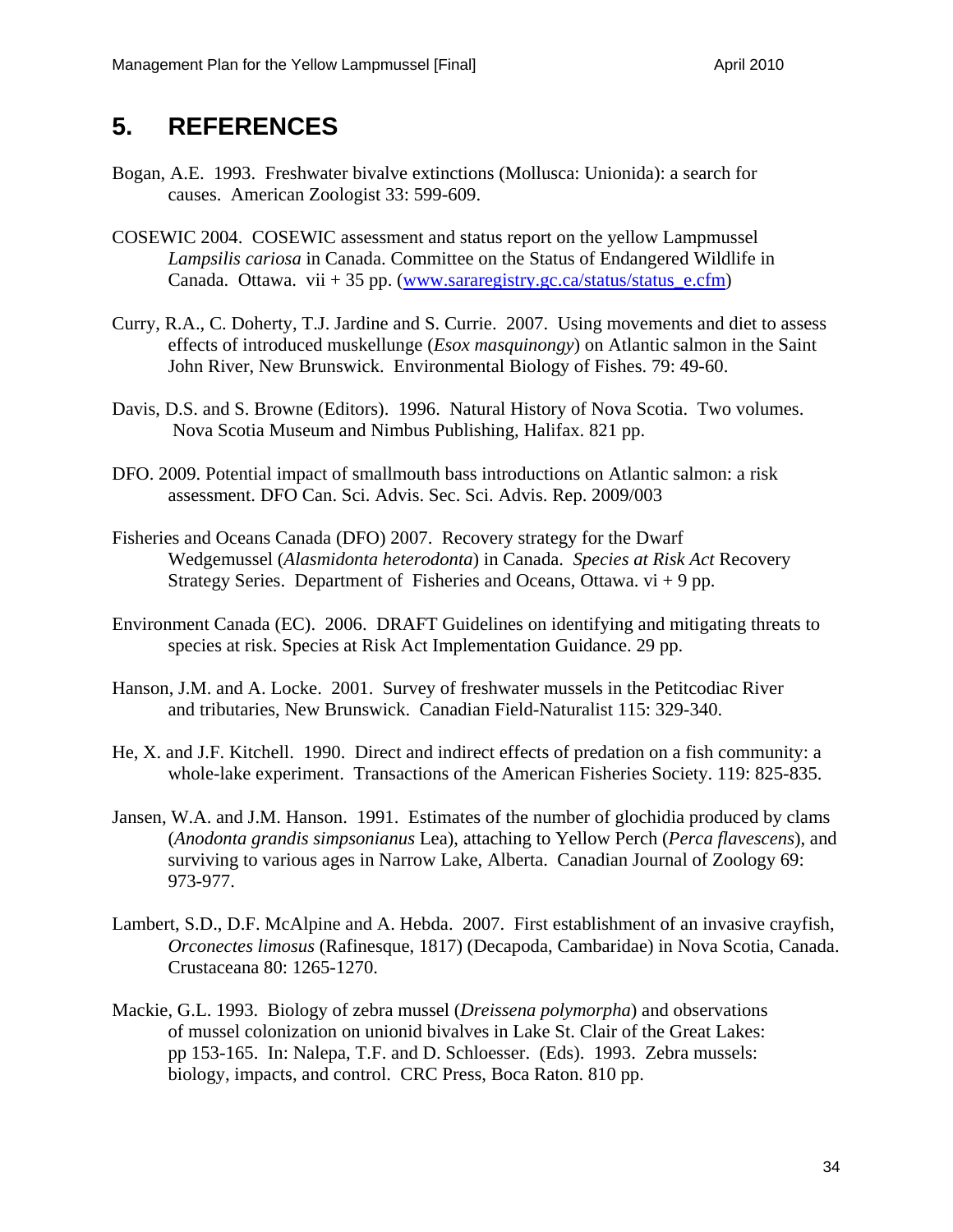### **5. REFERENCES**

- Bogan, A.E. 1993. Freshwater bivalve extinctions (Mollusca: Unionida): a search for causes. American Zoologist 33: 599-609.
- COSEWIC 2004. COSEWIC assessment and status report on the yellow Lampmussel *Lampsilis cariosa* in Canada. Committee on the Status of Endangered Wildlife in Canada. Ottawa. vii + 35 pp. (www.sararegistry.gc.ca/status/status\_e.cfm)
- Curry, R.A., C. Doherty, T.J. Jardine and S. Currie. 2007. Using movements and diet to assess effects of introduced muskellunge (*Esox masquinongy*) on Atlantic salmon in the Saint John River, New Brunswick. Environmental Biology of Fishes. 79: 49-60.
- Davis, D.S. and S. Browne (Editors). 1996. Natural History of Nova Scotia. Two volumes. Nova Scotia Museum and Nimbus Publishing, Halifax. 821 pp.
- DFO. 2009. Potential impact of smallmouth bass introductions on Atlantic salmon: a risk assessment. DFO Can. Sci. Advis. Sec. Sci. Advis. Rep. 2009/003
- Fisheries and Oceans Canada (DFO) 2007. Recovery strategy for the Dwarf Wedgemussel (*Alasmidonta heterodonta*) in Canada. *Species at Risk Act* Recovery Strategy Series. Department of Fisheries and Oceans, Ottawa.  $vi + 9$  pp.
- Environment Canada (EC). 2006. DRAFT Guidelines on identifying and mitigating threats to species at risk. Species at Risk Act Implementation Guidance. 29 pp.
- Hanson, J.M. and A. Locke. 2001. Survey of freshwater mussels in the Petitcodiac River and tributaries, New Brunswick. Canadian Field-Naturalist 115: 329-340.
- He, X. and J.F. Kitchell. 1990. Direct and indirect effects of predation on a fish community: a whole-lake experiment. Transactions of the American Fisheries Society. 119: 825-835.
- Jansen, W.A. and J.M. Hanson. 1991. Estimates of the number of glochidia produced by clams (*Anodonta grandis simpsonianus* Lea), attaching to Yellow Perch (*Perca flavescens*), and surviving to various ages in Narrow Lake, Alberta. Canadian Journal of Zoology 69: 973-977.
- Lambert, S.D., D.F. McAlpine and A. Hebda. 2007. First establishment of an invasive crayfish, *Orconectes limosus* (Rafinesque, 1817) (Decapoda, Cambaridae) in Nova Scotia, Canada. Crustaceana 80: 1265-1270.
- Mackie, G.L. 1993. Biology of zebra mussel (*Dreissena polymorpha*) and observations of mussel colonization on unionid bivalves in Lake St. Clair of the Great Lakes: pp 153-165. In: Nalepa, T.F. and D. Schloesser. (Eds). 1993. Zebra mussels: biology, impacts, and control. CRC Press, Boca Raton. 810 pp.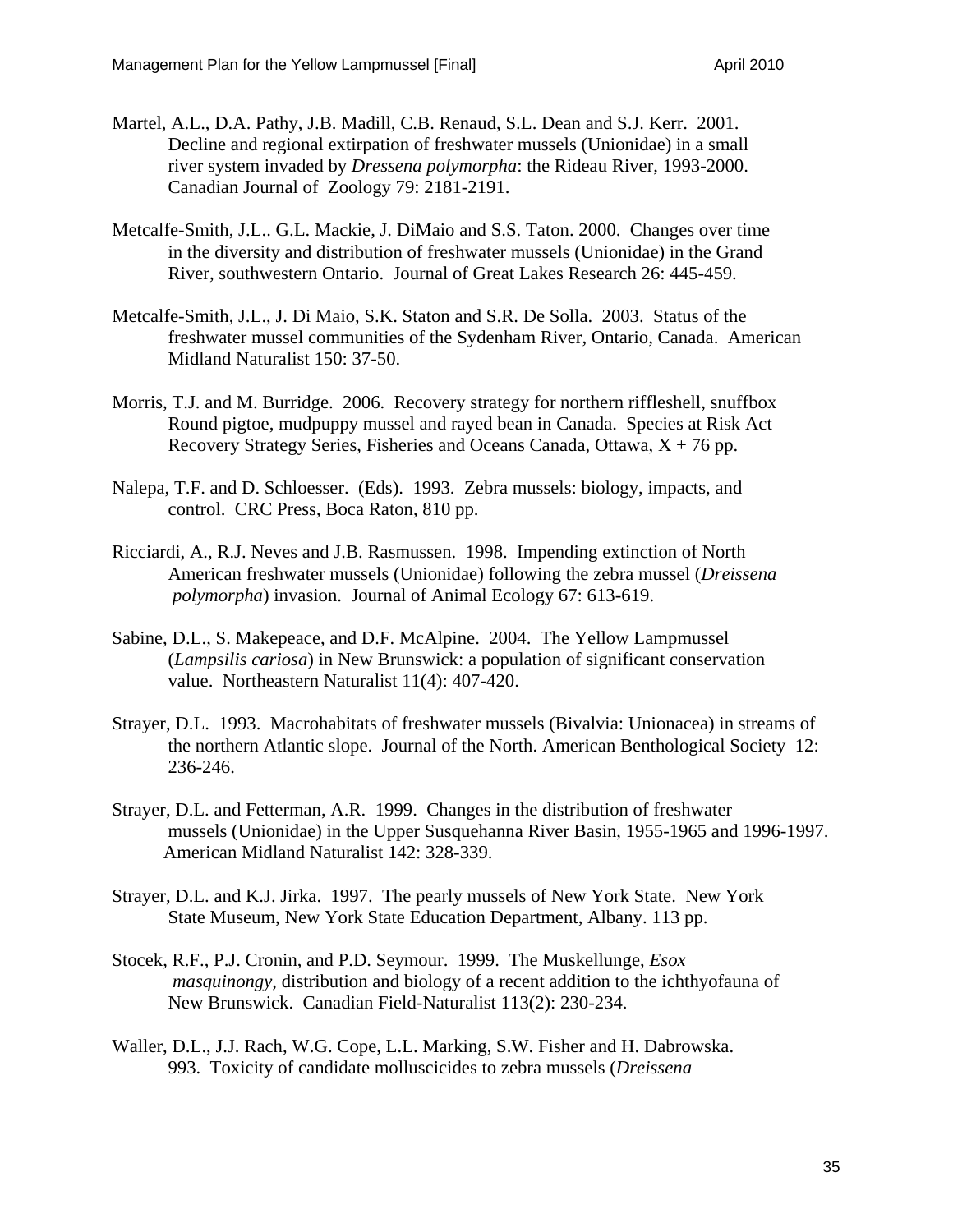- Martel, A.L., D.A. Pathy, J.B. Madill, C.B. Renaud, S.L. Dean and S.J. Kerr. 2001. Decline and regional extirpation of freshwater mussels (Unionidae) in a small river system invaded by *Dressena polymorpha*: the Rideau River, 1993-2000. Canadian Journal of Zoology 79: 2181-2191.
- Metcalfe-Smith, J.L.. G.L. Mackie, J. DiMaio and S.S. Taton. 2000. Changes over time in the diversity and distribution of freshwater mussels (Unionidae) in the Grand River, southwestern Ontario. Journal of Great Lakes Research 26: 445-459.
- Metcalfe-Smith, J.L., J. Di Maio, S.K. Staton and S.R. De Solla. 2003. Status of the freshwater mussel communities of the Sydenham River, Ontario, Canada. American Midland Naturalist 150: 37-50.
- Morris, T.J. and M. Burridge. 2006. Recovery strategy for northern riffleshell, snuffbox Round pigtoe, mudpuppy mussel and rayed bean in Canada. Species at Risk Act Recovery Strategy Series, Fisheries and Oceans Canada, Ottawa,  $X + 76$  pp.
- Nalepa, T.F. and D. Schloesser. (Eds). 1993. Zebra mussels: biology, impacts, and control. CRC Press, Boca Raton, 810 pp.
- Ricciardi, A., R.J. Neves and J.B. Rasmussen. 1998. Impending extinction of North American freshwater mussels (Unionidae) following the zebra mussel (*Dreissena polymorpha*) invasion. Journal of Animal Ecology 67: 613-619.
- Sabine, D.L., S. Makepeace, and D.F. McAlpine. 2004. The Yellow Lampmussel (*Lampsilis cariosa*) in New Brunswick: a population of significant conservation value. Northeastern Naturalist 11(4): 407-420.
- Strayer, D.L. 1993. Macrohabitats of freshwater mussels (Bivalvia: Unionacea) in streams of the northern Atlantic slope. Journal of the North. American Benthological Society 12: 236-246.
- Strayer, D.L. and Fetterman, A.R. 1999. Changes in the distribution of freshwater mussels (Unionidae) in the Upper Susquehanna River Basin, 1955-1965 and 1996-1997. American Midland Naturalist 142: 328-339.
- Strayer, D.L. and K.J. Jirka. 1997. The pearly mussels of New York State. New York State Museum, New York State Education Department, Albany. 113 pp.
- Stocek, R.F., P.J. Cronin, and P.D. Seymour. 1999. The Muskellunge, *Esox masquinongy*, distribution and biology of a recent addition to the ichthyofauna of New Brunswick. Canadian Field-Naturalist 113(2): 230-234.
- Waller, D.L., J.J. Rach, W.G. Cope, L.L. Marking, S.W. Fisher and H. Dabrowska. 993. Toxicity of candidate molluscicides to zebra mussels (*Dreissena*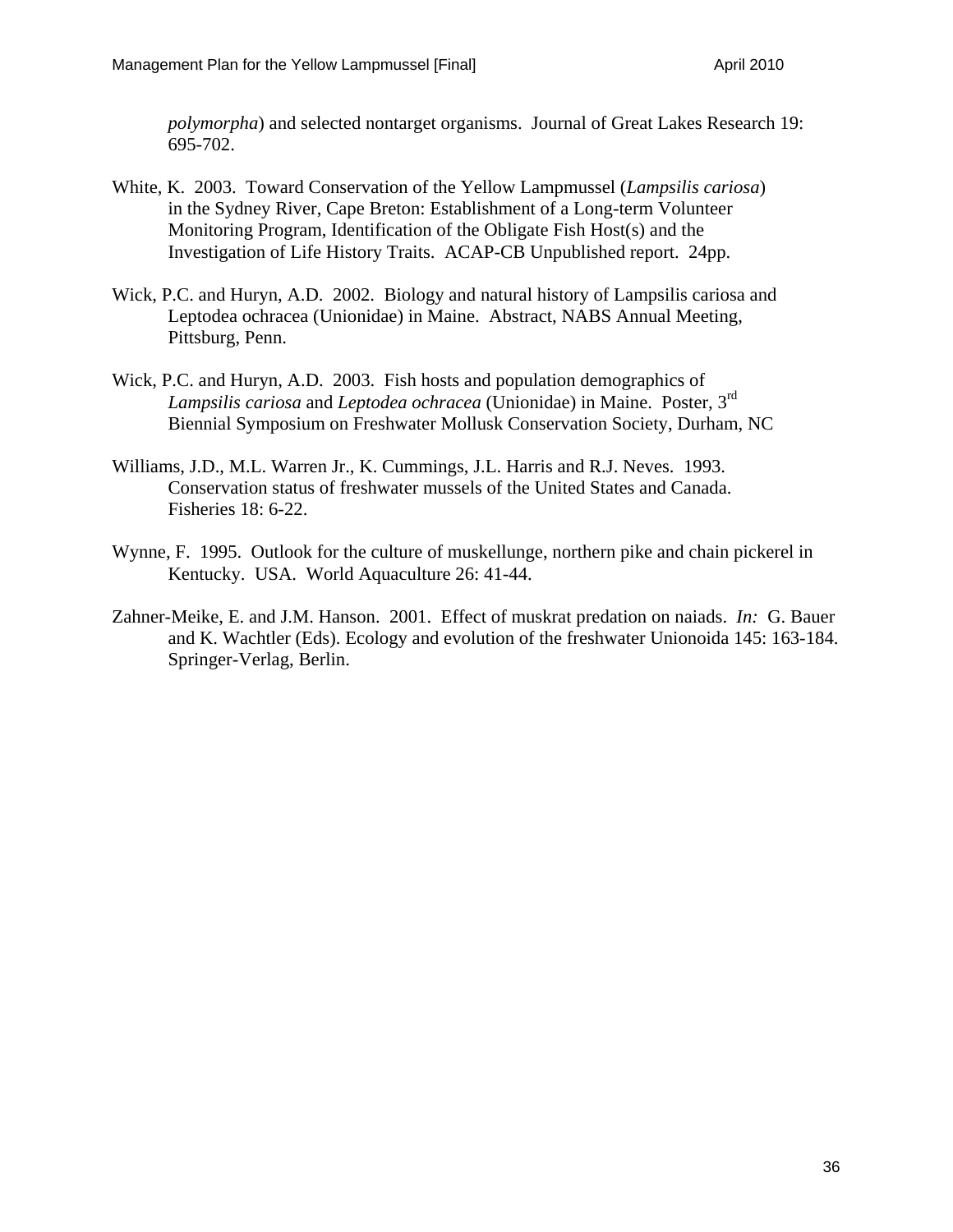*polymorpha*) and selected nontarget organisms. Journal of Great Lakes Research 19: 695-702.

- White, K. 2003. Toward Conservation of the Yellow Lampmussel (*Lampsilis cariosa*) in the Sydney River, Cape Breton: Establishment of a Long-term Volunteer Monitoring Program, Identification of the Obligate Fish Host(s) and the Investigation of Life History Traits. ACAP-CB Unpublished report. 24pp.
- Wick, P.C. and Huryn, A.D. 2002. Biology and natural history of Lampsilis cariosa and Leptodea ochracea (Unionidae) in Maine. Abstract, NABS Annual Meeting, Pittsburg, Penn.
- Wick, P.C. and Huryn, A.D. 2003. Fish hosts and population demographics of *Lampsilis cariosa* and *Leptodea ochracea* (Unionidae) in Maine. Poster, 3rd Biennial Symposium on Freshwater Mollusk Conservation Society, Durham, NC
- Williams, J.D., M.L. Warren Jr., K. Cummings, J.L. Harris and R.J. Neves. 1993. Conservation status of freshwater mussels of the United States and Canada. Fisheries 18: 6-22.
- Wynne, F. 1995. Outlook for the culture of muskellunge, northern pike and chain pickerel in Kentucky. USA. World Aquaculture 26: 41-44.
- Zahner-Meike, E. and J.M. Hanson. 2001. Effect of muskrat predation on naiads. *In:* G. Bauer and K. Wachtler (Eds). Ecology and evolution of the freshwater Unionoida 145: 163-184. Springer-Verlag, Berlin.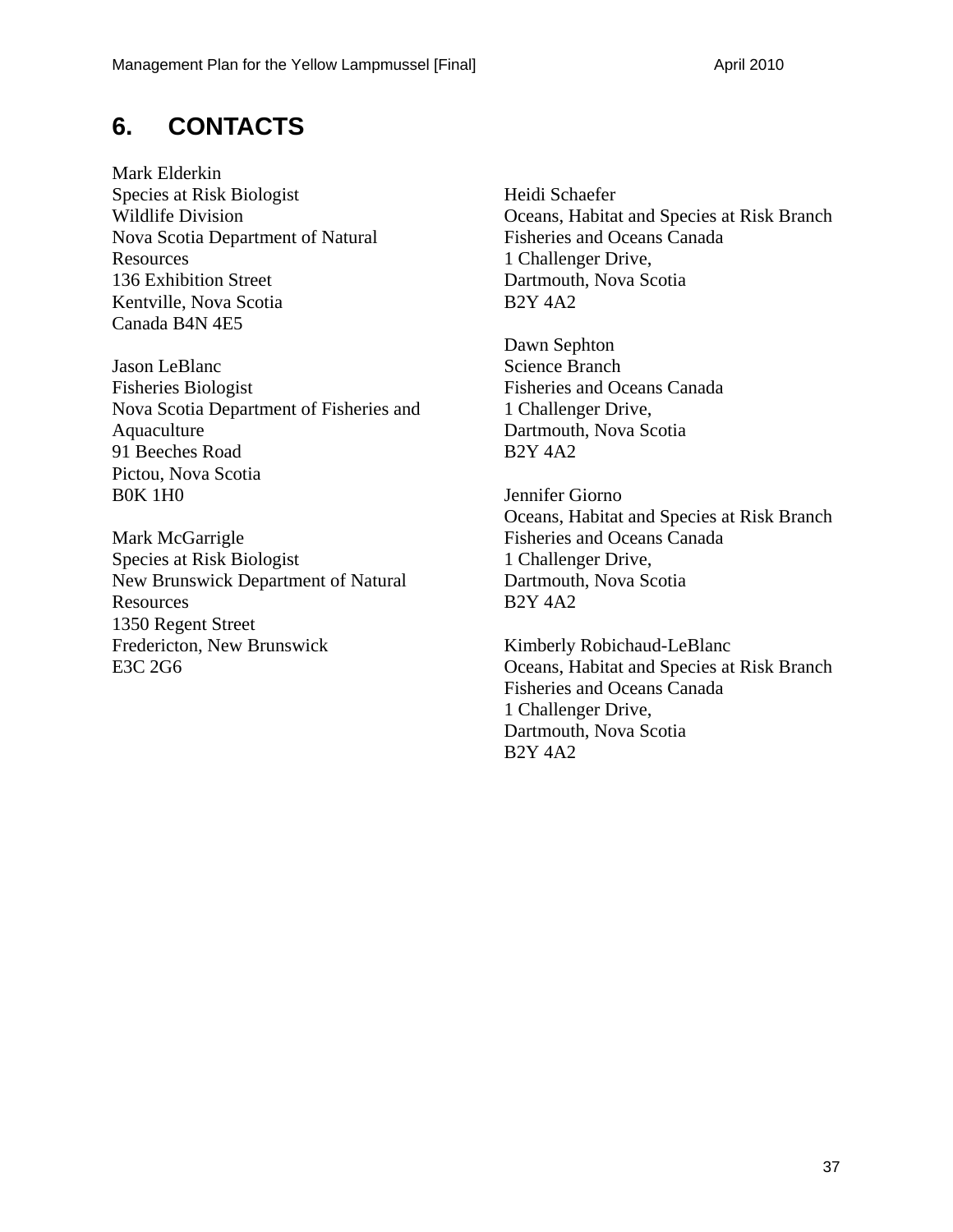## **6. CONTACTS**

Mark Elderkin Species at Risk Biologist Wildlife Division Nova Scotia Department of Natural Resources 136 Exhibition Street Kentville, Nova Scotia Canada B4N 4E5

Jason LeBlanc Fisheries Biologist Nova Scotia Department of Fisheries and Aquaculture 91 Beeches Road Pictou, Nova Scotia B0K 1H0

Mark McGarrigle Species at Risk Biologist New Brunswick Department of Natural **Resources** 1350 Regent Street Fredericton, New Brunswick E3C 2G6

Heidi Schaefer Oceans, Habitat and Species at Risk Branch Fisheries and Oceans Canada 1 Challenger Drive, Dartmouth, Nova Scotia B2Y 4A2

Dawn Sephton Science Branch Fisheries and Oceans Canada 1 Challenger Drive, Dartmouth, Nova Scotia B2Y 4A2

Jennifer Giorno Oceans, Habitat and Species at Risk Branch Fisheries and Oceans Canada 1 Challenger Drive, Dartmouth, Nova Scotia B2Y 4A2

Kimberly Robichaud-LeBlanc Oceans, Habitat and Species at Risk Branch Fisheries and Oceans Canada 1 Challenger Drive, Dartmouth, Nova Scotia B2Y 4A2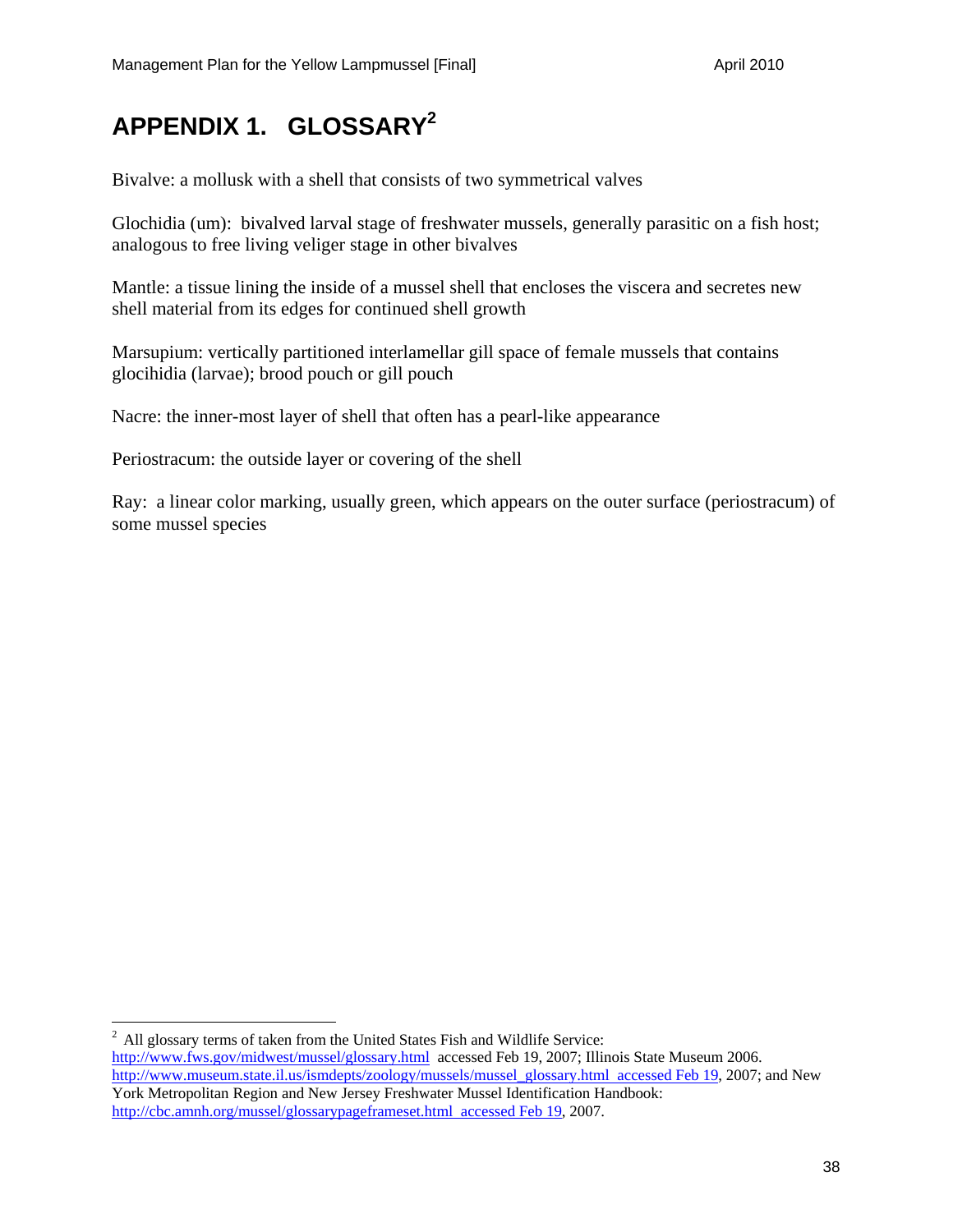## **APPENDIX 1. GLOSSARY2**

Bivalve: a mollusk with a shell that consists of two symmetrical valves

Glochidia (um): bivalved larval stage of freshwater mussels, generally parasitic on a fish host; analogous to free living veliger stage in other bivalves

Mantle: a tissue lining the inside of a mussel shell that encloses the viscera and secretes new shell material from its edges for continued shell growth

Marsupium: vertically partitioned interlamellar gill space of female mussels that contains glocihidia (larvae); brood pouch or gill pouch

Nacre: the inner-most layer of shell that often has a pearl-like appearance

Periostracum: the outside layer or covering of the shell

 $\overline{a}$ 

Ray: a linear color marking, usually green, which appears on the outer surface (periostracum) of some mussel species

<sup>2</sup> All glossary terms of taken from the United States Fish and Wildlife Service: http://www.fws.gov/midwest/mussel/glossary.html accessed Feb 19, 2007; Illinois State Museum 2006. http://www.museum.state.il.us/ismdepts/zoology/mussels/mussel\_glossary.html accessed Feb 19, 2007; and New York Metropolitan Region and New Jersey Freshwater Mussel Identification Handbook: http://cbc.amnh.org/mussel/glossarypageframeset.html accessed Feb 19, 2007.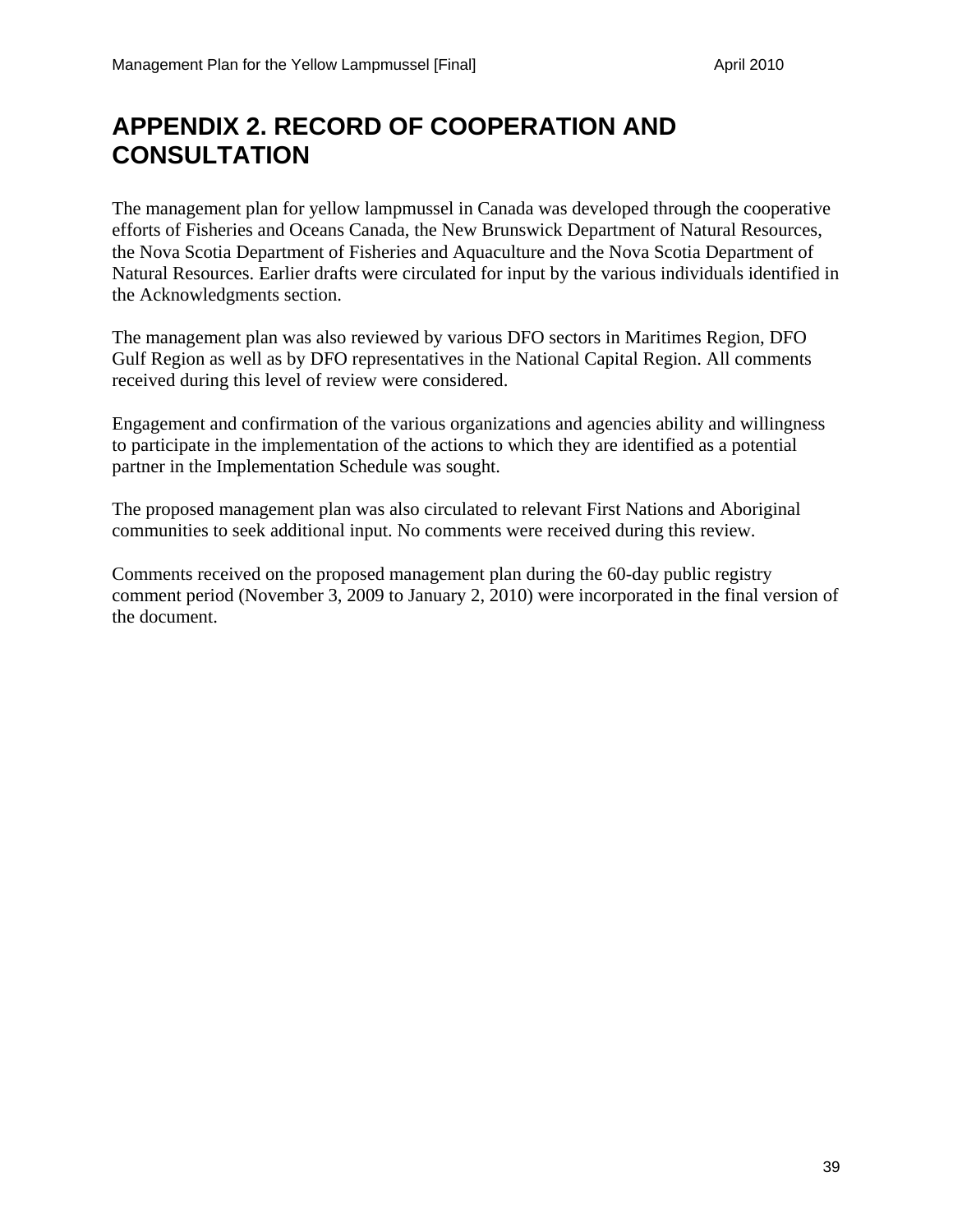## **APPENDIX 2. RECORD OF COOPERATION AND CONSULTATION**

The management plan for yellow lampmussel in Canada was developed through the cooperative efforts of Fisheries and Oceans Canada, the New Brunswick Department of Natural Resources, the Nova Scotia Department of Fisheries and Aquaculture and the Nova Scotia Department of Natural Resources. Earlier drafts were circulated for input by the various individuals identified in the Acknowledgments section.

The management plan was also reviewed by various DFO sectors in Maritimes Region, DFO Gulf Region as well as by DFO representatives in the National Capital Region. All comments received during this level of review were considered.

Engagement and confirmation of the various organizations and agencies ability and willingness to participate in the implementation of the actions to which they are identified as a potential partner in the Implementation Schedule was sought.

The proposed management plan was also circulated to relevant First Nations and Aboriginal communities to seek additional input. No comments were received during this review.

Comments received on the proposed management plan during the 60-day public registry comment period (November 3, 2009 to January 2, 2010) were incorporated in the final version of the document.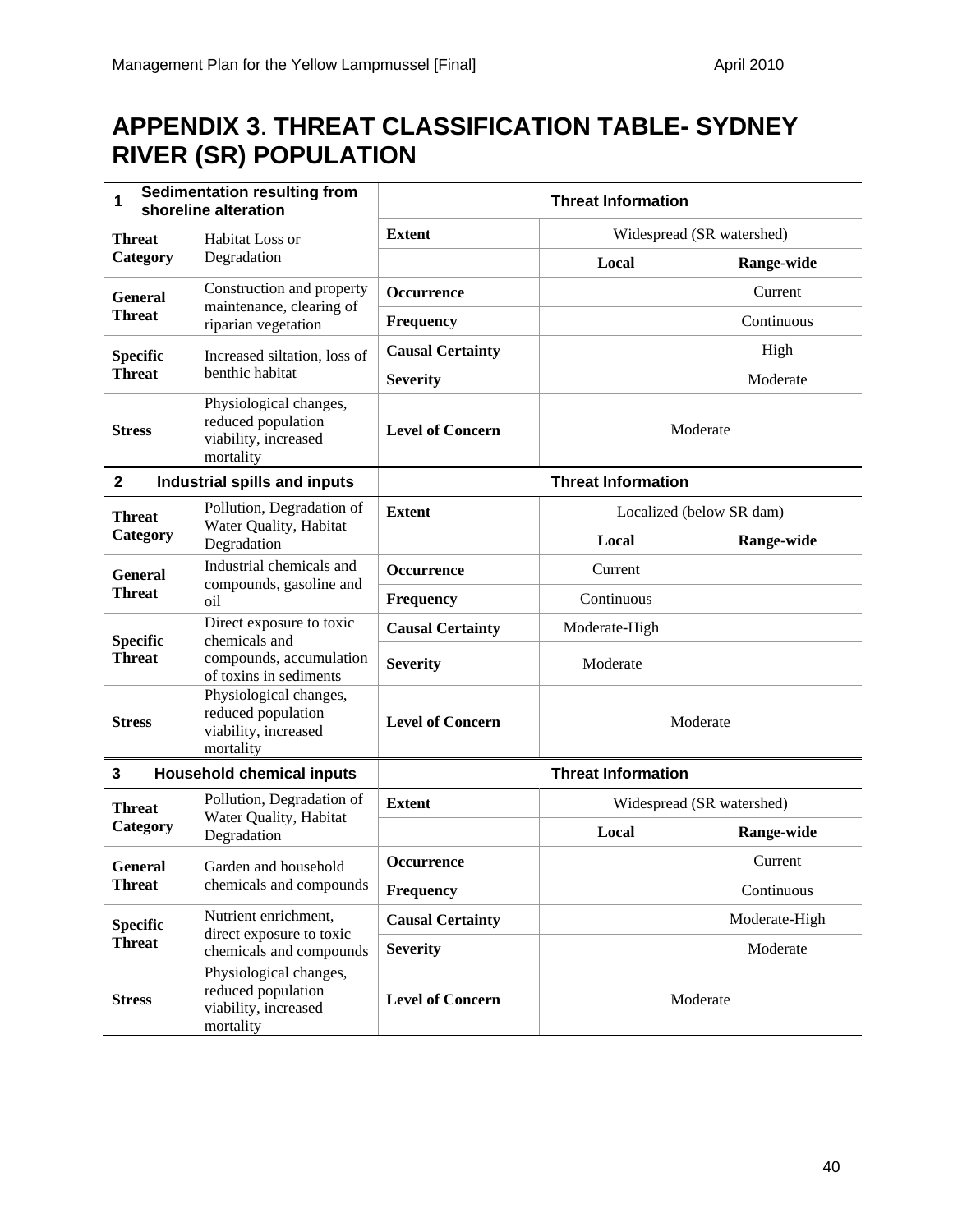## **APPENDIX 3**. **THREAT CLASSIFICATION TABLE- SYDNEY RIVER (SR) POPULATION**

| <b>Sedimentation resulting from</b><br>1<br>shoreline alteration     |                                                                                   | <b>Threat Information</b> |                           |                           |  |
|----------------------------------------------------------------------|-----------------------------------------------------------------------------------|---------------------------|---------------------------|---------------------------|--|
| <b>Threat</b>                                                        | Habitat Loss or                                                                   | <b>Extent</b>             |                           | Widespread (SR watershed) |  |
| Category                                                             | Degradation                                                                       |                           | Local                     | Range-wide                |  |
| <b>General</b>                                                       | Construction and property<br>maintenance, clearing of                             | <b>Occurrence</b>         |                           | Current                   |  |
| <b>Threat</b>                                                        | riparian vegetation                                                               | <b>Frequency</b>          |                           | Continuous                |  |
| <b>Specific</b>                                                      | Increased siltation, loss of<br><b>Threat</b><br>benthic habitat                  | <b>Causal Certainty</b>   |                           | High                      |  |
|                                                                      |                                                                                   | <b>Severity</b>           |                           | Moderate                  |  |
| <b>Stress</b>                                                        | Physiological changes,<br>reduced population<br>viability, increased<br>mortality | <b>Level of Concern</b>   |                           | Moderate                  |  |
| $\mathbf{2}$                                                         | Industrial spills and inputs                                                      |                           | <b>Threat Information</b> |                           |  |
| Pollution, Degradation of<br><b>Threat</b><br>Water Quality, Habitat |                                                                                   | <b>Extent</b>             | Localized (below SR dam)  |                           |  |
| Category                                                             | Degradation                                                                       |                           | Local                     | Range-wide                |  |
| <b>General</b>                                                       | Industrial chemicals and<br>compounds, gasoline and<br>oil                        | <b>Occurrence</b>         | Current                   |                           |  |
| <b>Threat</b>                                                        |                                                                                   | Frequency                 | Continuous                |                           |  |
| <b>Specific</b>                                                      | Direct exposure to toxic<br>chemicals and                                         | <b>Causal Certainty</b>   | Moderate-High             |                           |  |
| <b>Threat</b>                                                        | compounds, accumulation<br>of toxins in sediments                                 | <b>Severity</b>           | Moderate                  |                           |  |
| <b>Stress</b>                                                        | Physiological changes,<br>reduced population<br>viability, increased<br>mortality | <b>Level of Concern</b>   | Moderate                  |                           |  |
| $\mathbf{3}$                                                         | <b>Household chemical inputs</b>                                                  |                           | <b>Threat Information</b> |                           |  |
| <b>Threat</b>                                                        | Pollution, Degradation of<br>Water Quality, Habitat                               | <b>Extent</b>             |                           | Widespread (SR watershed) |  |
| Category                                                             | Degradation                                                                       |                           | Local                     | Range-wide                |  |
| General                                                              | Garden and household                                                              | <b>Occurrence</b>         |                           | Current                   |  |
| <b>Threat</b>                                                        | chemicals and compounds                                                           | Frequency                 |                           | Continuous                |  |
| <b>Specific</b>                                                      | Nutrient enrichment,<br>direct exposure to toxic                                  | <b>Causal Certainty</b>   |                           | Moderate-High             |  |
| <b>Threat</b>                                                        | chemicals and compounds                                                           | <b>Severity</b>           |                           | Moderate                  |  |
| <b>Stress</b>                                                        | Physiological changes,<br>reduced population<br>viability, increased<br>mortality | <b>Level of Concern</b>   |                           | Moderate                  |  |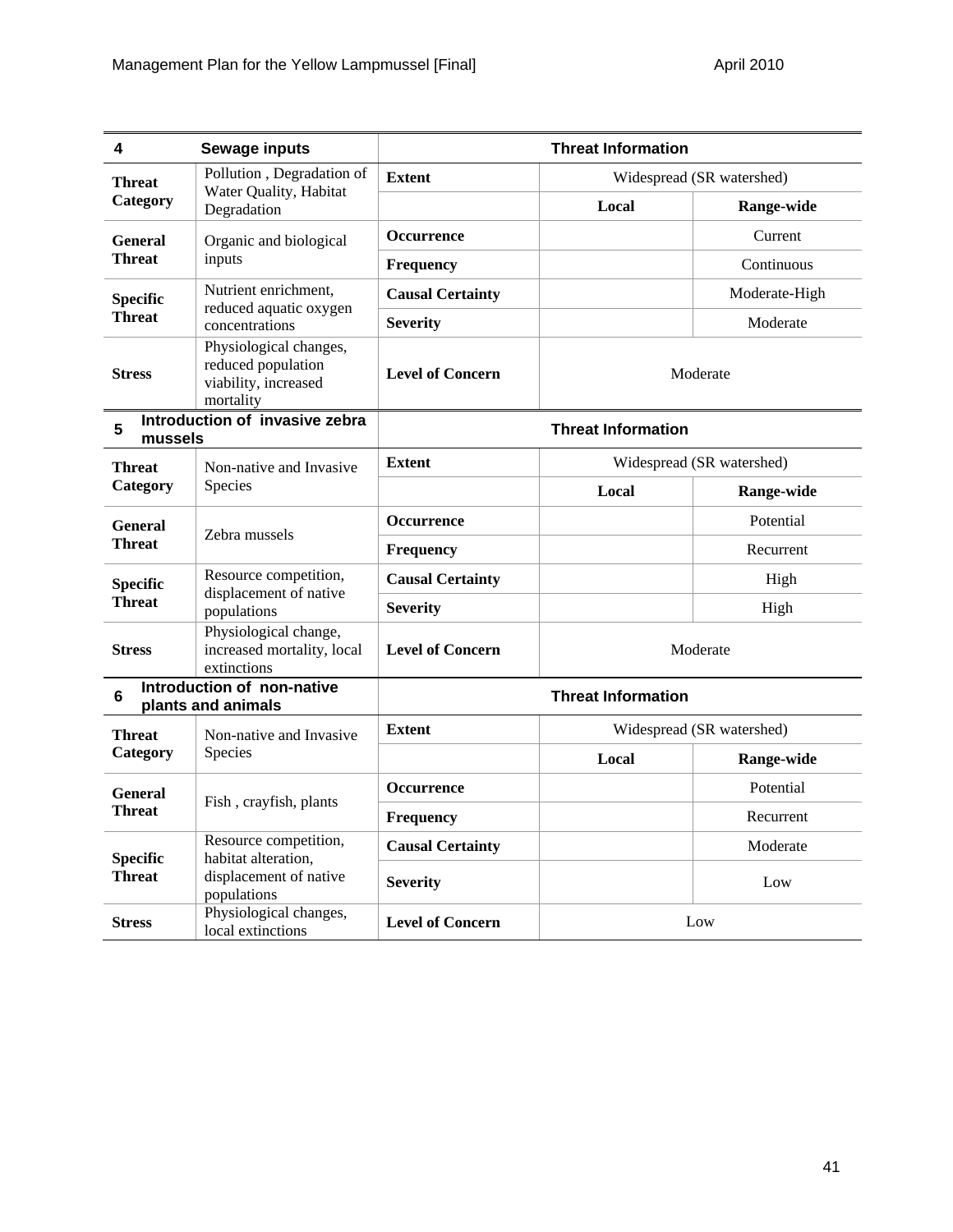| 4               | <b>Sewage inputs</b>                                                              |                         | <b>Threat Information</b> |                           |
|-----------------|-----------------------------------------------------------------------------------|-------------------------|---------------------------|---------------------------|
| <b>Threat</b>   | Pollution, Degradation of                                                         | <b>Extent</b>           |                           | Widespread (SR watershed) |
| Category        | Water Quality, Habitat<br>Degradation                                             |                         | Local                     | Range-wide                |
| <b>General</b>  | Organic and biological                                                            | <b>Occurrence</b>       |                           | Current                   |
| <b>Threat</b>   | inputs                                                                            | <b>Frequency</b>        |                           | Continuous                |
| <b>Specific</b> | Nutrient enrichment,<br>reduced aquatic oxygen<br>concentrations                  | <b>Causal Certainty</b> |                           | Moderate-High             |
| <b>Threat</b>   |                                                                                   | <b>Severity</b>         |                           | Moderate                  |
| <b>Stress</b>   | Physiological changes,<br>reduced population<br>viability, increased<br>mortality | <b>Level of Concern</b> |                           | Moderate                  |
| 5<br>mussels    | Introduction of invasive zebra                                                    |                         | <b>Threat Information</b> |                           |
| <b>Threat</b>   | Non-native and Invasive                                                           | <b>Extent</b>           |                           | Widespread (SR watershed) |
| Category        | Species                                                                           |                         | Local                     | Range-wide                |
| <b>General</b>  | Zebra mussels                                                                     | <b>Occurrence</b>       |                           | Potential                 |
| <b>Threat</b>   |                                                                                   | Frequency               |                           | Recurrent                 |
| <b>Specific</b> | Resource competition,                                                             | <b>Causal Certainty</b> |                           | High                      |
| <b>Threat</b>   | displacement of native<br>populations                                             | <b>Severity</b>         |                           | High                      |
| <b>Stress</b>   | Physiological change,<br>increased mortality, local<br>extinctions                | <b>Level of Concern</b> | Moderate                  |                           |
| $6\phantom{1}$  | Introduction of non-native<br>plants and animals                                  |                         | <b>Threat Information</b> |                           |
| <b>Threat</b>   | Non-native and Invasive                                                           | <b>Extent</b>           |                           | Widespread (SR watershed) |
| Category        | Species                                                                           |                         | Local                     | Range-wide                |
| <b>General</b>  | Fish, crayfish, plants                                                            | <b>Occurrence</b>       |                           | Potential                 |
| <b>Threat</b>   |                                                                                   | <b>Frequency</b>        |                           | Recurrent                 |
| <b>Specific</b> | Resource competition,                                                             | <b>Causal Certainty</b> |                           | Moderate                  |
| <b>Threat</b>   | habitat alteration,<br>displacement of native<br>populations                      | <b>Severity</b>         |                           | Low                       |
| <b>Stress</b>   | Physiological changes,<br>local extinctions                                       | <b>Level of Concern</b> | Low                       |                           |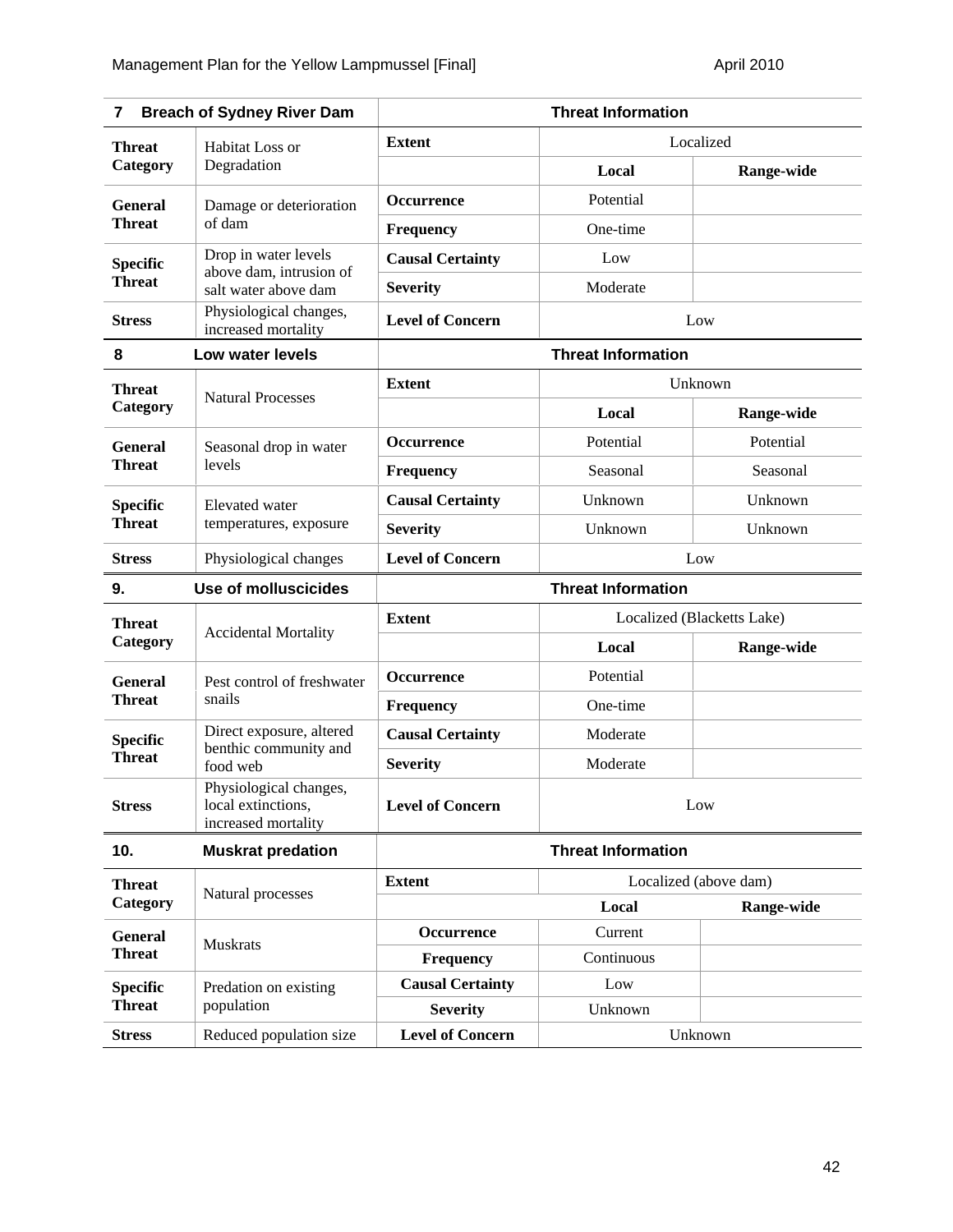| 7                                | <b>Breach of Sydney River Dam</b>                                   |                                | <b>Threat Information</b>  |            |
|----------------------------------|---------------------------------------------------------------------|--------------------------------|----------------------------|------------|
| <b>Threat</b>                    | Habitat Loss or                                                     | <b>Extent</b>                  | Localized                  |            |
| Category                         | Degradation                                                         |                                | Local                      | Range-wide |
| <b>General</b>                   | Damage or deterioration                                             | Occurrence                     | Potential                  |            |
| <b>Threat</b>                    | of dam                                                              | <b>Frequency</b>               | One-time                   |            |
| <b>Specific</b>                  | Drop in water levels                                                | <b>Causal Certainty</b>        | Low                        |            |
| <b>Threat</b>                    | above dam, intrusion of<br>salt water above dam                     | <b>Severity</b>                | Moderate                   |            |
| <b>Stress</b>                    | Physiological changes,<br>increased mortality                       | <b>Level of Concern</b>        | Low                        |            |
| 8                                | Low water levels                                                    |                                | <b>Threat Information</b>  |            |
| <b>Threat</b>                    |                                                                     | <b>Extent</b>                  | Unknown                    |            |
| Category                         | <b>Natural Processes</b>                                            |                                | Local                      | Range-wide |
| <b>General</b>                   | Seasonal drop in water<br>levels                                    | <b>Occurrence</b>              | Potential                  | Potential  |
| <b>Threat</b>                    |                                                                     | Frequency                      | Seasonal                   | Seasonal   |
| <b>Specific</b>                  | Elevated water<br>temperatures, exposure                            | <b>Causal Certainty</b>        | Unknown                    | Unknown    |
| <b>Threat</b>                    |                                                                     | <b>Severity</b>                | Unknown                    | Unknown    |
| <b>Stress</b>                    | Physiological changes                                               | <b>Level of Concern</b><br>Low |                            |            |
| 9.                               | <b>Use of molluscicides</b>                                         | <b>Threat Information</b>      |                            |            |
| <b>Threat</b>                    |                                                                     | <b>Extent</b>                  | Localized (Blacketts Lake) |            |
| Category                         | <b>Accidental Mortality</b>                                         |                                | Local                      | Range-wide |
| <b>General</b>                   | Pest control of freshwater                                          | Occurrence                     | Potential                  |            |
| <b>Threat</b>                    | snails                                                              | <b>Frequency</b>               | One-time                   |            |
| <b>Specific</b>                  | Direct exposure, altered<br>benthic community and                   | <b>Causal Certainty</b>        | Moderate                   |            |
| <b>Threat</b>                    | food web                                                            | <b>Severity</b>                | Moderate                   |            |
| <b>Stress</b>                    | Physiological changes,<br>local extinctions,<br>increased mortality | <b>Level of Concern</b>        | Low                        |            |
| 10.                              | <b>Muskrat predation</b>                                            |                                | <b>Threat Information</b>  |            |
| <b>Threat</b>                    |                                                                     | <b>Extent</b>                  | Localized (above dam)      |            |
| Category                         | Natural processes                                                   |                                | Local                      | Range-wide |
| <b>General</b>                   | <b>Muskrats</b>                                                     | Occurrence                     | Current                    |            |
| <b>Threat</b>                    |                                                                     | <b>Frequency</b>               | Continuous                 |            |
| <b>Specific</b><br><b>Threat</b> | Predation on existing                                               | <b>Causal Certainty</b>        | Low                        |            |
|                                  | population                                                          | <b>Severity</b>                | Unknown                    |            |
| <b>Stress</b>                    | Reduced population size                                             | <b>Level of Concern</b>        |                            | Unknown    |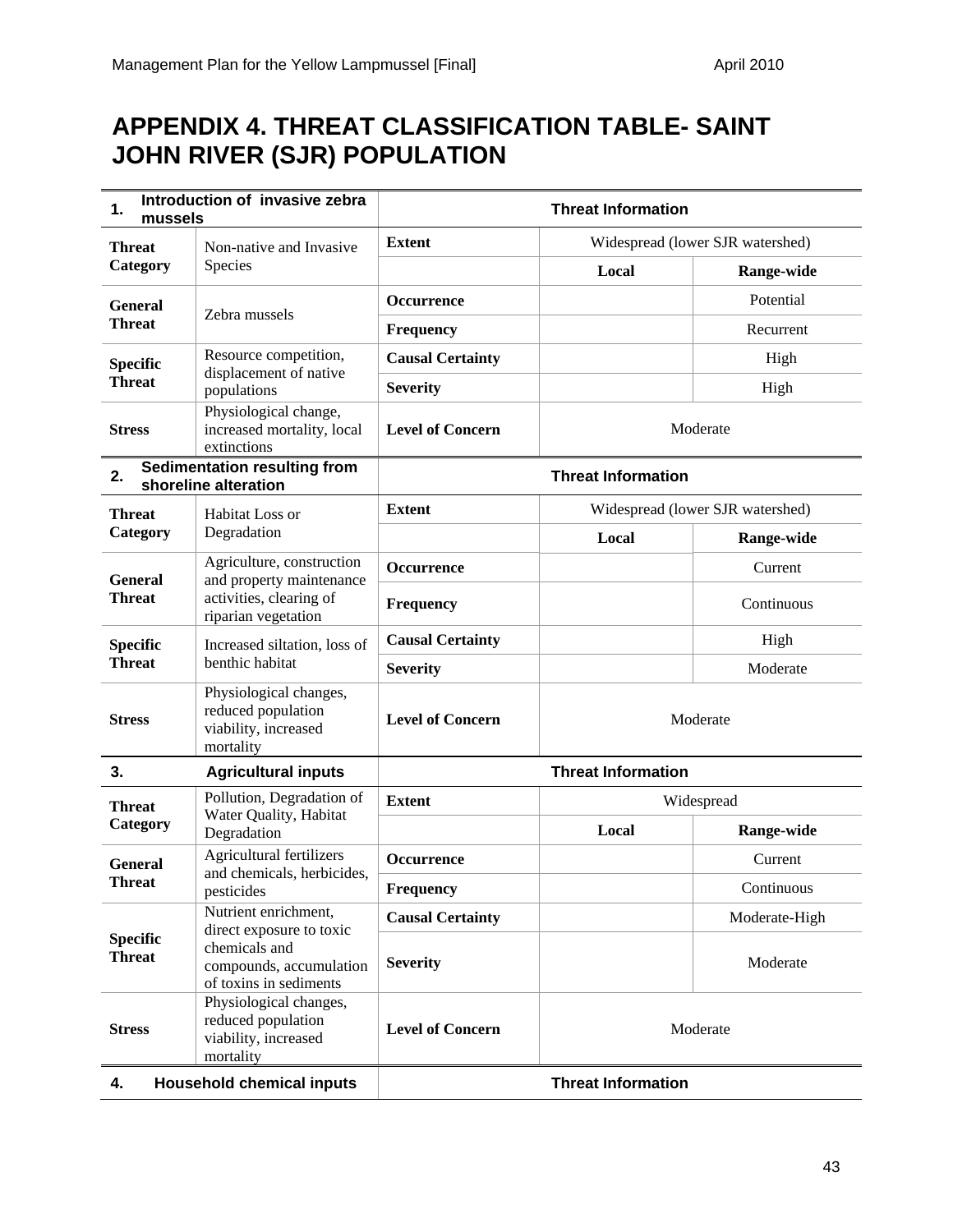## **APPENDIX 4. THREAT CLASSIFICATION TABLE- SAINT JOHN RIVER (SJR) POPULATION**

| 1.<br>mussels                    | Introduction of invasive zebra                                                    | <b>Threat Information</b>   |                                  |                                  |
|----------------------------------|-----------------------------------------------------------------------------------|-----------------------------|----------------------------------|----------------------------------|
| <b>Threat</b>                    | Non-native and Invasive                                                           | <b>Extent</b>               |                                  | Widespread (lower SJR watershed) |
| Category                         | Species                                                                           |                             | Local                            | Range-wide                       |
| <b>General</b>                   | Zebra mussels                                                                     | Occurrence                  |                                  | Potential                        |
| <b>Threat</b>                    |                                                                                   | <b>Frequency</b>            |                                  | Recurrent                        |
| <b>Specific</b>                  | Resource competition,<br>displacement of native                                   | <b>Causal Certainty</b>     |                                  | High                             |
| <b>Threat</b>                    | populations                                                                       | <b>Severity</b>             |                                  | High                             |
| <b>Stress</b>                    | Physiological change,<br>increased mortality, local<br>extinctions                | <b>Level of Concern</b>     |                                  | Moderate                         |
| 2.                               | <b>Sedimentation resulting from</b><br>shoreline alteration                       |                             | <b>Threat Information</b>        |                                  |
| <b>Threat</b>                    | Habitat Loss or                                                                   | <b>Extent</b>               | Widespread (lower SJR watershed) |                                  |
| Degradation<br>Category          |                                                                                   | Local                       | Range-wide                       |                                  |
| <b>General</b>                   | Agriculture, construction<br>and property maintenance                             | <b>Occurrence</b>           |                                  | Current                          |
| <b>Threat</b>                    | activities, clearing of<br>riparian vegetation                                    | <b>Frequency</b>            |                                  | Continuous                       |
| <b>Specific</b>                  | Increased siltation, loss of                                                      | <b>Causal Certainty</b>     |                                  | High                             |
| <b>Threat</b>                    | benthic habitat                                                                   | <b>Severity</b>             |                                  | Moderate                         |
| <b>Stress</b>                    | Physiological changes,<br>reduced population<br>viability, increased<br>mortality | <b>Level of Concern</b>     | Moderate                         |                                  |
| 3.                               | <b>Agricultural inputs</b>                                                        | <b>Threat Information</b>   |                                  |                                  |
| <b>Threat</b>                    | Pollution, Degradation of<br>Water Quality, Habitat                               | <b>Extent</b><br>Widespread |                                  |                                  |
| Category                         | Degradation                                                                       |                             | Local                            | Range-wide                       |
| <b>General</b>                   | Agricultural fertilizers<br>and chemicals, herbicides,                            | Occurrence                  |                                  | Current                          |
| <b>Threat</b>                    | pesticides                                                                        | Frequency                   |                                  | Continuous                       |
|                                  | Nutrient enrichment,<br>direct exposure to toxic                                  | <b>Causal Certainty</b>     |                                  | Moderate-High                    |
| <b>Specific</b><br><b>Threat</b> | chemicals and<br>compounds, accumulation<br>of toxins in sediments                | <b>Severity</b>             |                                  | Moderate                         |
| <b>Stress</b>                    | Physiological changes,<br>reduced population<br>viability, increased<br>mortality | <b>Level of Concern</b>     |                                  | Moderate                         |
| 4.                               | <b>Household chemical inputs</b>                                                  |                             | <b>Threat Information</b>        |                                  |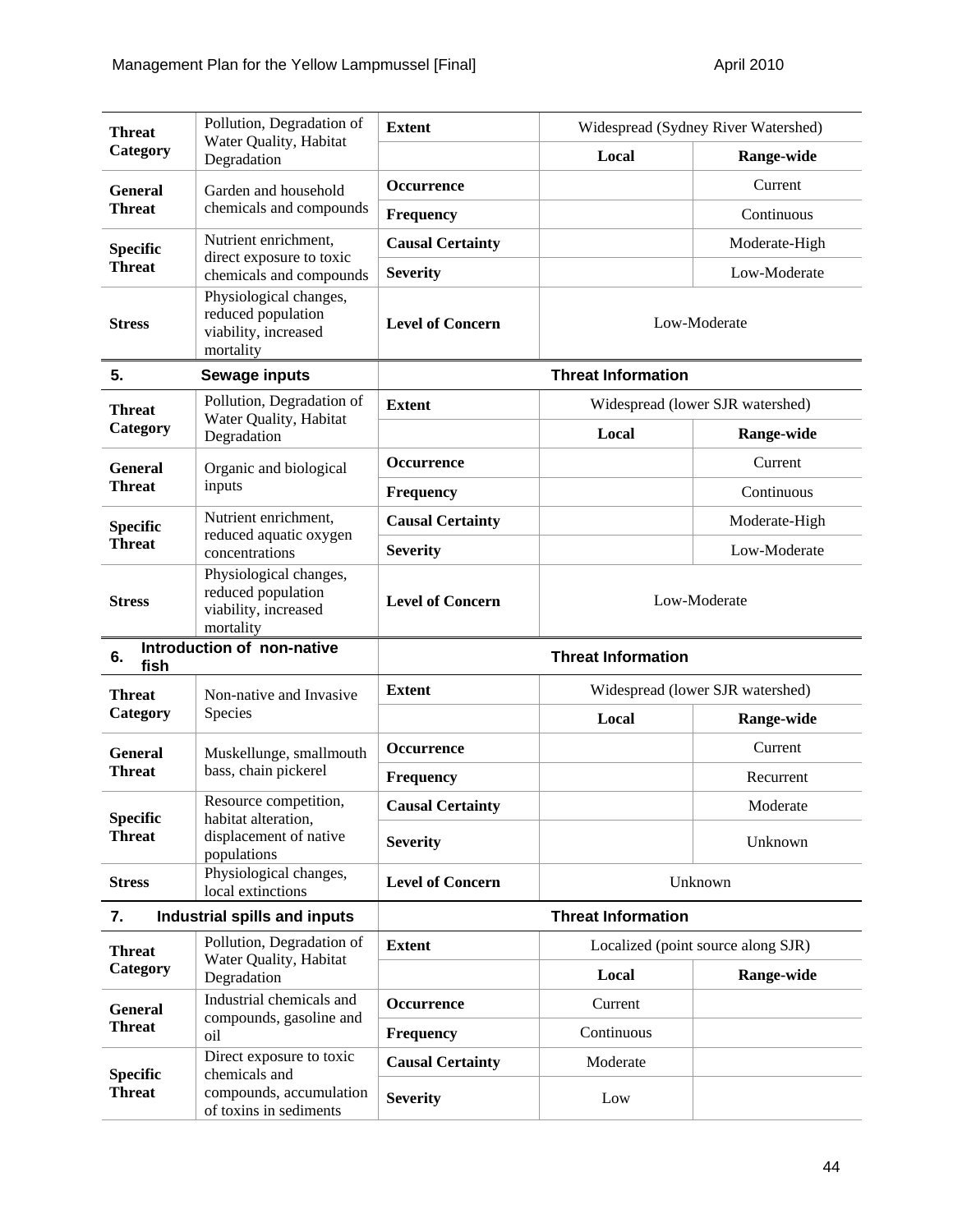|                                    | Pollution, Degradation of                                                         | <b>Extent</b>             |                           | Widespread (Sydney River Watershed) |
|------------------------------------|-----------------------------------------------------------------------------------|---------------------------|---------------------------|-------------------------------------|
| <b>Threat</b><br>Category          | Water Quality, Habitat<br>Degradation                                             |                           | Local                     | Range-wide                          |
| <b>General</b>                     | Garden and household                                                              | <b>Occurrence</b>         |                           | Current                             |
| <b>Threat</b>                      | chemicals and compounds                                                           | <b>Frequency</b>          |                           | Continuous                          |
| <b>Specific</b>                    | Nutrient enrichment,                                                              | <b>Causal Certainty</b>   |                           | Moderate-High                       |
| <b>Threat</b>                      | direct exposure to toxic<br>chemicals and compounds                               | <b>Severity</b>           |                           | Low-Moderate                        |
| <b>Stress</b>                      | Physiological changes,<br>reduced population<br>viability, increased<br>mortality | <b>Level of Concern</b>   |                           | Low-Moderate                        |
| 5.                                 | Sewage inputs                                                                     |                           | <b>Threat Information</b> |                                     |
| <b>Threat</b>                      | Pollution, Degradation of                                                         | <b>Extent</b>             |                           | Widespread (lower SJR watershed)    |
| Category                           | Water Quality, Habitat<br>Degradation                                             |                           | Local                     | Range-wide                          |
| <b>General</b>                     | Organic and biological                                                            | <b>Occurrence</b>         |                           | Current                             |
| <b>Threat</b>                      | inputs                                                                            | Frequency                 |                           | Continuous                          |
| <b>Specific</b>                    | Nutrient enrichment,                                                              | <b>Causal Certainty</b>   |                           | Moderate-High                       |
| <b>Threat</b>                      | reduced aquatic oxygen<br>concentrations                                          | <b>Severity</b>           |                           | Low-Moderate                        |
| <b>Stress</b>                      | Physiological changes,<br>reduced population<br>viability, increased<br>mortality | <b>Level of Concern</b>   | Low-Moderate              |                                     |
| 6.<br>fish                         | Introduction of non-native                                                        |                           | <b>Threat Information</b> |                                     |
| <b>Threat</b>                      | Non-native and Invasive                                                           | <b>Extent</b>             |                           | Widespread (lower SJR watershed)    |
| Category                           | Species                                                                           |                           | Local                     | Range-wide                          |
| <b>General</b>                     | Muskellunge, smallmouth                                                           | Occurrence                |                           | Current                             |
| <b>Threat</b>                      | bass, chain pickerel                                                              | <b>Frequency</b>          |                           | Recurrent                           |
|                                    | Resource competition,                                                             | <b>Causal Certainty</b>   |                           | Moderate                            |
| <b>Specific</b><br><b>Threat</b>   | habitat alteration,<br>displacement of native<br>populations                      | <b>Severity</b>           |                           | Unknown                             |
| <b>Stress</b>                      | Physiological changes,<br>local extinctions                                       | <b>Level of Concern</b>   |                           | Unknown                             |
| Industrial spills and inputs<br>7. |                                                                                   | <b>Threat Information</b> |                           |                                     |
| <b>Threat</b>                      | Pollution, Degradation of                                                         | <b>Extent</b>             |                           | Localized (point source along SJR)  |
| Category                           | Water Quality, Habitat<br>Degradation                                             |                           | Local                     | Range-wide                          |
| <b>General</b>                     | Industrial chemicals and                                                          | <b>Occurrence</b>         | Current                   |                                     |
| <b>Threat</b>                      | compounds, gasoline and<br>oil                                                    | <b>Frequency</b>          | Continuous                |                                     |
| <b>Specific</b>                    | Direct exposure to toxic<br>chemicals and                                         | <b>Causal Certainty</b>   | Moderate                  |                                     |
| <b>Threat</b>                      | compounds, accumulation<br>of toxins in sediments                                 | <b>Severity</b>           | Low                       |                                     |